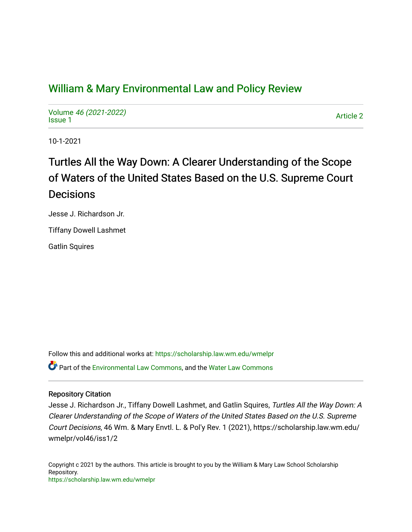# [William & Mary Environmental Law and Policy Review](https://scholarship.law.wm.edu/wmelpr)

Volume [46 \(2021-2022\)](https://scholarship.law.wm.edu/wmelpr/vol46)  volume 40 (2021-2022)<br>[Issue 1](https://scholarship.law.wm.edu/wmelpr/vol46/iss1)

10-1-2021

# Turtles All the Way Down: A Clearer Understanding of the Scope of Waters of the United States Based on the U.S. Supreme Court **Decisions**

Jesse J. Richardson Jr.

Tiffany Dowell Lashmet

Gatlin Squires

Follow this and additional works at: [https://scholarship.law.wm.edu/wmelpr](https://scholarship.law.wm.edu/wmelpr?utm_source=scholarship.law.wm.edu%2Fwmelpr%2Fvol46%2Fiss1%2F2&utm_medium=PDF&utm_campaign=PDFCoverPages) Part of the [Environmental Law Commons](http://network.bepress.com/hgg/discipline/599?utm_source=scholarship.law.wm.edu%2Fwmelpr%2Fvol46%2Fiss1%2F2&utm_medium=PDF&utm_campaign=PDFCoverPages), and the [Water Law Commons](http://network.bepress.com/hgg/discipline/887?utm_source=scholarship.law.wm.edu%2Fwmelpr%2Fvol46%2Fiss1%2F2&utm_medium=PDF&utm_campaign=PDFCoverPages) 

## Repository Citation

Jesse J. Richardson Jr., Tiffany Dowell Lashmet, and Gatlin Squires, Turtles All the Way Down: A Clearer Understanding of the Scope of Waters of the United States Based on the U.S. Supreme Court Decisions, 46 Wm. & Mary Envtl. L. & Pol'y Rev. 1 (2021), https://scholarship.law.wm.edu/ wmelpr/vol46/iss1/2

Copyright c 2021 by the authors. This article is brought to you by the William & Mary Law School Scholarship Repository. <https://scholarship.law.wm.edu/wmelpr>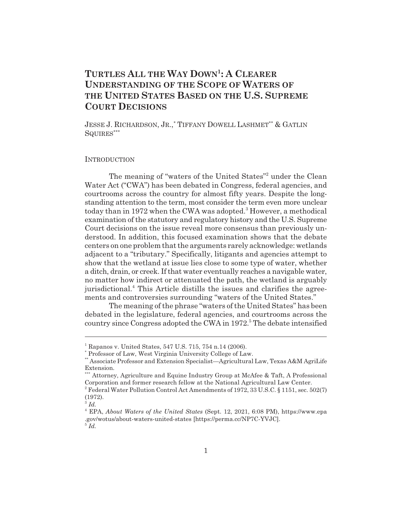## **TURTLES ALL THE WAY DOWN1:ACLEARER UNDERSTANDING OF THE SCOPE OF WATERS OF THE UNITED STATES BASED ON THE U.S. SUPREME COURT DECISIONS**

JESSE J. RICHARDSON, JR.,\* TIFFANY DOWELL LASHMET\*\* & GATLIN SQUIRES\*\*\*

#### **INTRODUCTION**

The meaning of "waters of the United States"<sup>2</sup> under the Clean Water Act ("CWA") has been debated in Congress, federal agencies, and courtrooms across the country for almost fifty years. Despite the longstanding attention to the term, most consider the term even more unclear today than in 1972 when the CWA was adopted.<sup>3</sup> However, a methodical examination of the statutory and regulatory history and the U.S. Supreme Court decisions on the issue reveal more consensus than previously understood. In addition, this focused examination shows that the debate centers on one problem that the arguments rarely acknowledge: wetlands adjacent to a "tributary." Specifically, litigants and agencies attempt to show that the wetland at issue lies close to some type of water, whether a ditch, drain, or creek. If that water eventually reaches a navigable water, no matter how indirect or attenuated the path, the wetland is arguably jurisdictional.<sup>4</sup> This Article distills the issues and clarifies the agreements and controversies surrounding "waters of the United States."

The meaning of the phrase "waters of the United States" has been debated in the legislature, federal agencies, and courtrooms across the country since Congress adopted the CWA in 1972.<sup>5</sup> The debate intensified

<sup>1</sup> Rapanos v. United States, 547 U.S. 715, 754 n.14 (2006).

<sup>\*</sup> Professor of Law, West Virginia University College of Law.

<sup>\*\*</sup> Associate Professor and Extension Specialist—Agricultural Law, Texas A&M AgriLife Extension.

<sup>\*\*\*</sup> Attorney, Agriculture and Equine Industry Group at McAfee & Taft, A Professional Corporation and former research fellow at the National Agricultural Law Center.

<sup>&</sup>lt;sup>2</sup> Federal Water Pollution Control Act Amendments of 1972, 33 U.S.C. § 1151, sec. 502(7) (1972).

<sup>3</sup> *Id.*

<sup>4</sup> EPA, *About Waters of the United States* (Sept. 12, 2021, 6:08 PM), https://www.epa .gov/wotus/about-waters-united-states [https://perma.cc/NP7C-YVJC].  $^5$  *Id.*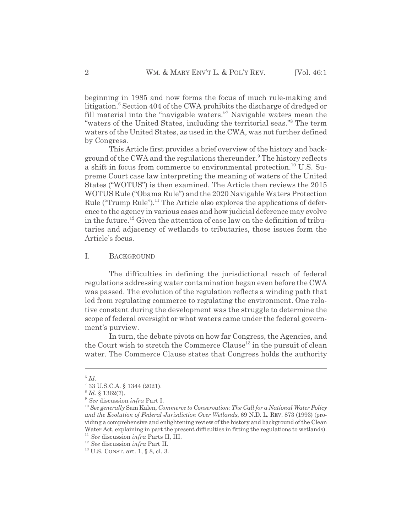beginning in 1985 and now forms the focus of much rule-making and litigation.<sup>6</sup> Section 404 of the CWA prohibits the discharge of dredged or fill material into the "navigable waters."<sup>7</sup> Navigable waters mean the "waters of the United States, including the territorial seas." The term waters of the United States, as used in the CWA, was not further defined by Congress.

This Article first provides a brief overview of the history and background of the CWA and the regulations thereunder.<sup>9</sup> The history reflects a shift in focus from commerce to environmental protection.<sup>10</sup> U.S. Supreme Court case law interpreting the meaning of waters of the United States ("WOTUS") is then examined. The Article then reviews the 2015 WOTUS Rule ("Obama Rule") and the 2020 Navigable Waters Protection Rule ("Trump Rule").<sup>11</sup> The Article also explores the applications of deference to the agency in various cases and how judicial deference may evolve in the future.12 Given the attention of case law on the definition of tributaries and adjacency of wetlands to tributaries, those issues form the Article's focus.

## I. BACKGROUND

The difficulties in defining the jurisdictional reach of federal regulations addressing water contamination began even before the CWA was passed. The evolution of the regulation reflects a winding path that led from regulating commerce to regulating the environment. One relative constant during the development was the struggle to determine the scope of federal oversight or what waters came under the federal government's purview.

In turn, the debate pivots on how far Congress, the Agencies, and the Court wish to stretch the Commerce Clause<sup>13</sup> in the pursuit of clean water. The Commerce Clause states that Congress holds the authority

 $6$   $Id.$ 

<sup>7</sup> 33 U.S.C.A. § 1344 (2021).

<sup>8</sup> *Id.* § 1362(7).

<sup>9</sup> *See* discussion *infra* Part I.

<sup>10</sup> *See generally* Sam Kalen, *Commerce to Conservation: The Call for a National Water Policy and the Evolution of Federal Jurisdiction Over Wetlands*, 69 N.D. L. REV. 873 (1993) (providing a comprehensive and enlightening review of the history and background of the Clean Water Act, explaining in part the present difficulties in fitting the regulations to wetlands).

<sup>11</sup> *See* discussion *infra* Parts II, III.

<sup>12</sup> *See* discussion *infra* Part II.

<sup>13</sup> U.S. CONST. art. 1, § 8, cl. 3.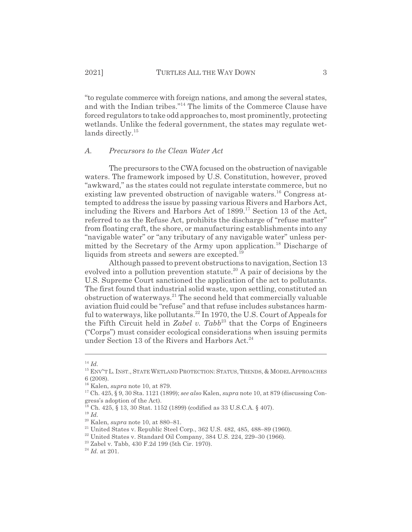"to regulate commerce with foreign nations, and among the several states, and with the Indian tribes."14 The limits of the Commerce Clause have forced regulators to take odd approaches to, most prominently, protecting wetlands. Unlike the federal government, the states may regulate wetlands directly.<sup>15</sup>

## *A. Precursors to the Clean Water Act*

The precursors to the CWA focused on the obstruction of navigable waters. The framework imposed by U.S. Constitution, however, proved "awkward," as the states could not regulate interstate commerce, but no existing law prevented obstruction of navigable waters.<sup>16</sup> Congress attempted to address the issue by passing various Rivers and Harbors Act, including the Rivers and Harbors Act of  $1899$ <sup> $17$ </sup> Section 13 of the Act, referred to as the Refuse Act, prohibits the discharge of "refuse matter" from floating craft, the shore, or manufacturing establishments into any "navigable water" or "any tributary of any navigable water" unless permitted by the Secretary of the Army upon application.<sup>18</sup> Discharge of liquids from streets and sewers are excepted.<sup>19</sup>

Although passed to prevent obstructions to navigation, Section 13 evolved into a pollution prevention statute.<sup>20</sup> A pair of decisions by the U.S. Supreme Court sanctioned the application of the act to pollutants. The first found that industrial solid waste, upon settling, constituted an obstruction of waterways.21 The second held that commercially valuable aviation fluid could be "refuse" and that refuse includes substances harmful to waterways, like pollutants.<sup>22</sup> In 1970, the U.S. Court of Appeals for the Fifth Circuit held in *Zabel v. Tabb*<sup>23</sup> that the Corps of Engineers ("Corps") must consider ecological considerations when issuing permits under Section 13 of the Rivers and Harbors Act.<sup>24</sup>

<sup>14</sup> *Id.*

<sup>&</sup>lt;sup>15</sup> ENV<sup>\*</sup>T L. INST., STATE WETLAND PROTECTION: STATUS, TRENDS, & MODEL APPROACHES 6 (2008).

<sup>16</sup> Kalen, *supra* note 10, at 879.

<sup>17</sup> Ch. 425, § 9, 30 Sta. 1121 (1899); *see also* Kalen, *supra* note 10, at 879 (discussing Congress's adoption of the Act).

 $^{18}$  Ch. 425, § 13, 30 Stat. 1152 (1899) (codified as 33 U.S.C.A. § 407).

<sup>19</sup> *Id.*

<sup>20</sup> Kalen, *supra* note 10, at 880–81.

 $21$  United States v. Republic Steel Corp., 362 U.S. 482, 485, 488–89 (1960).

 $22$  United States v. Standard Oil Company, 384 U.S. 224, 229-30 (1966).

<sup>23</sup> Zabel v. Tabb, 430 F.2d 199 (5th Cir. 1970).

<sup>24</sup> *Id.* at 201.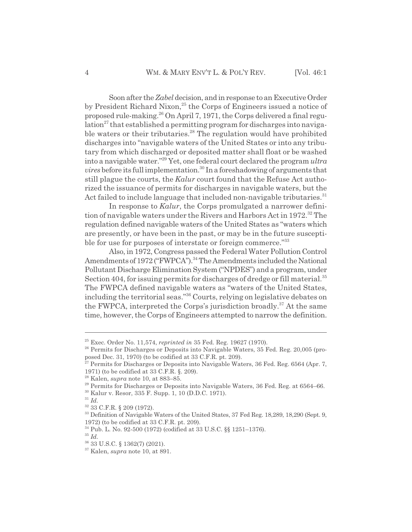Soon after the *Zabel* decision, and in response to an Executive Order by President Richard Nixon,<sup>25</sup> the Corps of Engineers issued a notice of proposed rule-making.26 On April 7, 1971, the Corps delivered a final regulation<sup>27</sup> that established a permitting program for discharges into navigable waters or their tributaries.<sup>28</sup> The regulation would have prohibited discharges into "navigable waters of the United States or into any tributary from which discharged or deposited matter shall float or be washed into a navigable water."29 Yet, one federal court declared the program *ultra vires* before its full implementation.<sup>30</sup> In a foreshadowing of arguments that still plague the courts, the *Kalur* court found that the Refuse Act authorized the issuance of permits for discharges in navigable waters, but the Act failed to include language that included non-navigable tributaries.<sup>31</sup>

In response to *Kalur*, the Corps promulgated a narrower definition of navigable waters under the Rivers and Harbors Act in 1972.<sup>32</sup> The regulation defined navigable waters of the United States as "waters which are presently, or have been in the past, or may be in the future susceptible for use for purposes of interstate or foreign commerce."33

Also, in 1972, Congress passed the Federal Water Pollution Control Amendments of 1972 ("FWPCA").<sup>34</sup> The Amendments included the National Pollutant Discharge Elimination System ("NPDES") and a program, under Section 404, for issuing permits for discharges of dredge or fill material.<sup>35</sup> The FWPCA defined navigable waters as "waters of the United States, including the territorial seas."36 Courts, relying on legislative debates on the FWPCA, interpreted the Corps's jurisdiction broadly.<sup>37</sup> At the same time, however, the Corps of Engineers attempted to narrow the definition.

<sup>25</sup> Exec. Order No. 11,574, *reprinted in* 35 Fed. Reg. 19627 (1970).

<sup>&</sup>lt;sup>26</sup> Permits for Discharges or Deposits into Navigable Waters, 35 Fed. Reg. 20,005 (proposed Dec. 31, 1970) (to be codified at 33 C.F.R. pt. 209).

 $^{27}$  Permits for Discharges or Deposits into Navigable Waters, 36 Fed. Reg. 6564 (Apr. 7, 1971) (to be codified at 33 C.F.R. §. 209).

<sup>28</sup> Kalen, *supra* note 10, at 883–85.

<sup>&</sup>lt;sup>29</sup> Permits for Discharges or Deposits into Navigable Waters, 36 Fed. Reg. at 6564–66.

<sup>30</sup> Kalur v. Resor, 335 F. Supp. 1, 10 (D.D.C. 1971).

<sup>31</sup> *Id.*

<sup>32 33</sup> C.F.R. § 209 (1972).

<sup>&</sup>lt;sup>33</sup> Definition of Navigable Waters of the United States, 37 Fed Reg. 18, 289, 18, 290 (Sept. 9, 1972) (to be codified at 33 C.F.R. pt. 209).

<sup>34</sup> Pub. L. No. 92-500 (1972) (codified at 33 U.S.C. §§ 1251–1376).

<sup>35</sup> *Id.*

<sup>36 33</sup> U.S.C. § 1362(7) (2021).

<sup>37</sup> Kalen, *supra* note 10, at 891.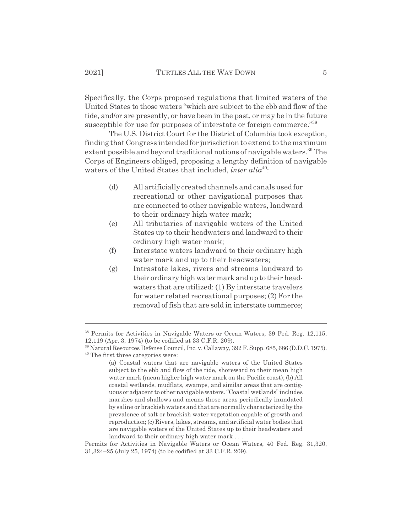Specifically, the Corps proposed regulations that limited waters of the United States to those waters "which are subject to the ebb and flow of the tide, and/or are presently, or have been in the past, or may be in the future susceptible for use for purposes of interstate or foreign commerce."<sup>38</sup>

The U.S. District Court for the District of Columbia took exception, finding that Congress intended for jurisdiction to extend to the maximum extent possible and beyond traditional notions of navigable waters.<sup>39</sup> The Corps of Engineers obliged, proposing a lengthy definition of navigable waters of the United States that included, *inter alia*<sup>40</sup>:

- (d) All artificially created channels and canals used for recreational or other navigational purposes that are connected to other navigable waters, landward to their ordinary high water mark;
- (e) All tributaries of navigable waters of the United States up to their headwaters and landward to their ordinary high water mark;
- (f) Interstate waters landward to their ordinary high water mark and up to their headwaters;
- (g) Intrastate lakes, rivers and streams landward to their ordinary high water mark and up to their headwaters that are utilized: (1) By interstate travelers for water related recreational purposes; (2) For the removal of fish that are sold in interstate commerce;

<sup>38</sup> Permits for Activities in Navigable Waters or Ocean Waters, 39 Fed. Reg. 12,115, 12,119 (Apr. 3, 1974) (to be codified at 33 C.F.R. 209).

<sup>39</sup> Natural Resources Defense Council, Inc. v. Callaway, 392 F. Supp. 685, 686 (D.D.C. 1975). 40 The first three categories were:

<sup>(</sup>a) Coastal waters that are navigable waters of the United States subject to the ebb and flow of the tide, shoreward to their mean high water mark (mean higher high water mark on the Pacific coast); (b) All coastal wetlands, mudflats, swamps, and similar areas that are contiguous or adjacent to other navigable waters. "Coastal wetlands" includes marshes and shallows and means those areas periodically inundated by saline or brackish waters and that are normally characterized by the prevalence of salt or brackish water vegetation capable of growth and reproduction; (c) Rivers, lakes, streams, and artificial water bodies that are navigable waters of the United States up to their headwaters and landward to their ordinary high water mark . . .

Permits for Activities in Navigable Waters or Ocean Waters, 40 Fed. Reg. 31,320, 31,324–25 (July 25, 1974) (to be codified at 33 C.F.R. 209).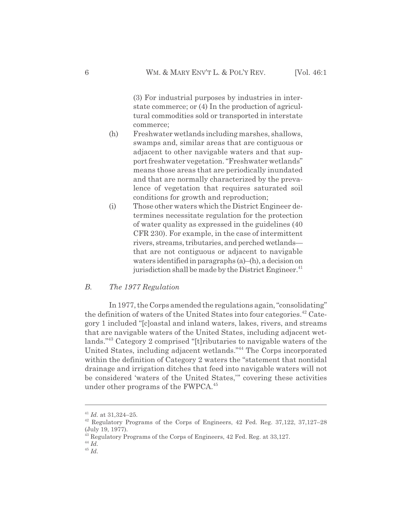(3) For industrial purposes by industries in interstate commerce; or (4) In the production of agricultural commodities sold or transported in interstate commerce;

- (h) Freshwater wetlands including marshes, shallows, swamps and, similar areas that are contiguous or adjacent to other navigable waters and that support freshwater vegetation. "Freshwater wetlands" means those areas that are periodically inundated and that are normally characterized by the prevalence of vegetation that requires saturated soil conditions for growth and reproduction;
- (i) Those other waters which the District Engineer determines necessitate regulation for the protection of water quality as expressed in the guidelines (40 CFR 230). For example, in the case of intermittent rivers, streams, tributaries, and perched wetlands that are not contiguous or adjacent to navigable waters identified in paragraphs (a)–(h), a decision on jurisdiction shall be made by the District Engineer.<sup>41</sup>

#### *B. The 1977 Regulation*

In 1977, the Corps amended the regulations again, "consolidating" the definition of waters of the United States into four categories.<sup>42</sup> Category 1 included "[c]oastal and inland waters, lakes, rivers, and streams that are navigable waters of the United States, including adjacent wetlands."43 Category 2 comprised "[t]ributaries to navigable waters of the United States, including adjacent wetlands."44 The Corps incorporated within the definition of Category 2 waters the "statement that nontidal drainage and irrigation ditches that feed into navigable waters will not be considered 'waters of the United States,'" covering these activities under other programs of the FWPCA.<sup>45</sup>

<sup>41</sup> *Id.* at 31,324–25.

<sup>42</sup> Regulatory Programs of the Corps of Engineers, 42 Fed. Reg. 37,122, 37,127–28 (July 19, 1977).

<sup>&</sup>lt;sup>43</sup> Regulatory Programs of the Corps of Engineers, 42 Fed. Reg. at 33,127.

<sup>44</sup> *Id.*

<sup>45</sup> *Id.*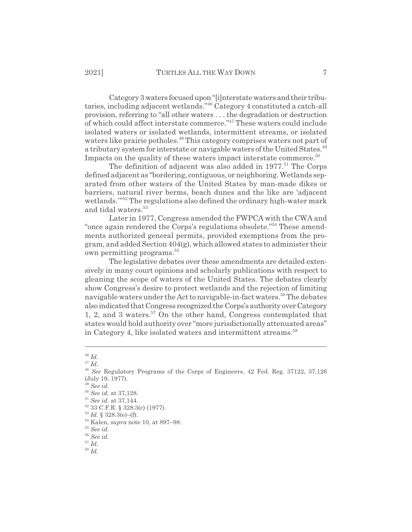Category 3 waters focused upon "[i]nterstate waters and their tributaries, including adjacent wetlands."46 Category 4 constituted a catch-all provision, referring to "all other waters . . . the degradation or destruction of which could affect interstate commerce."47 These waters could include isolated waters or isolated wetlands, intermittent streams, or isolated waters like prairie potholes.<sup>48</sup> This category comprises waters not part of a tributary system for interstate or navigable waters of the United States.<sup>49</sup> Impacts on the quality of these waters impact interstate commerce.<sup>50</sup>

The definition of adjacent was also added in  $1977$ .<sup>51</sup> The Corps defined adjacent as "bordering, contiguous, or neighboring. Wetlands separated from other waters of the United States by man-made dikes or barriers, natural river berms, beach dunes and the like are 'adjacent wetlands."<sup>52</sup> The regulations also defined the ordinary high-water mark and tidal waters.<sup>53</sup>

Later in 1977, Congress amended the FWPCA with the CWA and "once again rendered the Corps's regulations obsolete."54 These amendments authorized general permits, provided exemptions from the program, and added Section 404(g), which allowed states to administer their own permitting programs.<sup>55</sup>

The legislative debates over these amendments are detailed extensively in many court opinions and scholarly publications with respect to gleaning the scope of waters of the United States. The debates clearly show Congress's desire to protect wetlands and the rejection of limiting navigable waters under the Act to navigable-in-fact waters.<sup>56</sup> The debates also indicated that Congress recognized the Corps's authority over Category 1, 2, and 3 waters.57 On the other hand, Congress contemplated that states would hold authority over "more jurisdictionally attenuated areas" in Category 4, like isolated waters and intermittent streams.<sup>58</sup>

<sup>58</sup> *Id.*

<sup>46</sup> *Id.*

<sup>47</sup> *Id.*

<sup>48</sup> *See* Regulatory Programs of the Corps of Engineers, 42 Fed. Reg. 37122, 37,126 (July 19, 1977).

<sup>49</sup> *See id.*

<sup>50</sup> *See id.* at 37,128.

<sup>51</sup> *See id.* at 37,144.

<sup>52 33</sup> C.F.R. § 328.3(c) (1977).

<sup>53</sup> *Id.* § 328.3(e)–(f).

<sup>54</sup> Kalen, *supra* note 10, at 897–98.

<sup>55</sup> *See id.*

<sup>56</sup> *See id.*

 $\overline{57}$   $\overline{Id}$ .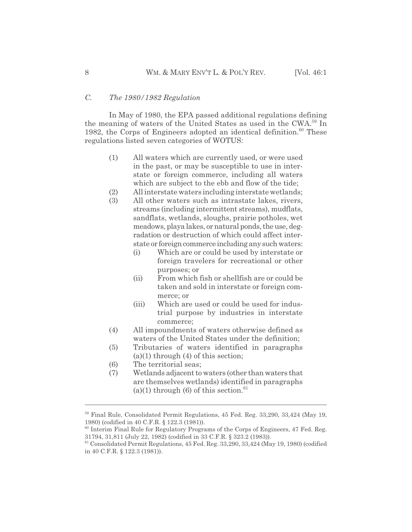## *C. The 1980/1982 Regulation*

In May of 1980, the EPA passed additional regulations defining the meaning of waters of the United States as used in the CWA.59 In 1982, the Corps of Engineers adopted an identical definition. $60$  These regulations listed seven categories of WOTUS:

- (1) All waters which are currently used, or were used in the past, or may be susceptible to use in interstate or foreign commerce, including all waters which are subject to the ebb and flow of the tide;
- (2) All interstate waters including interstate wetlands;
- (3) All other waters such as intrastate lakes, rivers, streams (including intermittent streams), mudflats, sandflats, wetlands, sloughs, prairie potholes, wet meadows, playa lakes, or natural ponds, the use, degradation or destruction of which could affect interstate or foreign commerce including any such waters:
	- (i) Which are or could be used by interstate or foreign travelers for recreational or other purposes; or
	- (ii) From which fish or shellfish are or could be taken and sold in interstate or foreign commerce; or
	- (iii) Which are used or could be used for industrial purpose by industries in interstate commerce;
- (4) All impoundments of waters otherwise defined as waters of the United States under the definition;
- (5) Tributaries of waters identified in paragraphs  $(a)(1)$  through  $(4)$  of this section;
- (6) The territorial seas;
- (7) Wetlands adjacent to waters (other than waters that are themselves wetlands) identified in paragraphs (a)(1) through (6) of this section. $61$

<sup>59</sup> Final Rule, Consolidated Permit Regulations, 45 Fed. Reg. 33,290, 33,424 (May 19, 1980) (codified in 40 C.F.R. § 122.3 (1981)).

<sup>60</sup> Interim Final Rule for Regulatory Programs of the Corps of Engineers, 47 Fed. Reg. 31794, 31,811 (July 22, 1982) (codified in 33 C.F.R. § 323.2 (1983)).

 $61$  Consolidated Permit Regulations, 45 Fed. Reg. 33,290, 33,424 (May 19, 1980) (codified in 40 C.F.R. § 122.3 (1981)).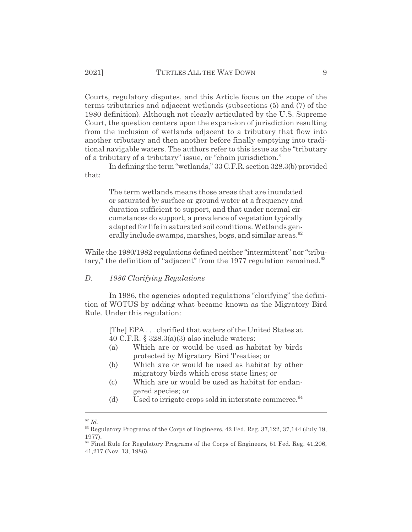Courts, regulatory disputes, and this Article focus on the scope of the terms tributaries and adjacent wetlands (subsections (5) and (7) of the 1980 definition). Although not clearly articulated by the U.S. Supreme Court, the question centers upon the expansion of jurisdiction resulting from the inclusion of wetlands adjacent to a tributary that flow into another tributary and then another before finally emptying into traditional navigable waters. The authors refer to this issue as the "tributary of a tributary of a tributary" issue, or "chain jurisdiction."

In defining the term "wetlands," 33 C.F.R. section 328.3(b) provided that:

> The term wetlands means those areas that are inundated or saturated by surface or ground water at a frequency and duration sufficient to support, and that under normal circumstances do support, a prevalence of vegetation typically adapted for life in saturated soil conditions. Wetlands generally include swamps, marshes, bogs, and similar areas. $62$

While the 1980/1982 regulations defined neither "intermittent" nor "tributary," the definition of "adjacent" from the 1977 regulation remained.<sup>63</sup>

#### *D. 1986 Clarifying Regulations*

In 1986, the agencies adopted regulations "clarifying" the definition of WOTUS by adding what became known as the Migratory Bird Rule. Under this regulation:

> [The] EPA . . . clarified that waters of the United States at 40 C.F.R. § 328.3(a)(3) also include waters:

- (a) Which are or would be used as habitat by birds protected by Migratory Bird Treaties; or
- (b) Which are or would be used as habitat by other migratory birds which cross state lines; or
- (c) Which are or would be used as habitat for endangered species; or
- (d) Used to irrigate crops sold in interstate commerce. $64$

<sup>62</sup> *Id.*

<sup>63</sup> Regulatory Programs of the Corps of Engineers, 42 Fed. Reg. 37,122, 37,144 (July 19, 1977).

 $64$  Final Rule for Regulatory Programs of the Corps of Engineers, 51 Fed. Reg. 41,206, 41,217 (Nov. 13, 1986).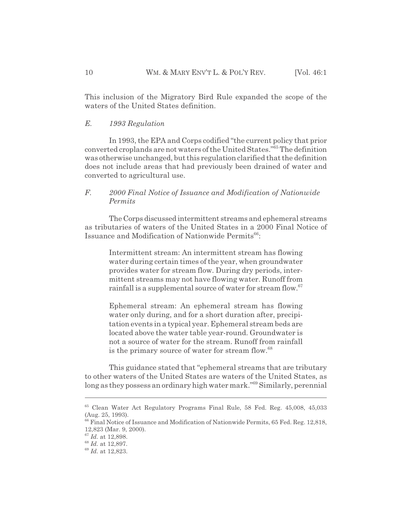This inclusion of the Migratory Bird Rule expanded the scope of the waters of the United States definition.

## *E. 1993 Regulation*

In 1993, the EPA and Corps codified "the current policy that prior converted croplands are not waters of the United States."65 The definition was otherwise unchanged, but this regulation clarified that the definition does not include areas that had previously been drained of water and converted to agricultural use.

## *F. 2000 Final Notice of Issuance and Modification of Nationwide Permits*

The Corps discussed intermittent streams and ephemeral streams as tributaries of waters of the United States in a 2000 Final Notice of Issuance and Modification of Nationwide Permits<sup>66</sup>:

Intermittent stream: An intermittent stream has flowing water during certain times of the year, when groundwater provides water for stream flow. During dry periods, intermittent streams may not have flowing water. Runoff from rainfall is a supplemental source of water for stream flow.<sup>67</sup>

Ephemeral stream: An ephemeral stream has flowing water only during, and for a short duration after, precipitation events in a typical year. Ephemeral stream beds are located above the water table year-round. Groundwater is not a source of water for the stream. Runoff from rainfall is the primary source of water for stream flow.<sup>68</sup>

This guidance stated that "ephemeral streams that are tributary to other waters of the United States are waters of the United States, as long as they possess an ordinary high water mark."69 Similarly, perennial

<sup>65</sup> Clean Water Act Regulatory Programs Final Rule, 58 Fed. Reg. 45,008, 45,033 (Aug. 25, 1993).

<sup>&</sup>lt;sup>66</sup> Final Notice of Issuance and Modification of Nationwide Permits, 65 Fed. Reg. 12,818, 12,823 (Mar. 9, 2000).

<sup>67</sup> *Id.* at 12,898.

<sup>68</sup> *Id.* at 12,897.

<sup>69</sup> *Id.* at 12,823.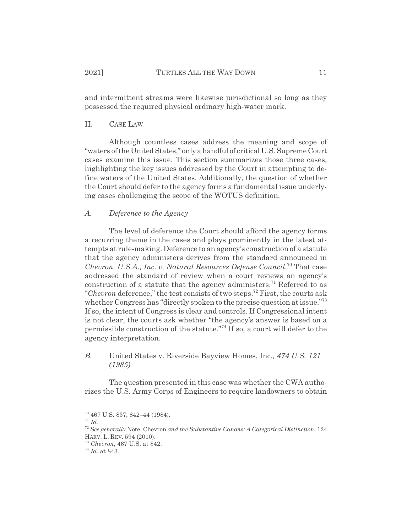and intermittent streams were likewise jurisdictional so long as they possessed the required physical ordinary high-water mark.

#### II. CASE LAW

Although countless cases address the meaning and scope of "waters of the United States," only a handful of critical U.S. Supreme Court cases examine this issue. This section summarizes those three cases, highlighting the key issues addressed by the Court in attempting to define waters of the United States. Additionally, the question of whether the Court should defer to the agency forms a fundamental issue underlying cases challenging the scope of the WOTUS definition.

## *A. Deference to the Agency*

The level of deference the Court should afford the agency forms a recurring theme in the cases and plays prominently in the latest attempts at rule-making. Deference to an agency's construction of a statute that the agency administers derives from the standard announced in *Chevron, U.S.A., Inc. v. Natural Resources Defense Council*. 70 That case addressed the standard of review when a court reviews an agency's construction of a statute that the agency administers.<sup>71</sup> Referred to as "*Chevron* deference," the test consists of two steps.72 First, the courts ask whether Congress has "directly spoken to the precise question at issue."<sup>73</sup> If so, the intent of Congress is clear and controls. If Congressional intent is not clear, the courts ask whether "the agency's answer is based on a permissible construction of the statute."74 If so, a court will defer to the agency interpretation.

## *B.* United States v. Riverside Bayview Homes, Inc.*, 474 U.S. 121 (1985)*

The question presented in this case was whether the CWA authorizes the U.S. Army Corps of Engineers to require landowners to obtain

 $70$  467 U.S. 837, 842–44 (1984).

<sup>71</sup> *Id.*

<sup>72</sup> *See generally* Note, Chevron *and the Substantive Canons: A Categorical Distinction*, 124 HARV. L. REV. 594 (2010).

<sup>73</sup> *Chevron*, 467 U.S. at 842.

<sup>74</sup> *Id.* at 843.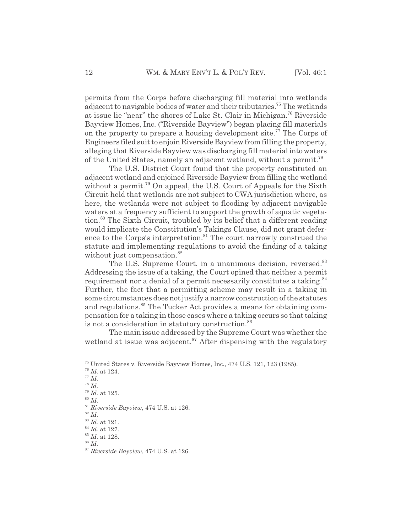permits from the Corps before discharging fill material into wetlands adjacent to navigable bodies of water and their tributaries.<sup>75</sup> The wetlands at issue lie "near" the shores of Lake St. Clair in Michigan.76 Riverside Bayview Homes, Inc. ("Riverside Bayview") began placing fill materials on the property to prepare a housing development site.<sup>77</sup> The Corps of Engineers filed suit to enjoin Riverside Bayview from filling the property, alleging that Riverside Bayview was discharging fill material into waters of the United States, namely an adjacent wetland, without a permit.<sup>78</sup>

The U.S. District Court found that the property constituted an adjacent wetland and enjoined Riverside Bayview from filling the wetland without a permit.<sup>79</sup> On appeal, the U.S. Court of Appeals for the Sixth Circuit held that wetlands are not subject to CWA jurisdiction where, as here, the wetlands were not subject to flooding by adjacent navigable waters at a frequency sufficient to support the growth of aquatic vegetation.80 The Sixth Circuit, troubled by its belief that a different reading would implicate the Constitution's Takings Clause, did not grant deference to the Corps's interpretation.<sup>81</sup> The court narrowly construed the statute and implementing regulations to avoid the finding of a taking without just compensation.<sup>82</sup>

The U.S. Supreme Court, in a unanimous decision, reversed.<sup>83</sup> Addressing the issue of a taking, the Court opined that neither a permit requirement nor a denial of a permit necessarily constitutes a taking.<sup>84</sup> Further, the fact that a permitting scheme may result in a taking in some circumstances does not justify a narrow construction of the statutes and regulations.<sup>85</sup> The Tucker Act provides a means for obtaining compensation for a taking in those cases where a taking occurs so that taking is not a consideration in statutory construction.<sup>86</sup>

The main issue addressed by the Supreme Court was whether the wetland at issue was adjacent.<sup>87</sup> After dispensing with the regulatory

<sup>75</sup> United States v. Riverside Bayview Homes, Inc., 474 U.S. 121, 123 (1985).

<sup>76</sup> *Id.* at 124.

<sup>77</sup> *Id.*

<sup>78</sup> *Id.*

<sup>79</sup> *Id.* at 125. <sup>80</sup> *Id.*

<sup>81</sup> *Riverside Bayview*, 474 U.S. at 126.

<sup>82</sup> *Id.*

<sup>83</sup> *Id.* at 121.

<sup>84</sup> *Id.* at 127. <sup>85</sup> *Id.* at 128.

<sup>86</sup> *Id.*

<sup>87</sup> *Riverside Bayview*, 474 U.S. at 126.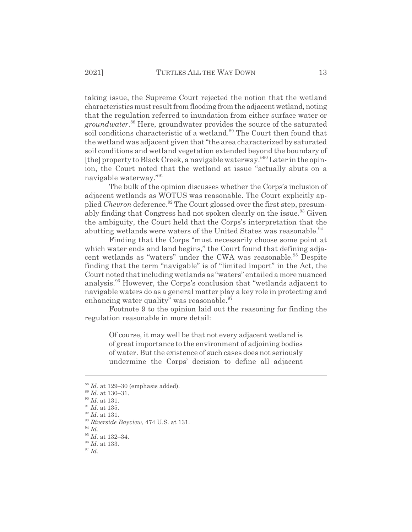taking issue, the Supreme Court rejected the notion that the wetland characteristics must result from flooding from the adjacent wetland, noting that the regulation referred to inundation from either surface water or *groundwater*. 88 Here, groundwater provides the source of the saturated soil conditions characteristic of a wetland.<sup>89</sup> The Court then found that the wetland was adjacent given that "the area characterized by saturated soil conditions and wetland vegetation extended beyond the boundary of [the] property to Black Creek, a navigable waterway."90 Later in the opinion, the Court noted that the wetland at issue "actually abuts on a navigable waterway."91

The bulk of the opinion discusses whether the Corps's inclusion of adjacent wetlands as WOTUS was reasonable. The Court explicitly applied *Chevron* deference.<sup>92</sup> The Court glossed over the first step, presumably finding that Congress had not spoken clearly on the issue.<sup>93</sup> Given the ambiguity, the Court held that the Corps's interpretation that the abutting wetlands were waters of the United States was reasonable.<sup>94</sup>

Finding that the Corps "must necessarily choose some point at which water ends and land begins," the Court found that defining adjacent wetlands as "waters" under the CWA was reasonable.<sup>95</sup> Despite finding that the term "navigable" is of "limited import" in the Act, the Court noted that including wetlands as "waters" entailed a more nuanced analysis.96 However, the Corps's conclusion that "wetlands adjacent to navigable waters do as a general matter play a key role in protecting and enhancing water quality" was reasonable. $97$ 

Footnote 9 to the opinion laid out the reasoning for finding the regulation reasonable in more detail:

Of course, it may well be that not every adjacent wetland is of great importance to the environment of adjoining bodies of water. But the existence of such cases does not seriously undermine the Corps' decision to define all adjacent

<sup>94</sup> *Id.*

<sup>88</sup> *Id.* at 129–30 (emphasis added).

<sup>89</sup> *Id.* at 130–31.

<sup>90</sup> *Id.* at 131.

<sup>91</sup> *Id.* at 135.

<sup>92</sup> *Id.* at 131.

<sup>93</sup> *Riverside Bayview*, 474 U.S. at 131.

<sup>95</sup> *Id.* at 132–34.

<sup>96</sup> *Id.* at 133.

<sup>97</sup> *Id.*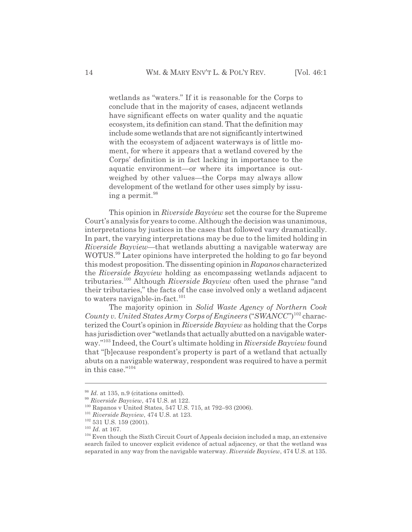wetlands as "waters." If it is reasonable for the Corps to conclude that in the majority of cases, adjacent wetlands have significant effects on water quality and the aquatic ecosystem, its definition can stand. That the definition may include some wetlands that are not significantly intertwined with the ecosystem of adjacent waterways is of little moment, for where it appears that a wetland covered by the Corps' definition is in fact lacking in importance to the aquatic environment—or where its importance is outweighed by other values—the Corps may always allow development of the wetland for other uses simply by issuing a permit.<sup>98</sup>

This opinion in *Riverside Bayview* set the course for the Supreme Court's analysis for years to come. Although the decision was unanimous, interpretations by justices in the cases that followed vary dramatically. In part, the varying interpretations may be due to the limited holding in *Riverside Bayview*—that wetlands abutting a navigable waterway are WOTUS.<sup>99</sup> Later opinions have interpreted the holding to go far beyond this modest proposition. The dissenting opinion in *Rapanos* characterized the *Riverside Bayview* holding as encompassing wetlands adjacent to tributaries.100 Although *Riverside Bayview* often used the phrase "and their tributaries," the facts of the case involved only a wetland adjacent to waters navigable-in-fact.<sup>101</sup>

The majority opinion in *Solid Waste Agency of Northern Cook County v. United States Army Corps of Engineers* ("*SWANCC*")102 characterized the Court's opinion in *Riverside Bayview* as holding that the Corps has jurisdiction over "wetlands that actually abutted on a navigable waterway."103 Indeed, the Court's ultimate holding in *Riverside Bayview* found that "[b]ecause respondent's property is part of a wetland that actually abuts on a navigable waterway, respondent was required to have a permit in this case."104

<sup>&</sup>lt;sup>98</sup> *Id.* at 135, n.9 (citations omitted).

<sup>99</sup> *Riverside Bayview*, 474 U.S. at 122.

<sup>100</sup> Rapanos v United States, 547 U.S. 715, at 792–93 (2006).

<sup>101</sup> *Riverside Bayview*, 474 U.S. at 123.

<sup>&</sup>lt;sup>102</sup> 531 U.S. 159 (2001).

<sup>103</sup> *Id.* at 167.

 $104$  Even though the Sixth Circuit Court of Appeals decision included a map, an extensive search failed to uncover explicit evidence of actual adjacency, or that the wetland was separated in any way from the navigable waterway. *Riverside Bayview*, 474 U.S. at 135.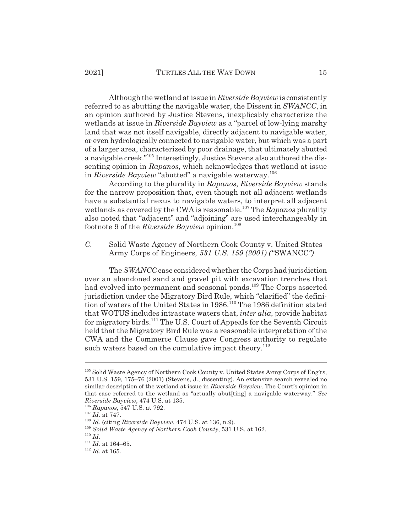Although the wetland at issue in *Riverside Bayview* is consistently referred to as abutting the navigable water, the Dissent in *SWANCC*, in an opinion authored by Justice Stevens, inexplicably characterize the wetlands at issue in *Riverside Bayview* as a "parcel of low-lying marshy land that was not itself navigable, directly adjacent to navigable water, or even hydrologically connected to navigable water, but which was a part of a larger area, characterized by poor drainage, that ultimately abutted a navigable creek."105 Interestingly, Justice Stevens also authored the dissenting opinion in *Rapanos*, which acknowledges that wetland at issue in *Riverside Bayview* "abutted" a navigable waterway.<sup>106</sup>

According to the plurality in *Rapanos*, *Riverside Bayview* stands for the narrow proposition that, even though not all adjacent wetlands have a substantial nexus to navigable waters, to interpret all adjacent wetlands as covered by the CWA is reasonable.107 The *Rapanos* plurality also noted that "adjacent" and "adjoining" are used interchangeably in footnote 9 of the *Riverside Bayview* opinion.<sup>108</sup>

*C.* Solid Waste Agency of Northern Cook County v. United States Army Corps of Engineers*, 531 U.S. 159 (2001) ("*SWANCC*")*

The*SWANCC* case considered whether the Corps had jurisdiction over an abandoned sand and gravel pit with excavation trenches that had evolved into permanent and seasonal ponds.109 The Corps asserted jurisdiction under the Migratory Bird Rule, which "clarified" the definition of waters of the United States in 1986.<sup>110</sup> The 1986 definition stated that WOTUS includes intrastate waters that, *inter alia*, provide habitat for migratory birds.111 The U.S. Court of Appeals for the Seventh Circuit held that the Migratory Bird Rule was a reasonable interpretation of the CWA and the Commerce Clause gave Congress authority to regulate such waters based on the cumulative impact theory.<sup>112</sup>

<sup>&</sup>lt;sup>105</sup> Solid Waste Agency of Northern Cook County v. United States Army Corps of Eng'rs, 531 U.S. 159, 175–76 (2001) (Stevens, J., dissenting). An extensive search revealed no similar description of the wetland at issue in *Riverside Bayview*. The Court's opinion in that case referred to the wetland as "actually abut[ting] a navigable waterway." *See Riverside Bayview*, 474 U.S. at 135.

<sup>106</sup> *Rapanos*, 547 U.S. at 792.

<sup>107</sup> *Id.* at 747.

<sup>108</sup> *Id.* (citing *Riverside Bayview*, 474 U.S. at 136, n.9).

<sup>109</sup> *Solid Waste Agency of Northern Cook County*, 531 U.S. at 162.

<sup>110</sup> *Id.*

<sup>111</sup> *Id.* at 164–65.

<sup>112</sup> *Id.* at 165.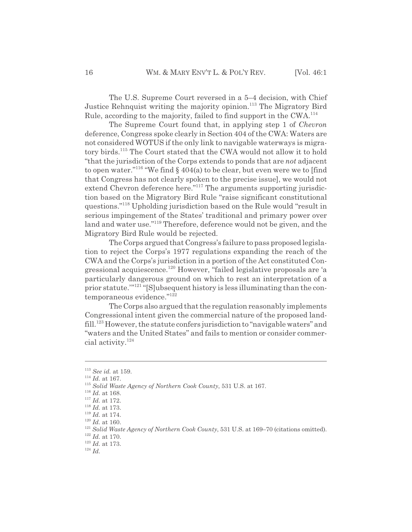The U.S. Supreme Court reversed in a 5–4 decision, with Chief Justice Rehnquist writing the majority opinion.<sup>113</sup> The Migratory Bird Rule, according to the majority, failed to find support in the CWA.<sup>114</sup>

The Supreme Court found that, in applying step 1 of *Chevron* deference, Congress spoke clearly in Section 404 of the CWA: Waters are not considered WOTUS if the only link to navigable waterways is migratory birds.<sup>115</sup> The Court stated that the CWA would not allow it to hold "that the jurisdiction of the Corps extends to ponds that are *not* adjacent to open water."<sup>116</sup> "We find  $\S$  404(a) to be clear, but even were we to [find that Congress has not clearly spoken to the precise issue], we would not extend Chevron deference here."<sup>117</sup> The arguments supporting jurisdiction based on the Migratory Bird Rule "raise significant constitutional questions."118 Upholding jurisdiction based on the Rule would "result in serious impingement of the States' traditional and primary power over land and water use."<sup>119</sup> Therefore, deference would not be given, and the Migratory Bird Rule would be rejected.

The Corps argued that Congress's failure to pass proposed legislation to reject the Corps's 1977 regulations expanding the reach of the CWA and the Corps's jurisdiction in a portion of the Act constituted Congressional acquiescence.120 However, "failed legislative proposals are 'a particularly dangerous ground on which to rest an interpretation of a prior statute.""<sup>121"</sup>[S]ubsequent history is less illuminating than the contemporaneous evidence."122

The Corps also argued that the regulation reasonably implements Congressional intent given the commercial nature of the proposed landfill.<sup>123</sup> However, the statute confers jurisdiction to "navigable waters" and "waters and the United States" and fails to mention or consider commercial activity.124

<sup>113</sup> *See id.* at 159.

<sup>114</sup> *Id.* at 167.

<sup>115</sup> *Solid Waste Agency of Northern Cook County*, 531 U.S. at 167.

 $^{116}$   $\emph{Id.}$  at 168.

<sup>117</sup> *Id.* at 172.

<sup>118</sup> *Id.* at 173.

 $^{119}$   $\emph{Id.}$  at 174.

 $^{120}$   $\emph{Id.}$  at 160.

<sup>&</sup>lt;sup>121</sup> *Solid Waste Agency of Northern Cook County*, 531 U.S. at 169–70 (citations omitted).

<sup>122</sup> *Id.* at 170.

<sup>123</sup> *Id.* at 173.

<sup>124</sup> *Id.*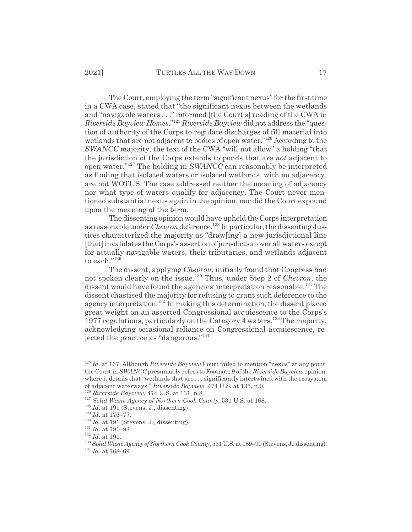The Court, employing the term "significant nexus" for the first time in a CWA case, stated that "the significant nexus between the wetlands and "navigable waters . . ." informed [the Court's] reading of the CWA in *Riverside Bayview Homes*."125 *Riverside Bayview* did not address the "question of authority of the Corps to regulate discharges of fill material into wetlands that are not adjacent to bodies of open water."<sup>126</sup> According to the *SWANCC* majority, the text of the CWA "will not allow" a holding "that the jurisdiction of the Corps extends to ponds that are *not* adjacent to open water."127 The holding in *SWANCC* can reasonably be interpreted as finding that isolated waters or isolated wetlands, with no adjacency, are not WOTUS. The case addressed neither the meaning of adjacency nor what type of waters qualify for adjacency. The Court never mentioned substantial nexus again in the opinion, nor did the Court expound upon the meaning of the term.

The dissenting opinion would have upheld the Corps interpretation as reasonable under *Chevron*deference.128 In particular, the dissenting Justices characterized the majority as "draw[ing] a new jurisdictional line [that] invalidates the Corps's assertion of jurisdiction over all waters except for actually navigable waters, their tributaries, and wetlands adjacent to each. $n^{129}$ 

The dissent, applying *Chevron*, initially found that Congress had not spoken clearly on the issue.130 Thus, under Step 2 of *Chevron*, the dissent would have found the agencies' interpretation reasonable.<sup>131</sup> The dissent chastised the majority for refusing to grant such deference to the agency interpretation.132 In making this determination, the dissent placed great weight on an asserted Congressional acquiescence to the Corps's 1977 regulations, particularly on the Category 4 waters.133 The majority, acknowledging occasional reliance on Congressional acquiescence, rejected the practice as "dangerous."134

<sup>125</sup> *Id.* at 167. Although *Riverside Bayview* Court failed to mention "nexus" at any point, the Court in *SWANCC* presumably refers to Footnote 9 of the *Riverside Bayview* opinion, where it details that "wetlands that are . . . significantly intertwined with the ecosystem of adjacent waterways." *Riverside Bayview*, 474 U.S. at 135, n.9.

<sup>126</sup> *Riverside Bayview*, 474 U.S. at 131, n.8.

<sup>127</sup> *Solid Waste Agency of Northern Cook County*, 531 U.S. at 168.

<sup>&</sup>lt;sup>128</sup> *Id.* at 191 (Stevens, J., dissenting).

<sup>129</sup> *Id.* at 176–77.

<sup>&</sup>lt;sup>130</sup> *Id.* at 191 (Stevens, J., dissenting).

 $^{131}$   $\emph{Id.}$  at 191–93.

<sup>132</sup> *Id.* at 191.

<sup>133</sup> *Solid Waste Agency of Northern Cook County*, 531 U.S. at 189–90 (Stevens, J., dissenting).

<sup>134</sup> *Id.* at 168–69.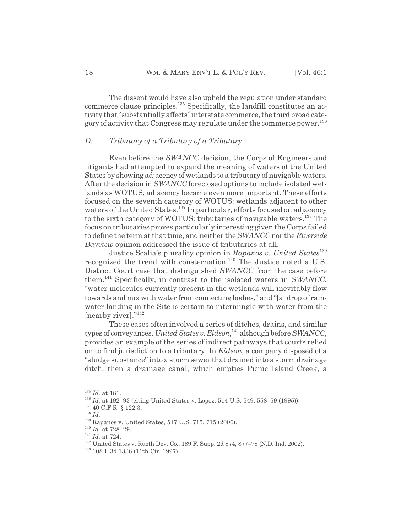The dissent would have also upheld the regulation under standard commerce clause principles.135 Specifically, the landfill constitutes an activity that "substantially affects" interstate commerce, the third broad category of activity that Congress may regulate under the commerce power.<sup>136</sup>

## *D. Tributary of a Tributary of a Tributary*

Even before the *SWANCC* decision, the Corps of Engineers and litigants had attempted to expand the meaning of waters of the United States by showing adjacency of wetlands to a tributary of navigable waters. After the decision in *SWANCC* foreclosed options to include isolated wetlands as WOTUS, adjacency became even more important. These efforts focused on the seventh category of WOTUS: wetlands adjacent to other waters of the United States.<sup>137</sup> In particular, efforts focused on adjacency to the sixth category of WOTUS: tributaries of navigable waters.<sup>138</sup> The focus on tributaries proves particularly interesting given the Corps failed to define the term at that time, and neither the *SWANCC* nor the *Riverside Bayview* opinion addressed the issue of tributaries at all.

Justice Scalia's plurality opinion in *Rapanos v. United States*<sup>139</sup> recognized the trend with consternation.<sup>140</sup> The Justice noted a U.S. District Court case that distinguished *SWANCC* from the case before them.141 Specifically, in contrast to the isolated waters in *SWANCC*, "water molecules currently present in the wetlands will inevitably flow towards and mix with water from connecting bodies," and "[a] drop of rainwater landing in the Site is certain to intermingle with water from the [nearby river]."<sup>142</sup>

These cases often involved a series of ditches, drains, and similar types of conveyances. *United States v. Eidson*, 143 although before *SWANCC*, provides an example of the series of indirect pathways that courts relied on to find jurisdiction to a tributary. In *Eidson*, a company disposed of a "sludge substance" into a storm sewer that drained into a storm drainage ditch, then a drainage canal, which empties Picnic Island Creek, a

<sup>135</sup> *Id.* at 181.

<sup>136</sup> *Id.* at 192–93 (citing United States v. Lopez, 514 U.S. 549, 558–59 (1995)).

<sup>&</sup>lt;sup>137</sup> 40 C.F.R. § 122.3.

<sup>138</sup> *Id.*

<sup>139</sup> Rapanos v. United States, 547 U.S. 715, 715 (2006).

<sup>140</sup> *Id.* at 728–29.

<sup>141</sup> *Id.* at 724.

<sup>142</sup> United States v. Rueth Dev. Co., 189 F. Supp. 2d 874, 877–78 (N.D. Ind. 2002).

<sup>143 108</sup> F.3d 1336 (11th Cir. 1997).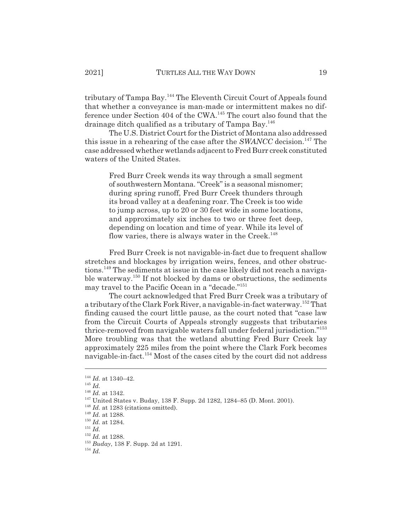tributary of Tampa Bay.144 The Eleventh Circuit Court of Appeals found that whether a conveyance is man-made or intermittent makes no difference under Section 404 of the CWA.145 The court also found that the drainage ditch qualified as a tributary of Tampa Bay.<sup>146</sup>

The U.S. District Court for the District of Montana also addressed this issue in a rehearing of the case after the *SWANCC* decision.<sup>147</sup> The case addressed whether wetlands adjacent to Fred Burr creek constituted waters of the United States.

Fred Burr Creek wends its way through a small segment of southwestern Montana. "Creek" is a seasonal misnomer; during spring runoff, Fred Burr Creek thunders through its broad valley at a deafening roar. The Creek is too wide to jump across, up to 20 or 30 feet wide in some locations, and approximately six inches to two or three feet deep, depending on location and time of year. While its level of flow varies, there is always water in the Creek. $^{148}$ 

Fred Burr Creek is not navigable-in-fact due to frequent shallow stretches and blockages by irrigation weirs, fences, and other obstructions.149 The sediments at issue in the case likely did not reach a navigable waterway.<sup>150</sup> If not blocked by dams or obstructions, the sediments may travel to the Pacific Ocean in a "decade."151

The court acknowledged that Fred Burr Creek was a tributary of a tributary of the Clark Fork River, a navigable-in-fact waterway.<sup>152</sup> That finding caused the court little pause, as the court noted that "case law from the Circuit Courts of Appeals strongly suggests that tributaries thrice-removed from navigable waters fall under federal jurisdiction."153 More troubling was that the wetland abutting Fred Burr Creek lay approximately 225 miles from the point where the Clark Fork becomes navigable-in-fact.<sup>154</sup> Most of the cases cited by the court did not address

<sup>144</sup> *Id.* at 1340–42.

<sup>145</sup> *Id.*

<sup>146</sup> *Id.* at 1342.

<sup>147</sup> United States v. Buday, 138 F. Supp. 2d 1282, 1284–85 (D. Mont. 2001).

<sup>&</sup>lt;sup>148</sup> *Id.* at 1283 (citations omitted).

<sup>149</sup> *Id.* at 1288.

<sup>150</sup> *Id.* at 1284.

<sup>151</sup> *Id.*

<sup>152</sup> *Id.* at 1288.

<sup>153</sup> *Buday*, 138 F. Supp. 2d at 1291.

<sup>154</sup> *Id.*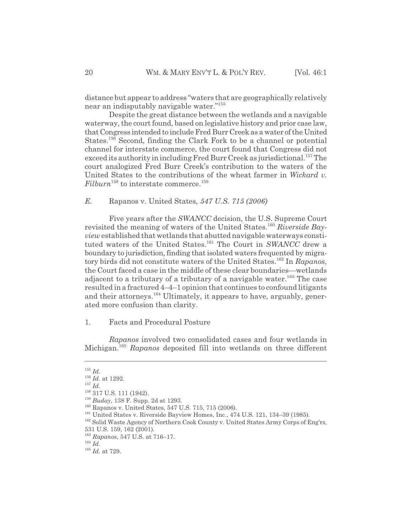distance but appear to address "waters that are geographically relatively near an indisputably navigable water."155

Despite the great distance between the wetlands and a navigable waterway, the court found, based on legislative history and prior case law, that Congress intended to include Fred Burr Creek as a water of the United States.156 Second, finding the Clark Fork to be a channel or potential channel for interstate commerce, the court found that Congress did not exceed its authority in including Fred Burr Creek as jurisdictional.<sup>157</sup> The court analogized Fred Burr Creek's contribution to the waters of the United States to the contributions of the wheat farmer in *Wickard v.*  $Filburn$ <sup>158</sup> to interstate commerce.<sup>159</sup>

*E.* Rapanos v. United States*, 547 U.S. 715 (2006)*

Five years after the *SWANCC* decision, the U.S. Supreme Court revisited the meaning of waters of the United States.<sup>160</sup> Riverside Bay*view* established that wetlands that abutted navigable waterways constituted waters of the United States.<sup>161</sup> The Court in *SWANCC* drew a boundary to jurisdiction, finding that isolated waters frequented by migratory birds did not constitute waters of the United States.162 In *Rapanos*, the Court faced a case in the middle of these clear boundaries—wetlands adjacent to a tributary of a tributary of a navigable water.<sup>163</sup> The case resulted in a fractured 4–4–1 opinion that continues to confound litigants and their attorneys.<sup>164</sup> Ultimately, it appears to have, arguably, generated more confusion than clarity.

1. Facts and Procedural Posture

*Rapanos* involved two consolidated cases and four wetlands in Michigan.165 *Rapanos* deposited fill into wetlands on three different

<sup>157</sup> *Id.*

<sup>155</sup> *Id.*

<sup>156</sup> *Id.* at 1292.

<sup>&</sup>lt;sup>158</sup> 317 U.S. 111 (1942).

<sup>159</sup> *Buday*, 138 F. Supp. 2d at 1293.

<sup>&</sup>lt;sup>160</sup> Rapanos v. United States, 547 U.S. 715, 715 (2006).

<sup>&</sup>lt;sup>161</sup> United States v. Riverside Bayview Homes, Inc., 474 U.S. 121, 134–39 (1985).

<sup>&</sup>lt;sup>162</sup> Solid Waste Agency of Northern Cook County v. United States Army Corps of Eng'rs,

<sup>531</sup> U.S. 159, 162 (2001).

<sup>163</sup> *Rapanos*, 547 U.S. at 716–17.

<sup>164</sup> *Id.*

<sup>165</sup> *Id.* at 729.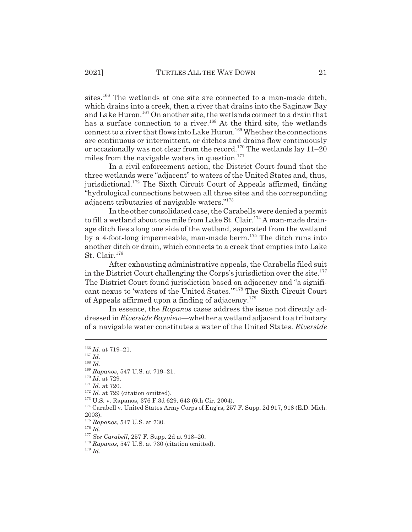sites.<sup>166</sup> The wetlands at one site are connected to a man-made ditch, which drains into a creek, then a river that drains into the Saginaw Bay and Lake Huron.<sup>167</sup> On another site, the wetlands connect to a drain that has a surface connection to a river.<sup>168</sup> At the third site, the wetlands connect to a river that flows into Lake Huron.<sup>169</sup> Whether the connections are continuous or intermittent, or ditches and drains flow continuously or occasionally was not clear from the record.<sup>170</sup> The wetlands lay  $11-20$ miles from the navigable waters in question. $171$ 

In a civil enforcement action, the District Court found that the three wetlands were "adjacent" to waters of the United States and, thus, jurisdictional.<sup>172</sup> The Sixth Circuit Court of Appeals affirmed, finding "hydrological connections between all three sites and the corresponding adjacent tributaries of navigable waters."173

In the other consolidated case, the Carabells were denied a permit to fill a wetland about one mile from Lake St. Clair.<sup>174</sup> A man-made drainage ditch lies along one side of the wetland, separated from the wetland by a 4-foot-long impermeable, man-made berm.175 The ditch runs into another ditch or drain, which connects to a creek that empties into Lake St. Clair.<sup>176</sup>

After exhausting administrative appeals, the Carabells filed suit in the District Court challenging the Corps's jurisdiction over the site. $177$ The District Court found jurisdiction based on adjacency and "a significant nexus to 'waters of the United States.'"178 The Sixth Circuit Court of Appeals affirmed upon a finding of adjacency.<sup>179</sup>

In essence, the *Rapanos* cases address the issue not directly addressed in *Riverside Bayview*—whether a wetland adjacent to a tributary of a navigable water constitutes a water of the United States. *Riverside*

<sup>168</sup> *Id.*

<sup>174</sup> Carabell v. United States Army Corps of Eng'rs, 257 F. Supp. 2d 917, 918 (E.D. Mich. 2003).

<sup>176</sup> *Id.*

<sup>166</sup> *Id.* at 719–21.

<sup>167</sup> *Id.*

<sup>169</sup> *Rapanos*, 547 U.S. at 719–21.

<sup>170</sup> *Id.* at 729.

<sup>171</sup> *Id.* at 720.

<sup>&</sup>lt;sup>172</sup> *Id.* at 729 (citation omitted).

<sup>173</sup> U.S. v. Rapanos, 376 F.3d 629, 643 (6th Cir. 2004).

<sup>175</sup> *Rapanos*, 547 U.S. at 730.

<sup>177</sup> *See Carabell*, 257 F. Supp. 2d at 918–20.

<sup>178</sup> *Rapanos*, 547 U.S. at 730 (citation omitted).

<sup>179</sup> *Id.*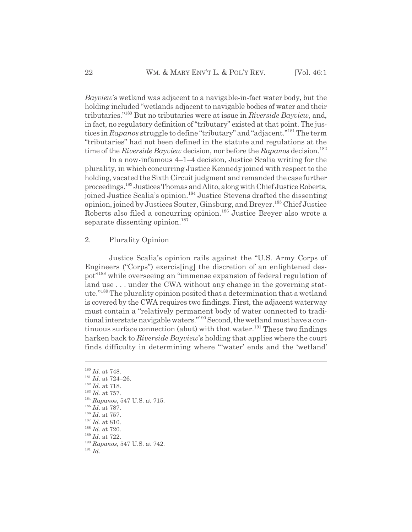*Bayview*'s wetland was adjacent to a navigable-in-fact water body, but the holding included "wetlands adjacent to navigable bodies of water and their tributaries."180 But no tributaries were at issue in *Riverside Bayview,* and, in fact, no regulatory definition of "tributary" existed at that point. The justices in *Rapanos* struggle to define "tributary" and "adjacent."181 The term "tributaries" had not been defined in the statute and regulations at the time of the *Riverside Bayview* decision, nor before the *Rapanos* decision.<sup>182</sup>

In a now-infamous 4–1–4 decision, Justice Scalia writing for the plurality, in which concurring Justice Kennedy joined with respect to the holding, vacated the Sixth Circuit judgment and remanded the case further proceedings.183 Justices Thomas and Alito, along with Chief Justice Roberts, joined Justice Scalia's opinion.<sup>184</sup> Justice Stevens drafted the dissenting opinion, joined by Justices Souter, Ginsburg, and Breyer.185 Chief Justice Roberts also filed a concurring opinion.<sup>186</sup> Justice Breyer also wrote a separate dissenting opinion.<sup>187</sup>

## 2. Plurality Opinion

Justice Scalia's opinion rails against the "U.S. Army Corps of Engineers ("Corps") exercis[ing] the discretion of an enlightened despot"188 while overseeing an "immense expansion of federal regulation of land use . . . under the CWA without any change in the governing statute."189 The plurality opinion posited that a determination that a wetland is covered by the CWA requires two findings. First, the adjacent waterway must contain a "relatively permanent body of water connected to traditional interstate navigable waters."<sup>190</sup> Second, the wetland must have a continuous surface connection (abut) with that water.<sup>191</sup> These two findings harken back to *Riverside Bayview*'s holding that applies where the court finds difficulty in determining where "'water' ends and the 'wetland'

<sup>182</sup> *Id.* at 718.

- <sup>184</sup> *Rapanos*, 547 U.S. at 715.
- <sup>185</sup> *Id.* at 787.
- $^{186}$   $\emph{Id.}$  at 757.
- <sup>187</sup> *Id.* at 810.
- <sup>188</sup> *Id.* at 720.
- <sup>189</sup> *Id.* at 722.
- <sup>190</sup> *Rapanos*, 547 U.S. at 742.

<sup>180</sup> *Id.* at 748.

<sup>181</sup> *Id.* at 724–26.

<sup>183</sup> *Id.* at 757.

<sup>191</sup> *Id.*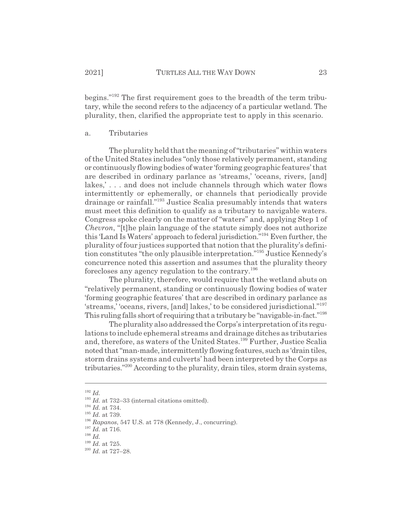begins."192 The first requirement goes to the breadth of the term tributary, while the second refers to the adjacency of a particular wetland. The plurality, then, clarified the appropriate test to apply in this scenario.

#### a. Tributaries

The plurality held that the meaning of "tributaries" within waters of the United States includes "only those relatively permanent, standing or continuously flowing bodies of water 'forming geographic features' that are described in ordinary parlance as 'streams,' 'oceans, rivers, [and] lakes,' . . . and does not include channels through which water flows intermittently or ephemerally, or channels that periodically provide drainage or rainfall."193 Justice Scalia presumably intends that waters must meet this definition to qualify as a tributary to navigable waters. Congress spoke clearly on the matter of "waters" and, applying Step 1 of *Chevron*, "[t]he plain language of the statute simply does not authorize this 'Land Is Waters' approach to federal jurisdiction."194 Even further, the plurality of four justices supported that notion that the plurality's definition constitutes "the only plausible interpretation."195 Justice Kennedy's concurrence noted this assertion and assumes that the plurality theory forecloses any agency regulation to the contrary.<sup>196</sup>

The plurality, therefore, would require that the wetland abuts on "relatively permanent, standing or continuously flowing bodies of water 'forming geographic features' that are described in ordinary parlance as 'streams,' 'oceans, rivers, [and] lakes,' to be considered jurisdictional."197 This ruling falls short of requiring that a tributary be "navigable-in-fact."198

The plurality also addressed the Corps's interpretation of its regulations to include ephemeral streams and drainage ditches as tributaries and, therefore, as waters of the United States.<sup>199</sup> Further, Justice Scalia noted that "man-made, intermittently flowing features, such as 'drain tiles, storm drains systems and culverts' had been interpreted by the Corps as tributaries."200 According to the plurality, drain tiles, storm drain systems,

<sup>192</sup> *Id.*

<sup>&</sup>lt;sup>193</sup> *Id.* at 732–33 (internal citations omitted).

<sup>194</sup> *Id.* at 734.

<sup>195</sup> *Id.* at 739.

<sup>196</sup> *Rapanos*, 547 U.S. at 778 (Kennedy, J., concurring).

<sup>197</sup> *Id.* at 716.

<sup>198</sup> *Id.*

<sup>199</sup> *Id.* at 725.

<sup>200</sup> *Id.* at 727–28.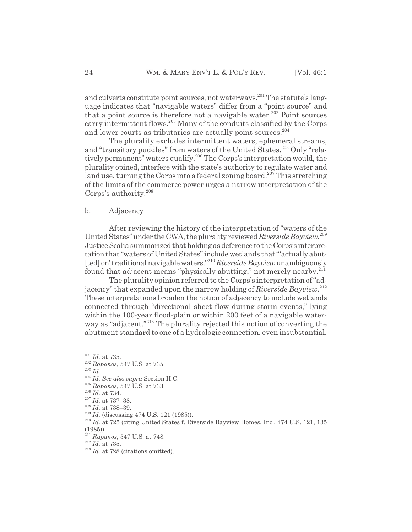and culverts constitute point sources, not waterways.<sup>201</sup> The statute's language indicates that "navigable waters" differ from a "point source" and that a point source is therefore not a navigable water.<sup>202</sup> Point sources carry intermittent flows.203 Many of the conduits classified by the Corps and lower courts as tributaries are actually point sources.<sup>204</sup>

The plurality excludes intermittent waters, ephemeral streams, and "transitory puddles" from waters of the United States.<sup>205</sup> Only "relatively permanent" waters qualify.206 The Corps's interpretation would, the plurality opined, interfere with the state's authority to regulate water and land use, turning the Corps into a federal zoning board.<sup>207</sup> This stretching of the limits of the commerce power urges a narrow interpretation of the Corps's authority.208

## b. Adjacency

After reviewing the history of the interpretation of "waters of the United States" under the CWA, the plurality reviewed *Riverside Bayview*. 209 Justice Scalia summarized that holding as deference to the Corps's interpretation that "waters of United States" include wetlands that "'actually abut- [ted] on' traditional navigable waters."210 *Riverside Bayview* unambiguously found that adjacent means "physically abutting," not merely nearby.211

The plurality opinion referred to the Corps's interpretation of "adjacency" that expanded upon the narrow holding of *Riverside Bayview*. 212 These interpretations broaden the notion of adjacency to include wetlands connected through "directional sheet flow during storm events," lying within the 100-year flood-plain or within 200 feet of a navigable waterway as "adjacent."<sup>213</sup> The plurality rejected this notion of converting the abutment standard to one of a hydrologic connection, even insubstantial,

<sup>201</sup> *Id.* at 735.

<sup>202</sup> *Rapanos*, 547 U.S. at 735.

<sup>203</sup> *Id.*

<sup>204</sup> *Id. See also supra* Section II.C.

<sup>205</sup> *Rapanos*, 547 U.S. at 733.

<sup>206</sup> *Id.* at 734.

<sup>207</sup> *Id.* at 737–38.

<sup>208</sup> *Id.* at 738–39.

<sup>209</sup> *Id.* (discussing 474 U.S. 121 (1985)).

<sup>210</sup> *Id.* at 725 (citing United States f. Riverside Bayview Homes, Inc., 474 U.S. 121, 135 (1985)).

<sup>211</sup> *Rapanos*, 547 U.S. at 748.

<sup>212</sup> *Id.* at 735.

<sup>&</sup>lt;sup>213</sup> *Id.* at 728 (citations omitted).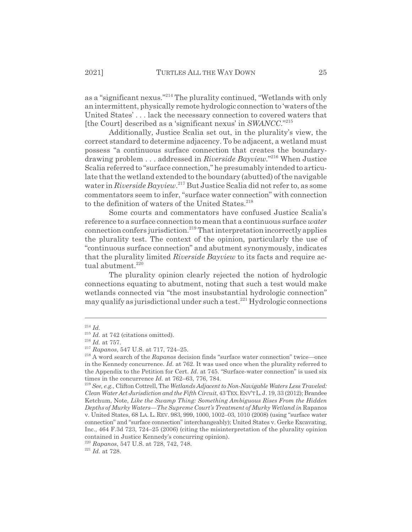as a "significant nexus."214 The plurality continued, "Wetlands with only an intermittent, physically remote hydrologic connection to 'waters of the United States' . . . lack the necessary connection to covered waters that [the Court] described as a 'significant nexus' in *SWANCC*."215

Additionally, Justice Scalia set out, in the plurality's view, the correct standard to determine adjacency. To be adjacent, a wetland must possess "a continuous surface connection that creates the boundarydrawing problem . . . addressed in *Riverside Bayview.*" 216 When Justice Scalia referred to "surface connection," he presumably intended to articulate that the wetland extended to the boundary (abutted) of the navigable water in *Riverside Bayview*. 217 But Justice Scalia did not refer to, as some commentators seem to infer, "surface water connection" with connection to the definition of waters of the United States.<sup>218</sup>

Some courts and commentators have confused Justice Scalia's reference to a surface connection to mean that a continuous surface *water* connection confers jurisdiction.219 That interpretation incorrectly applies the plurality test. The context of the opinion, particularly the use of "continuous surface connection" and abutment synonymously, indicates that the plurality limited *Riverside Bayview* to its facts and require actual abutment. $220$ 

The plurality opinion clearly rejected the notion of hydrologic connections equating to abutment, noting that such a test would make wetlands connected via "the most insubstantial hydrologic connection" may qualify as jurisdictional under such a test.<sup>221</sup> Hydrologic connections

<sup>214</sup> *Id.*

<sup>&</sup>lt;sup>215</sup> *Id.* at 742 (citations omitted).

<sup>216</sup> *Id.* at 757.

<sup>217</sup> *Rapanos*, 547 U.S. at 717, 724–25.

<sup>218</sup> A word search of the *Rapanos* decision finds "surface water connection" twice—once in the Kennedy concurrence. *Id.* at 762. It was used once when the plurality referred to the Appendix to the Petition for Cert. *Id.* at 745. "Surface-water connection" is used six times in the concurrence *Id.* at 762–63, 776, 784.

<sup>219</sup> *See, e.g.*, Clifton Cottrell, The *Wetlands Adjacent to Non-Navigable Waters Less Traveled: Clean Water Act Jurisdiction and the Fifth Circuit*, 43 TEX.ENV'TL.J. 19, 33 (2012); Brandee Ketchum, Note, *Like the Swamp Thing: Something Ambiguous Rises From the Hidden Depths of Murky Waters*—*The Supreme Court's Treatment of Murky Wetland in* Rapanos v. United States, 68 LA. L. REV. 983, 999, 1000, 1002–03, 1010 (2008) (using "surface water connection" and "surface connection" interchangeably); United States v. Gerke Excavating, Inc., 464 F.3d 723, 724–25 (2006) (citing the misinterpretation of the plurality opinion contained in Justice Kennedy's concurring opinion).

<sup>220</sup> *Rapanos*, 547 U.S. at 728, 742, 748.

<sup>221</sup> *Id.* at 728.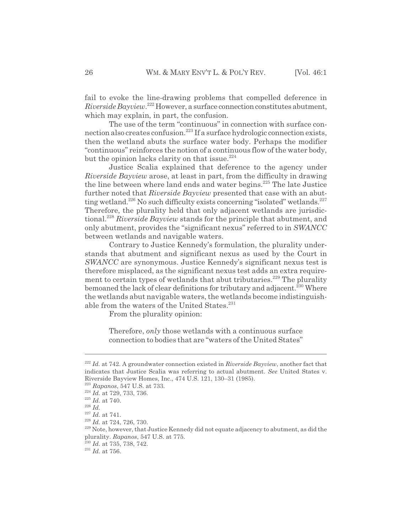fail to evoke the line-drawing problems that compelled deference in *Riverside Bayview*. 222 However, a surface connection constitutes abutment, which may explain, in part, the confusion.

The use of the term "continuous" in connection with surface connection also creates confusion.<sup>223</sup> If a surface hydrologic connection exists, then the wetland abuts the surface water body. Perhaps the modifier "continuous" reinforces the notion of a continuous flow of the water body, but the opinion lacks clarity on that issue. $224$ 

Justice Scalia explained that deference to the agency under *Riverside Bayview* arose, at least in part, from the difficulty in drawing the line between where land ends and water begins.<sup>225</sup> The late Justice further noted that *Riverside Bayview* presented that case with an abutting wetland.<sup>226</sup> No such difficulty exists concerning "isolated" wetlands.<sup>227</sup> Therefore, the plurality held that only adjacent wetlands are jurisdictional.<sup>228</sup> *Riverside Bayview* stands for the principle that abutment, and only abutment, provides the "significant nexus" referred to in *SWANCC* between wetlands and navigable waters.

Contrary to Justice Kennedy's formulation, the plurality understands that abutment and significant nexus as used by the Court in *SWANCC* are synonymous. Justice Kennedy's significant nexus test is therefore misplaced, as the significant nexus test adds an extra requirement to certain types of wetlands that abut tributaries.<sup>229</sup> The plurality bemoaned the lack of clear definitions for tributary and adjacent.<sup>230</sup> Where the wetlands abut navigable waters, the wetlands become indistinguishable from the waters of the United States.<sup>231</sup>

From the plurality opinion:

Therefore, *only* those wetlands with a continuous surface connection to bodies that are "waters of the United States"

<sup>222</sup> *Id.* at 742. A groundwater connection existed in *Riverside Bayview*, another fact that indicates that Justice Scalia was referring to actual abutment. *See* United States v. Riverside Bayview Homes, Inc., 474 U.S. 121, 130–31 (1985).

<sup>223</sup> *Rapanos*, 547 U.S. at 733.

<sup>224</sup> *Id.* at 729, 733, 736.

<sup>225</sup> *Id.* at 740.

<sup>226</sup> *Id.*

 $\,$   $^{227}$   $Id.$  at 741.

<sup>228</sup> *Id.* at 724, 726, 730.

<sup>&</sup>lt;sup>229</sup> Note, however, that Justice Kennedy did not equate adjacency to abutment, as did the plurality. *Rapanos*, 547 U.S. at 775.

<sup>230</sup> *Id.* at 735, 738, 742.

<sup>231</sup> *Id.* at 756.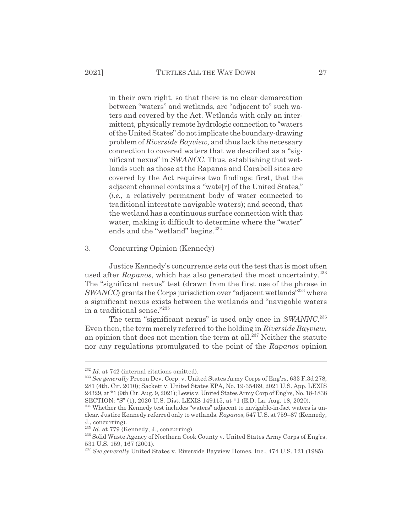in their own right, so that there is no clear demarcation between "waters" and wetlands, are "adjacent to" such waters and covered by the Act. Wetlands with only an intermittent, physically remote hydrologic connection to "waters of the United States" do not implicate the boundary-drawing problem of *Riverside Bayview,* and thus lack the necessary connection to covered waters that we described as a "significant nexus" in *SWANCC*. Thus, establishing that wetlands such as those at the Rapanos and Carabell sites are covered by the Act requires two findings: first, that the adjacent channel contains a "wate[r] of the United States," (*i.e.*, a relatively permanent body of water connected to traditional interstate navigable waters); and second, that the wetland has a continuous surface connection with that water, making it difficult to determine where the "water" ends and the "wetland" begins.<sup>232</sup>

3. Concurring Opinion (Kennedy)

Justice Kennedy's concurrence sets out the test that is most often used after *Rapanos*, which has also generated the most uncertainty.<sup>233</sup> The "significant nexus" test (drawn from the first use of the phrase in *SWANCC*) grants the Corps jurisdiction over "adjacent wetlands"<sup>234</sup> where a significant nexus exists between the wetlands and "navigable waters in a traditional sense."235

The term "significant nexus" is used only once in *SWANNC*. 236 Even then, the term merely referred to the holding in *Riverside Bayview*, an opinion that does not mention the term at all.<sup>237</sup> Neither the statute nor any regulations promulgated to the point of the *Rapanos* opinion

 $^{232}$  *Id.* at 742 (internal citations omitted).

<sup>&</sup>lt;sup>233</sup> See generally Precon Dev. Corp. v. United States Army Corps of Eng'rs, 633 F.3d 278, 281 (4th. Cir. 2010); Sackett v. United States EPA, No. 19-35469, 2021 U.S. App. LEXIS 24329, at \*1 (9th Cir. Aug. 9, 2021); Lewis v. United States Army Corp of Eng'rs, No. 18-1838 SECTION: "S" (1), 2020 U.S. Dist. LEXIS 149115, at \*1 (E.D. La. Aug. 18, 2020).

<sup>&</sup>lt;sup>234</sup> Whether the Kennedy test includes "waters" adjacent to navigable-in-fact waters is unclear. Justice Kennedy referred only to wetlands. *Rapanos*, 547 U.S. at 759–87 (Kennedy, J., concurring).

<sup>&</sup>lt;sup>235</sup> *Id.* at 779 (Kennedy, J., concurring).

<sup>&</sup>lt;sup>236</sup> Solid Waste Agency of Northern Cook County v. United States Army Corps of Eng'rs, 531 U.S. 159, 167 (2001).

<sup>237</sup> *See generally* United States v. Riverside Bayview Homes, Inc., 474 U.S. 121 (1985).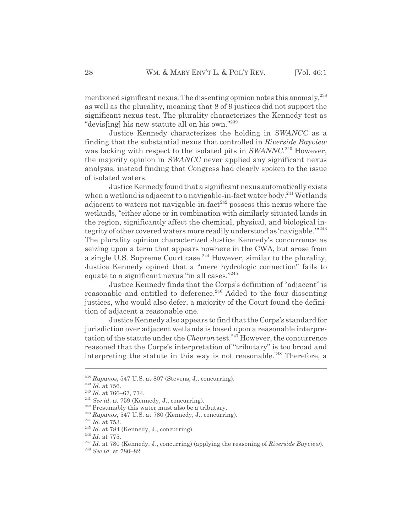mentioned significant nexus. The dissenting opinion notes this anomaly,  $238$ as well as the plurality, meaning that 8 of 9 justices did not support the significant nexus test. The plurality characterizes the Kennedy test as "devis[ing] his new statute all on his own."239

Justice Kennedy characterizes the holding in *SWANCC* as a finding that the substantial nexus that controlled in *Riverside Bayview* was lacking with respect to the isolated pits in *SWANNC*. 240 However, the majority opinion in *SWANCC* never applied any significant nexus analysis, instead finding that Congress had clearly spoken to the issue of isolated waters.

Justice Kennedy found that a significant nexus automatically exists when a wetland is adjacent to a navigable-in-fact water body.<sup>241</sup> Wetlands adjacent to waters not navigable-in-fact<sup> $242$ </sup> possess this nexus where the wetlands, "either alone or in combination with similarly situated lands in the region, significantly affect the chemical, physical, and biological integrity of other covered waters more readily understood as 'navigable."<sup>243</sup> The plurality opinion characterized Justice Kennedy's concurrence as seizing upon a term that appears nowhere in the CWA, but arose from a single U.S. Supreme Court case.244 However, similar to the plurality, Justice Kennedy opined that a "mere hydrologic connection" fails to equate to a significant nexus "in all cases."245

Justice Kennedy finds that the Corps's definition of "adjacent" is reasonable and entitled to deference.<sup>246</sup> Added to the four dissenting justices, who would also defer, a majority of the Court found the definition of adjacent a reasonable one.

Justice Kennedy also appears to find that the Corps's standard for jurisdiction over adjacent wetlands is based upon a reasonable interpretation of the statute under the *Chevron* test.<sup>247</sup> However, the concurrence reasoned that the Corps's interpretation of "tributary" is too broad and interpreting the statute in this way is not reasonable.<sup>248</sup> Therefore, a

<sup>238</sup> *Rapanos*, 547 U.S. at 807 (Stevens, J., concurring).

<sup>239</sup> *Id.* at 756.

<sup>240</sup> *Id.* at 766–67, 774.

<sup>&</sup>lt;sup>241</sup> *See id.* at 759 (Kennedy, J., concurring).

<sup>&</sup>lt;sup>242</sup> Presumably this water must also be a tributary.

<sup>243</sup> *Rapanos*, 547 U.S. at 780 (Kennedy, J., concurring).

<sup>244</sup> *Id.* at 753.

<sup>&</sup>lt;sup>245</sup> *Id.* at 784 (Kennedy, J., concurring).

<sup>246</sup> *Id.* at 775.

<sup>247</sup> *Id.* at 780 (Kennedy, J., concurring) (applying the reasoning of *Riverside Bayview*).

<sup>248</sup> *See id.* at 780–82.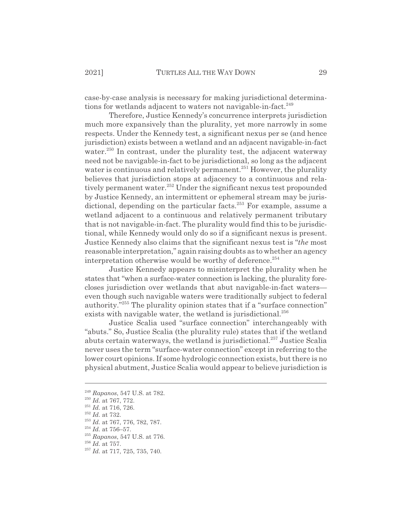case-by-case analysis is necessary for making jurisdictional determinations for wetlands adjacent to waters not navigable-in-fact.<sup>249</sup>

Therefore, Justice Kennedy's concurrence interprets jurisdiction much more expansively than the plurality, yet more narrowly in some respects. Under the Kennedy test, a significant nexus per se (and hence jurisdiction) exists between a wetland and an adjacent navigable-in-fact water.<sup>250</sup> In contrast, under the plurality test, the adjacent waterway need not be navigable-in-fact to be jurisdictional, so long as the adjacent water is continuous and relatively permanent.<sup>251</sup> However, the plurality believes that jurisdiction stops at adjacency to a continuous and relatively permanent water.<sup>252</sup> Under the significant nexus test propounded by Justice Kennedy, an intermittent or ephemeral stream may be jurisdictional, depending on the particular facts.<sup>253</sup> For example, assume a wetland adjacent to a continuous and relatively permanent tributary that is not navigable-in-fact. The plurality would find this to be jurisdictional, while Kennedy would only do so if a significant nexus is present. Justice Kennedy also claims that the significant nexus test is "*the* most reasonable interpretation," again raising doubts as to whether an agency interpretation otherwise would be worthy of deference.<sup>254</sup>

Justice Kennedy appears to misinterpret the plurality when he states that "when a surface-water connection is lacking, the plurality forecloses jurisdiction over wetlands that abut navigable-in-fact waters even though such navigable waters were traditionally subject to federal authority."255 The plurality opinion states that if a "surface connection" exists with navigable water, the wetland is jurisdictional. $256$ 

Justice Scalia used "surface connection" interchangeably with "abuts." So, Justice Scalia (the plurality rule) states that if the wetland abuts certain waterways, the wetland is jurisdictional.<sup>257</sup> Justice Scalia never uses the term "surface-water connection" except in referring to the lower court opinions. If some hydrologic connection exists, but there is no physical abutment, Justice Scalia would appear to believe jurisdiction is

<sup>249</sup> *Rapanos*, 547 U.S. at 782.

<sup>250</sup> *Id.* at 767, 772.

<sup>251</sup> *Id.* at 716, 726.

<sup>252</sup> *Id.* at 732.

<sup>253</sup> *Id.* at 767, 776, 782, 787.

 $^{254}$   $Id.\;$  at 756–57.

<sup>255</sup> *Rapanos*, 547 U.S. at 776.

<sup>256</sup> *Id.* at 757.

<sup>&</sup>lt;sup>257</sup> *Id.* at 717, 725, 735, 740.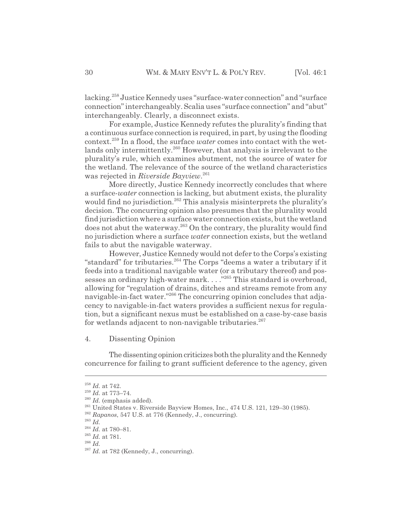lacking.258 Justice Kennedy uses "surface-water connection" and "surface connection" interchangeably. Scalia uses "surface connection" and "abut" interchangeably. Clearly, a disconnect exists.

For example, Justice Kennedy refutes the plurality's finding that a continuous surface connection is required, in part, by using the flooding context.259 In a flood, the surface *water* comes into contact with the wetlands only intermittently.<sup>260</sup> However, that analysis is irrelevant to the plurality's rule, which examines abutment, not the source of water for the wetland. The relevance of the source of the wetland characteristics was rejected in *Riverside Bayview*. 261

More directly, Justice Kennedy incorrectly concludes that where a surface-*water* connection is lacking, but abutment exists, the plurality would find no jurisdiction.<sup>262</sup> This analysis misinterprets the plurality's decision. The concurring opinion also presumes that the plurality would find jurisdiction where a surface water connection exists, but the wetland does not abut the waterway.<sup>263</sup> On the contrary, the plurality would find no jurisdiction where a surface *water* connection exists, but the wetland fails to abut the navigable waterway.

However, Justice Kennedy would not defer to the Corps's existing "standard" for tributaries.<sup>264</sup> The Corps "deems a water a tributary if it feeds into a traditional navigable water (or a tributary thereof) and possesses an ordinary high-water mark. . . . <sup>"265</sup> This standard is overbroad, allowing for "regulation of drains, ditches and streams remote from any navigable-in-fact water."266 The concurring opinion concludes that adjacency to navigable-in-fact waters provides a sufficient nexus for regulation, but a significant nexus must be established on a case-by-case basis for wetlands adjacent to non-navigable tributaries. $267$ 

4. Dissenting Opinion

The dissenting opinion criticizes both the plurality and the Kennedy concurrence for failing to grant sufficient deference to the agency, given

<sup>258</sup> *Id.* at 742.

<sup>259</sup> *Id.* at 773–74.

<sup>&</sup>lt;sup>260</sup> *Id.* (emphasis added).

<sup>&</sup>lt;sup>261</sup> United States v. Riverside Bayview Homes, Inc., 474 U.S. 121, 129-30 (1985).

<sup>262</sup> *Rapanos*, 547 U.S. at 776 (Kennedy, J., concurring).

<sup>263</sup> *Id.*

<sup>264</sup> *Id.* at 780–81.

<sup>265</sup> *Id.* at 781.

<sup>266</sup> *Id.*

<sup>&</sup>lt;sup>267</sup> *Id.* at 782 (Kennedy, J., concurring).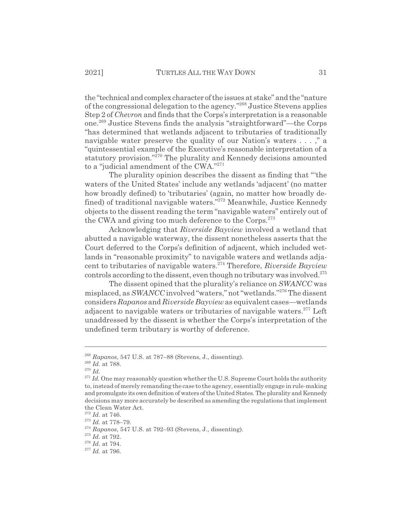the "technical and complex character of the issues at stake" and the "nature of the congressional delegation to the agency."268 Justice Stevens applies Step 2 of *Chevron* and finds that the Corps's interpretation is a reasonable one.269 Justice Stevens finds the analysis "straightforward"—the Corps "has determined that wetlands adjacent to tributaries of traditionally navigable water preserve the quality of our Nation's waters . . . ," a "quintessential example of the Executive's reasonable interpretation of a statutory provision."<sup>270</sup> The plurality and Kennedy decisions amounted to a "judicial amendment of the CWA."271

The plurality opinion describes the dissent as finding that "'the waters of the United States' include any wetlands 'adjacent' (no matter how broadly defined) to 'tributaries' (again, no matter how broadly defined) of traditional navigable waters."272 Meanwhile, Justice Kennedy objects to the dissent reading the term "navigable waters" entirely out of the CWA and giving too much deference to the Corps.<sup>273</sup>

Acknowledging that *Riverside Bayview* involved a wetland that abutted a navigable waterway, the dissent nonetheless asserts that the Court deferred to the Corps's definition of adjacent, which included wetlands in "reasonable proximity" to navigable waters and wetlands adjacent to tributaries of navigable waters.274 Therefore, *Riverside Bayview* controls according to the dissent, even though no tributary was involved.<sup>275</sup>

The dissent opined that the plurality's reliance on *SWANCC* was misplaced, as *SWANCC* involved "waters," not "wetlands."276 The dissent considers *Rapanos* and *Riverside Bayview* as equivalent cases—wetlands adjacent to navigable waters or tributaries of navigable waters.<sup>277</sup> Left unaddressed by the dissent is whether the Corps's interpretation of the undefined term tributary is worthy of deference.

<sup>268</sup> *Rapanos*, 547 U.S. at 787–88 (Stevens, J., dissenting).

<sup>269</sup> *Id.* at 788.

<sup>270</sup> *Id.*

 $271$  *Id.* One may reasonably question whether the U.S. Supreme Court holds the authority to, instead of merely remanding the case to the agency, essentially engage in rule-making and promulgate its own definition of waters of the United States. The plurality and Kennedy decisions may more accurately be described as amending the regulations that implement the Clean Water Act.

<sup>272</sup> *Id.* at 746.

<sup>273</sup> *Id.* at 778–79.

<sup>274</sup> *Rapanos*, 547 U.S. at 792–93 (Stevens, J., dissenting).

<sup>275</sup> *Id.* at 792.

<sup>276</sup> *Id.* at 794.

<sup>277</sup> *Id.* at 796.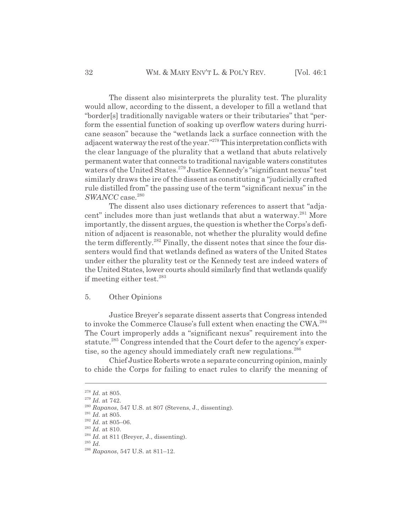The dissent also misinterprets the plurality test. The plurality would allow, according to the dissent, a developer to fill a wetland that "border[s] traditionally navigable waters or their tributaries" that "perform the essential function of soaking up overflow waters during hurricane season" because the "wetlands lack a surface connection with the adjacent waterway the rest of the year."278 This interpretation conflicts with the clear language of the plurality that a wetland that abuts relatively permanent water that connects to traditional navigable waters constitutes waters of the United States.<sup>279</sup> Justice Kennedy's "significant nexus" test similarly draws the ire of the dissent as constituting a "judicially crafted rule distilled from" the passing use of the term "significant nexus" in the SWANCC case.<sup>280</sup>

The dissent also uses dictionary references to assert that "adjacent" includes more than just wetlands that abut a waterway.<sup>281</sup> More importantly, the dissent argues, the question is whether the Corps's definition of adjacent is reasonable, not whether the plurality would define the term differently.<sup>282</sup> Finally, the dissent notes that since the four dissenters would find that wetlands defined as waters of the United States under either the plurality test or the Kennedy test are indeed waters of the United States, lower courts should similarly find that wetlands qualify if meeting either test.<sup>283</sup>

## 5. Other Opinions

Justice Breyer's separate dissent asserts that Congress intended to invoke the Commerce Clause's full extent when enacting the CWA.284 The Court improperly adds a "significant nexus" requirement into the statute.<sup>285</sup> Congress intended that the Court defer to the agency's expertise, so the agency should immediately craft new regulations.<sup>286</sup>

Chief Justice Roberts wrote a separate concurring opinion, mainly to chide the Corps for failing to enact rules to clarify the meaning of

<sup>278</sup> *Id.* at 805.

<sup>279</sup> *Id.* at 742.

<sup>280</sup> *Rapanos*, 547 U.S. at 807 (Stevens, J., dissenting).

 $\real^{281}$   $Id.$  at 805.

<sup>282</sup> *Id.* at 805–06.

<sup>283</sup> *Id.* at 810.

 $284$  *Id.* at 811 (Breyer, J., dissenting).

<sup>285</sup> *Id.*

<sup>286</sup> *Rapanos*, 547 U.S. at 811–12.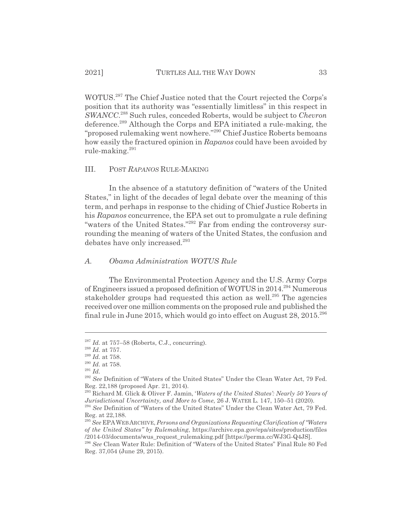WOTUS.287 The Chief Justice noted that the Court rejected the Corps's position that its authority was "essentially limitless" in this respect in *SWANCC*. 288 Such rules, conceded Roberts, would be subject to *Chevron* deference.<sup>289</sup> Although the Corps and EPA initiated a rule-making, the "proposed rulemaking went nowhere."290 Chief Justice Roberts bemoans how easily the fractured opinion in *Rapanos* could have been avoided by rule-making.<sup>291</sup>

## III. POST *RAPANOS* RULE-MAKING

In the absence of a statutory definition of "waters of the United States," in light of the decades of legal debate over the meaning of this term, and perhaps in response to the chiding of Chief Justice Roberts in his *Rapanos* concurrence, the EPA set out to promulgate a rule defining "waters of the United States."292 Far from ending the controversy surrounding the meaning of waters of the United States, the confusion and debates have only increased.<sup>293</sup>

#### *A. Obama Administration WOTUS Rule*

The Environmental Protection Agency and the U.S. Army Corps of Engineers issued a proposed definition of WOTUS in 2014.294 Numerous stakeholder groups had requested this action as well.<sup>295</sup> The agencies received over one million comments on the proposed rule and published the final rule in June 2015, which would go into effect on August  $28, 2015$ <sup>296</sup>

 $^{287}$  *Id.* at 757–58 (Roberts, C.J., concurring).

<sup>288</sup> *Id.* at 757.

<sup>289</sup> *Id.* at 758.

 $^{\scriptscriptstyle 290}$   $Id.$  at 758.

<sup>291</sup> *Id.*

<sup>&</sup>lt;sup>292</sup> See Definition of "Waters of the United States" Under the Clean Water Act, 79 Fed. Reg. 22,188 (proposed Apr. 21, 2014).

<sup>293</sup> Richard M. Glick & Oliver F. Jamin, '*Waters of the United States': Nearly 50 Years of Jurisdictional Uncertainty, and More to Come*, 26 J. WATER L. 147, 150–51 (2020).

<sup>294</sup> *See* Definition of "Waters of the United States" Under the Clean Water Act, 79 Fed. Reg. at 22,188.

<sup>295</sup> *See* EPAWEB ARCHIVE, *Persons and Organizations Requesting Clarification of "Waters of the United States" by Rulemaking*, https://archive.epa.gov/epa/sites/production/files /2014-03/documents/wus\_request\_rulemaking.pdf [https://perma.cc/WJ3G-Q4JS].

<sup>296</sup> *See* Clean Water Rule: Definition of "Waters of the United States" Final Rule 80 Fed Reg. 37,054 (June 29, 2015).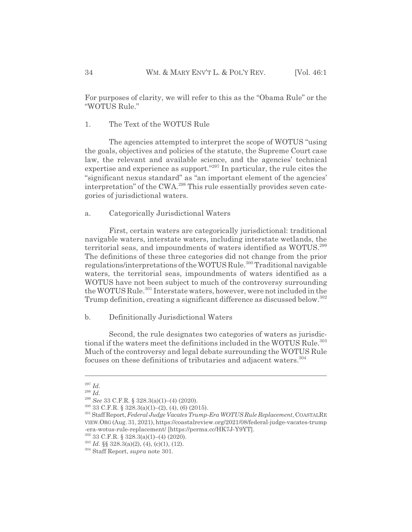For purposes of clarity, we will refer to this as the "Obama Rule" or the "WOTUS Rule."

#### 1. The Text of the WOTUS Rule

The agencies attempted to interpret the scope of WOTUS "using the goals, objectives and policies of the statute, the Supreme Court case law, the relevant and available science, and the agencies' technical expertise and experience as support."<sup>297</sup> In particular, the rule cites the "significant nexus standard" as "an important element of the agencies' interpretation" of the CWA.<sup>298</sup> This rule essentially provides seven categories of jurisdictional waters.

### a. Categorically Jurisdictional Waters

First, certain waters are categorically jurisdictional: traditional navigable waters, interstate waters, including interstate wetlands, the territorial seas, and impoundments of waters identified as WOTUS.<sup>299</sup> The definitions of these three categories did not change from the prior regulations/interpretations of the WOTUS Rule.<sup>300</sup> Traditional navigable waters, the territorial seas, impoundments of waters identified as a WOTUS have not been subject to much of the controversy surrounding the WOTUS Rule.<sup>301</sup> Interstate waters, however, were not included in the Trump definition, creating a significant difference as discussed below.<sup>302</sup>

#### b. Definitionally Jurisdictional Waters

Second, the rule designates two categories of waters as jurisdictional if the waters meet the definitions included in the WOTUS Rule.<sup>303</sup> Much of the controversy and legal debate surrounding the WOTUS Rule focuses on these definitions of tributaries and adjacent waters.<sup>304</sup>

<sup>297</sup> *Id.*

<sup>298</sup> *Id.*

<sup>299</sup> *See* 33 C.F.R. § 328.3(a)(1)–(4) (2020).

 $300$  33 C.F.R. § 328.3(a)(1)–(2), (4), (6) (2015).

<sup>301</sup> Staff Report, *Federal Judge Vacates Trump-Era WOTUS Rule Replacement*, COASTALRE VIEW.ORG (Aug. 31, 2021), https://coastalreview.org/2021/08/federal-judge-vacates-trump -era-wotus-rule-replacement/ [https://perma.cc/HK7J-Y9YT].

<sup>302 33</sup> C.F.R. § 328.3(a)(1)–(4) (2020).

 $303$  *Id.* §§ 328.3(a)(2), (4), (c)(1), (12).

<sup>304</sup> Staff Report, *supra* note 301.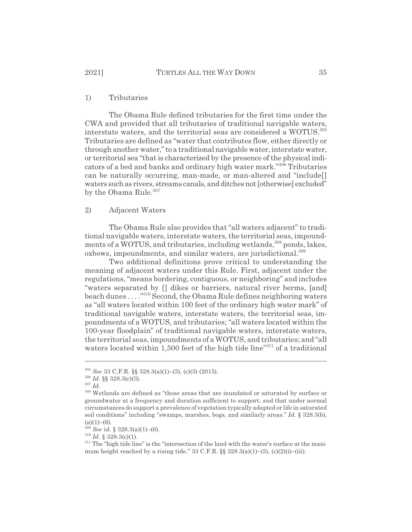#### 1) Tributaries

The Obama Rule defined tributaries for the first time under the CWA and provided that all tributaries of traditional navigable waters, interstate waters, and the territorial seas are considered a WOTUS.305 Tributaries are defined as "water that contributes flow, either directly or through another water," to a traditional navigable water, interstate water, or territorial sea "that is characterized by the presence of the physical indicators of a bed and banks and ordinary high water mark."306 Tributaries can be naturally occurring, man-made, or man-altered and "include[] waters such as rivers, streams canals, and ditches not [otherwise] excluded" by the Obama Rule.<sup>307</sup>

## 2) Adjacent Waters

The Obama Rule also provides that "all waters adjacent" to traditional navigable waters, interstate waters, the territorial seas, impoundments of a WOTUS, and tributaries, including wetlands,<sup>308</sup> ponds, lakes, oxbows, impoundments, and similar waters, are jurisdictional.<sup>309</sup>

Two additional definitions prove critical to understanding the meaning of adjacent waters under this Rule. First, adjacent under the regulations, "means bordering, contiguous, or neighboring" and includes "waters separated by [] dikes or barriers, natural river berms, [and] beach dunes . . . ."310 Second, the Obama Rule defines neighboring waters as "all waters located within 100 feet of the ordinary high water mark" of traditional navigable waters, interstate waters, the territorial seas, impoundments of a WOTUS, and tributaries; "all waters located within the 100-year floodplain" of traditional navigable waters, interstate waters, the territorial seas, impoundments of a WOTUS, and tributaries; and "all waters located within 1,500 feet of the high tide line"<sup>311</sup> of a traditional

<sup>305</sup> *See* 33 C.F.R. §§ 328.3(a)(1)–(3), (c)(3) (2015).

<sup>306</sup> *Id.* §§ 328.3(c)(3).

<sup>307</sup> *Id.*

 $^{308}$  Wetlands are defined as "those areas that are inundated or saturated by surface or groundwater at a frequency and duration sufficient to support, and that under normal circumstances do support a prevalence of vegetation typically adapted or life in saturated soil conditions" including "swamps, marshes, bogs, and similarly areas." *Id.* § 328.3(b),  $(a)(1)–(6)$ .

<sup>309</sup> *See id.* § 328.3(a)(1)–(6).

 $310$  *Id.* § 328.3(c)(1).

<sup>&</sup>lt;sup>311</sup> The "high tide line" is the "intersection of the land with the water's surface at the maximum height reached by a rising tide."  $33 \text{ C.F.R.}$   $\S §$   $328.3(a)(1)–(5)$ ,  $(c)(2)(i)–(iii)$ .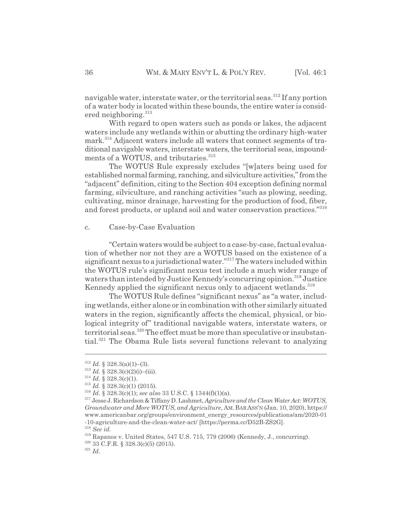navigable water, interstate water, or the territorial seas.<sup>312</sup> If any portion of a water body is located within these bounds, the entire water is considered neighboring.<sup>313</sup>

With regard to open waters such as ponds or lakes, the adjacent waters include any wetlands within or abutting the ordinary high-water mark.<sup>314</sup> Adjacent waters include all waters that connect segments of traditional navigable waters, interstate waters, the territorial seas, impoundments of a WOTUS, and tributaries.<sup>315</sup>

The WOTUS Rule expressly excludes "[w]aters being used for established normal farming, ranching, and silviculture activities," from the "adjacent" definition, citing to the Section 404 exception defining normal farming, silviculture, and ranching activities "such as plowing, seeding, cultivating, minor drainage, harvesting for the production of food, fiber, and forest products, or upland soil and water conservation practices."316

#### c. Case-by-Case Evaluation

"Certain waters would be subject to a case-by-case, factual evaluation of whether nor not they are a WOTUS based on the existence of a significant nexus to a jurisdictional water."317 The waters included within the WOTUS rule's significant nexus test include a much wider range of waters than intended by Justice Kennedy's concurring opinion.<sup>318</sup> Justice Kennedy applied the significant nexus only to adjacent wetlands.<sup>319</sup>

The WOTUS Rule defines "significant nexus" as "a water, including wetlands, either alone or in combination with other similarly situated waters in the region, significantly affects the chemical, physical, or biological integrity of" traditional navigable waters, interstate waters, or territorial seas.<sup>320</sup> The effect must be more than speculative or insubstantial.<sup>321</sup> The Obama Rule lists several functions relevant to analyzing

 $312$  *Id.* § 328.3(a)(1)–(3).

 $313$  *Id.* § 328.3(c)(2)(i)–(iii).

 $314$  *Id.* § 328.3(c)(1).

 $315$  *Id.* § 328.3(c)(1) (2015).

<sup>316</sup> *Id.* § 328.3(c)(1); *see also* 33 U.S.C. § 1344(f)(1)(a).

<sup>317</sup> Jesse J. Richardson & Tiffany D. Lashmet, *Agriculture and the Clean Water Act: WOTUS, Groundwater and More WOTUS, and Agriculture*, AM.BAR ASS'N (Jan. 10, 2020), https:// www.americanbar.org/groups/environment\_energy\_resources/publications/am/2020-01 -10-agriculture-and-the-clean-water-act/ [https://perma.cc/D52B-ZS2G].

<sup>318</sup> *See id.*

<sup>319</sup> Rapanos v. United States, 547 U.S. 715, 779 (2006) (Kennedy, J., concurring).

 $320$  33 C.F.R. § 328.3(c)(5) (2015).

<sup>321</sup> *Id.*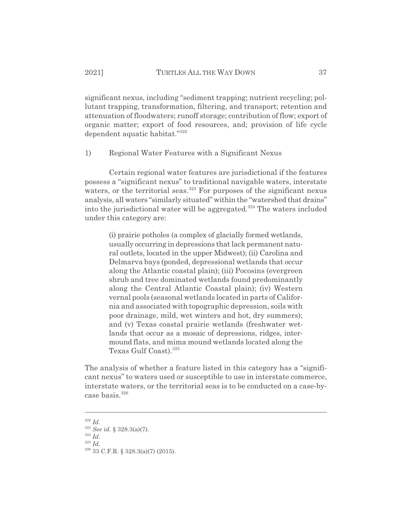significant nexus, including "sediment trapping; nutrient recycling; pollutant trapping, transformation, filtering, and transport; retention and attenuation of floodwaters; runoff storage; contribution of flow; export of organic matter; export of food resources, and; provision of life cycle dependent aquatic habitat."<sup>322</sup>

1) Regional Water Features with a Significant Nexus

Certain regional water features are jurisdictional if the features possess a "significant nexus" to traditional navigable waters, interstate waters, or the territorial seas.<sup>323</sup> For purposes of the significant nexus analysis, all waters "similarly situated" within the "watershed that drains" into the jurisdictional water will be aggregated.<sup>324</sup> The waters included under this category are:

> (i) prairie potholes (a complex of glacially formed wetlands, usually occurring in depressions that lack permanent natural outlets, located in the upper Midwest); (ii) Carolina and Delmarva bays (ponded, depressional wetlands that occur along the Atlantic coastal plain); (iii) Pocosins (evergreen shrub and tree dominated wetlands found predominantly along the Central Atlantic Coastal plain); (iv) Western vernal pools (seasonal wetlands located in parts of California and associated with topographic depression, soils with poor drainage, mild, wet winters and hot, dry summers); and (v) Texas coastal prairie wetlands (freshwater wetlands that occur as a mosaic of depressions, ridges, intermound flats, and mima mound wetlands located along the Texas Gulf Coast).<sup>325</sup>

The analysis of whether a feature listed in this category has a "significant nexus" to waters used or susceptible to use in interstate commerce, interstate waters, or the territorial seas is to be conducted on a case-bycase basis. $326$ 

<sup>322</sup> *Id.*

 $324$  *Id.* 

<sup>325</sup> *Id.*

<sup>323</sup> *See id.* § 328.3(a)(7).

<sup>326 33</sup> C.F.R. § 328.3(a)(7) (2015).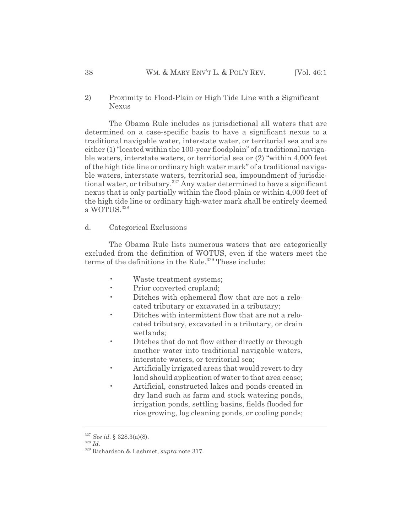2) Proximity to Flood-Plain or High Tide Line with a Significant Nexus

The Obama Rule includes as jurisdictional all waters that are determined on a case-specific basis to have a significant nexus to a traditional navigable water, interstate water, or territorial sea and are either (1) "located within the 100-year floodplain" of a traditional navigable waters, interstate waters, or territorial sea or (2) "within 4,000 feet of the high tide line or ordinary high water mark" of a traditional navigable waters, interstate waters, territorial sea, impoundment of jurisdictional water, or tributary.<sup>327</sup> Any water determined to have a significant nexus that is only partially within the flood-plain or within 4,000 feet of the high tide line or ordinary high-water mark shall be entirely deemed a WOTUS. 328

## d. Categorical Exclusions

The Obama Rule lists numerous waters that are categorically excluded from the definition of WOTUS, even if the waters meet the terms of the definitions in the Rule.<sup>329</sup> These include:

- Waste treatment systems;
- Prior converted cropland;
- Ditches with ephemeral flow that are not a relocated tributary or excavated in a tributary;
- Ditches with intermittent flow that are not a relocated tributary, excavated in a tributary, or drain wetlands;
- Ditches that do not flow either directly or through another water into traditional navigable waters, interstate waters, or territorial sea;
- Artificially irrigated areas that would revert to dry land should application of water to that area cease;
- Artificial, constructed lakes and ponds created in dry land such as farm and stock watering ponds, irrigation ponds, settling basins, fields flooded for rice growing, log cleaning ponds, or cooling ponds;

<sup>327</sup> *See id.* § 328.3(a)(8).

<sup>328</sup> *Id.*

<sup>329</sup> Richardson & Lashmet, *supra* note 317.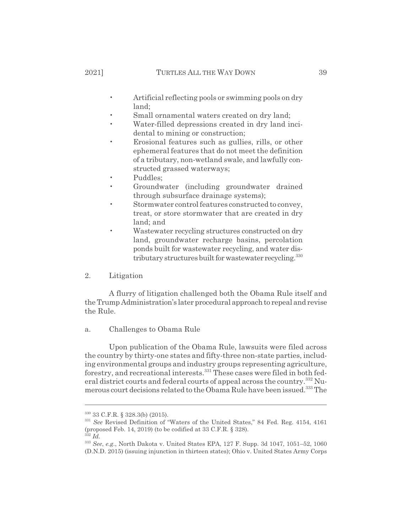- Artificial reflecting pools or swimming pools on dry land;
- Small ornamental waters created on dry land;
- Water-filled depressions created in dry land incidental to mining or construction;
- Erosional features such as gullies, rills, or other ephemeral features that do not meet the definition of a tributary, non-wetland swale, and lawfully constructed grassed waterways;
- Puddles;
- Groundwater (including groundwater drained through subsurface drainage systems);
- Stormwater control features constructed to convey, treat, or store stormwater that are created in dry land; and
- Wastewater recycling structures constructed on dry land, groundwater recharge basins, percolation ponds built for wastewater recycling, and water distributary structures built for wastewater recycling.<sup>330</sup>
- 2. Litigation

A flurry of litigation challenged both the Obama Rule itself and the Trump Administration's later procedural approach to repeal and revise the Rule.

## a. Challenges to Obama Rule

Upon publication of the Obama Rule, lawsuits were filed across the country by thirty-one states and fifty-three non-state parties, including environmental groups and industry groups representing agriculture, forestry, and recreational interests.331 These cases were filed in both federal district courts and federal courts of appeal across the country.<sup>332</sup> Numerous court decisions related to the Obama Rule have been issued.<sup>333</sup> The

<sup>330 33</sup> C.F.R. § 328.3(b) (2015).

<sup>331</sup> *See* Revised Definition of "Waters of the United States," 84 Fed. Reg. 4154, 4161 (proposed Feb. 14, 2019) (to be codified at 33 C.F.R. § 328).

<sup>332</sup> *Id.*

<sup>333</sup> *See*, *e.g.*, North Dakota v. United States EPA, 127 F. Supp. 3d 1047, 1051–52, 1060 (D.N.D. 2015) (issuing injunction in thirteen states); Ohio v. United States Army Corps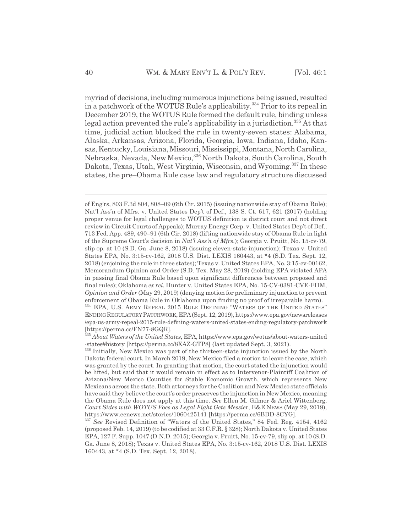myriad of decisions, including numerous injunctions being issued, resulted in a patchwork of the WOTUS Rule's applicability.<sup>334</sup> Prior to its repeal in December 2019, the WOTUS Rule formed the default rule, binding unless legal action prevented the rule's applicability in a jurisdiction.<sup>335</sup> At that time, judicial action blocked the rule in twenty-seven states: Alabama, Alaska, Arkansas, Arizona, Florida, Georgia, Iowa, Indiana, Idaho, Kansas, Kentucky, Louisiana, Missouri, Mississippi, Montana, North Carolina, Nebraska, Nevada, New Mexico,336 North Dakota, South Carolina, South Dakota, Texas, Utah, West Virginia, Wisconsin, and Wyoming.<sup>337</sup> In these states, the pre–Obama Rule case law and regulatory structure discussed

of Eng'rs, 803 F.3d 804, 808–09 (6th Cir. 2015) (issuing nationwide stay of Obama Rule); Nat'l Ass'n of Mfrs. v. United States Dep't of Def., 138 S. Ct. 617, 621 (2017) (holding proper venue for legal challenges to WOTUS definition is district court and not direct review in Circuit Courts of Appeals); Murray Energy Corp. v. United States Dep't of Def., 713 Fed. App. 489, 490–91 (6th Cir. 2018) (lifting nationwide stay of Obama Rule in light of the Supreme Court's decision in *Nat'l Ass'n of Mfrs.*); Georgia v. Pruitt, No. 15-cv-79, slip op. at 10 (S.D. Ga. June 8, 2018) (issuing eleven-state injunction); Texas v. United States EPA, No. 3:15-cv-162, 2018 U.S. Dist. LEXIS 160443, at \*4 (S.D. Tex. Sept. 12, 2018) (enjoining the rule in three states); Texas v. United States EPA, No. 3:15-cv-00162, Memorandum Opinion and Order (S.D. Tex. May 28, 2019) (holding EPA violated APA in passing final Obama Rule based upon significant differences between proposed and final rules); Oklahoma *ex rel.* Hunter v. United States EPA, No. 15-CV-0381-CVE-FHM, *Opinion and Order* (May 29, 2019) (denying motion for preliminary injunction to prevent enforcement of Obama Rule in Oklahoma upon finding no proof of irreparable harm). 334 EPA, U.S. ARMY REPEAL 2015 RULE DEFINING "WATERS OF THE UNITED STATES" ENDINGREGULATORY PATCHWORK,EPA(Sept. 12, 2019), https://www.epa.gov/newsreleases /epa-us-army-repeal-2015-rule-defining-waters-united-states-ending-regulatory-patchwork

<sup>[</sup>https://perma.cc/FN77-8GQR].

<sup>335</sup> *About Waters of the United States*, EPA, https://www.epa.gov/wotus/about-waters-united -states#history [https://perma.cc/8XAZ-GTP8] (last updated Sept. 3, 2021).

<sup>&</sup>lt;sup>336</sup> Initially, New Mexico was part of the thirteen-state injunction issued by the North Dakota federal court. In March 2019, New Mexico filed a motion to leave the case, which was granted by the court. In granting that motion, the court stated the injunction would be lifted, but said that it would remain in effect as to Intervenor-Plaintiff Coalition of Arizona/New Mexico Counties for Stable Economic Growth, which represents New Mexicans across the state. Both attorneys for the Coalition and New Mexico state officials have said they believe the court's order preserves the injunction in New Mexico, meaning the Obama Rule does not apply at this time. *See* Ellen M. Gilmer & Ariel Wittenberg, *Court Sides with WOTUS Foes as Legal Fight Gets Messier*, E&E NEWS (May 29, 2019), https://www.eenews.net/stories/1060425141 [https://perma.cc/6BDD-8CYG].

<sup>337</sup> *See* Revised Definition of "Waters of the United States," 84 Fed. Reg. 4154, 4162 (proposed Feb. 14, 2019) (to be codified at 33 C.F.R. § 328); North Dakota v. United States EPA, 127 F. Supp. 1047 (D.N.D. 2015); Georgia v. Pruitt, No. 15-cv-79, slip op. at 10 (S.D. Ga. June 8, 2018); Texas v. United States EPA, No. 3:15-cv-162, 2018 U.S. Dist. LEXIS 160443, at \*4 (S.D. Tex. Sept. 12, 2018).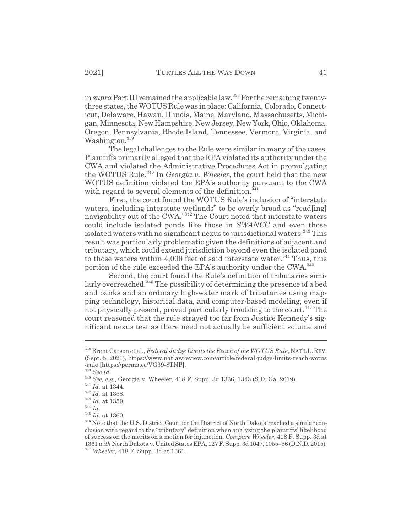in *supra* Part III remained the applicable law.<sup>338</sup> For the remaining twentythree states, the WOTUS Rule was in place: California, Colorado, Connecticut, Delaware, Hawaii, Illinois, Maine, Maryland, Massachusetts, Michigan, Minnesota, New Hampshire, New Jersey, New York, Ohio, Oklahoma, Oregon, Pennsylvania, Rhode Island, Tennessee, Vermont, Virginia, and Washington.<sup>339</sup>

The legal challenges to the Rule were similar in many of the cases. Plaintiffs primarily alleged that the EPA violated its authority under the CWA and violated the Administrative Procedures Act in promulgating the WOTUS Rule.340 In *Georgia v. Wheeler*, the court held that the new WOTUS definition violated the EPA's authority pursuant to the CWA with regard to several elements of the definition.<sup>341</sup>

First, the court found the WOTUS Rule's inclusion of "interstate waters, including interstate wetlands" to be overly broad as "read[ing] navigability out of the CWA."<sup>342</sup> The Court noted that interstate waters could include isolated ponds like those in *SWANCC* and even those isolated waters with no significant nexus to jurisdictional waters.<sup>343</sup> This result was particularly problematic given the definitions of adjacent and tributary, which could extend jurisdiction beyond even the isolated pond to those waters within 4,000 feet of said interstate water.<sup>344</sup> Thus, this portion of the rule exceeded the EPA's authority under the CWA.<sup>345</sup>

Second, the court found the Rule's definition of tributaries similarly overreached.<sup>346</sup> The possibility of determining the presence of a bed and banks and an ordinary high-water mark of tributaries using mapping technology, historical data, and computer-based modeling, even if not physically present, proved particularly troubling to the court.<sup>347</sup> The court reasoned that the rule strayed too far from Justice Kennedy's significant nexus test as there need not actually be sufficient volume and

<sup>338</sup> Brent Carson et al., *Federal Judge Limits the Reach of the WOTUS Rule*, NAT'LL.REV. (Sept. 5, 2021), https://www.natlawreview.com/article/federal-judge-limits-reach-wotus -rule [https://perma.cc/VG39-8TNP].

<sup>339</sup> *See id.*

<sup>340</sup> *See, e.g.*, Georgia v. Wheeler, 418 F. Supp. 3d 1336, 1343 (S.D. Ga. 2019).

<sup>341</sup> *Id.* at 1344.

<sup>342</sup> *Id.* at 1358.

<sup>343</sup> *Id.* at 1359.

<sup>344</sup> *Id.*

<sup>345</sup> *Id.* at 1360.

<sup>346</sup> Note that the U.S. District Court for the District of North Dakota reached a similar conclusion with regard to the "tributary" definition when analyzing the plaintiffs' likelihood of success on the merits on a motion for injunction. *Compare Wheeler*, 418 F. Supp. 3d at 1361*with* North Dakota v. United States EPA, 127 F. Supp. 3d 1047, 1055–56 (D.N.D. 2015). <sup>347</sup> *Wheeler*, 418 F. Supp. 3d at 1361.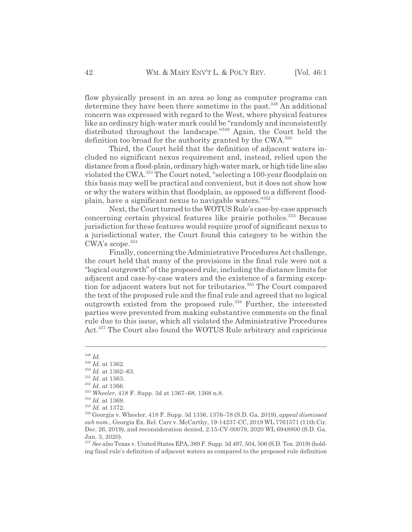flow physically present in an area so long as computer programs can determine they have been there sometime in the past.<sup>348</sup> An additional concern was expressed with regard to the West, where physical features like an ordinary high-water mark could be "randomly and inconsistently distributed throughout the landscape."<sup>349</sup> Again, the Court held the definition too broad for the authority granted by the CWA.<sup>350</sup>

Third, the Court held that the definition of adjacent waters included no significant nexus requirement and, instead, relied upon the distance from a flood-plain, ordinary high-water mark, or high tide line also violated the CWA.351 The Court noted, "selecting a 100-year floodplain on this basis may well be practical and convenient, but it does not show how or why the waters within that floodplain, as opposed to a different floodplain, have a significant nexus to navigable waters."352

Next, the Court turned to the WOTUS Rule's case-by-case approach concerning certain physical features like prairie potholes.<sup>353</sup> Because jurisdiction for these features would require proof of significant nexus to a jurisdictional water, the Court found this category to be within the CWA's scope.354

Finally, concerning the Administrative Procedures Act challenge, the court held that many of the provisions in the final rule were not a "logical outgrowth" of the proposed rule, including the distance limits for adjacent and case-by-case waters and the existence of a farming exception for adjacent waters but not for tributaries.<sup>355</sup> The Court compared the text of the proposed rule and the final rule and agreed that no logical outgrowth existed from the proposed rule.<sup>356</sup> Further, the interested parties were prevented from making substantive comments on the final rule due to this issue, which all violated the Administrative Procedures Act.<sup>357</sup> The Court also found the WOTUS Rule arbitrary and capricious

<sup>348</sup> *Id.*

<sup>349</sup> *Id.* at 1362.

<sup>350</sup> *Id.* at 1362–63.

<sup>351</sup> *Id.* at 1363.

<sup>352</sup> *Id. at* 1366.

<sup>353</sup> *Wheeler*, 418 F. Supp. 3d at 1367–68, 1368 n.8.

<sup>354</sup> *Id.* at 1369.

<sup>355</sup> *Id.* at 1372.

<sup>356</sup> Georgia v. Wheeler, 418 F. Supp. 3d 1336, 1376–78 (S.D. Ga. 2019), *appeal dismissed sub nom.*, Georgia Ex. Rel. Carr v. McCarthy, 19-14237-CC, 2019 WL 7761571 (11th Cir. Dec. 26, 2019), and reconsideration denied, 2:15-CV-00079, 2020 WL 6948800 (S.D. Ga. Jan. 3, 2020).

<sup>357</sup> *See also* Texas v. United States EPA, 389 F. Supp. 3d 497, 504, 506 (S.D. Tex. 2019) (holding final rule's definition of adjacent waters as compared to the proposed rule definition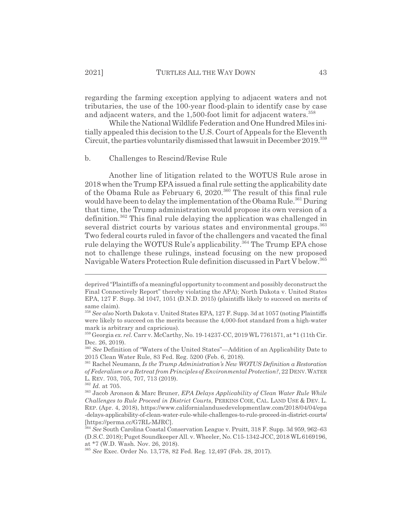regarding the farming exception applying to adjacent waters and not tributaries, the use of the 100-year flood-plain to identify case by case and adjacent waters, and the 1,500-foot limit for adjacent waters.<sup>358</sup>

While the National Wildlife Federation and One Hundred Miles initially appealed this decision to the U.S. Court of Appeals for the Eleventh Circuit, the parties voluntarily dismissed that lawsuit in December 2019.<sup>359</sup>

## b. Challenges to Rescind/Revise Rule

Another line of litigation related to the WOTUS Rule arose in 2018 when the Trump EPA issued a final rule setting the applicability date of the Obama Rule as February 6, 2020.<sup>360</sup> The result of this final rule would have been to delay the implementation of the Obama Rule.<sup>361</sup> During that time, the Trump administration would propose its own version of a definition.362 This final rule delaying the application was challenged in several district courts by various states and environmental groups.<sup>363</sup> Two federal courts ruled in favor of the challengers and vacated the final rule delaying the WOTUS Rule's applicability.<sup>364</sup> The Trump EPA chose not to challenge these rulings, instead focusing on the new proposed Navigable Waters Protection Rule definition discussed in Part V below.<sup>365</sup>

deprived "Plaintiffs of a meaningful opportunity to comment and possibly deconstruct the Final Connectively Report" thereby violating the APA); North Dakota v. United States EPA, 127 F. Supp. 3d 1047, 1051 (D.N.D. 2015) (plaintiffs likely to succeed on merits of same claim).

<sup>358</sup> *See also* North Dakota v. United States EPA, 127 F. Supp. 3d at 1057 (noting Plaintiffs were likely to succeed on the merits because the 4,000-foot standard from a high-water mark is arbitrary and capricious).

<sup>359</sup> Georgia *ex. rel.* Carr v. McCarthy, No. 19-14237-CC, 2019 WL 7761571, at \*1 (11th Cir. Dec. 26, 2019).

<sup>360</sup> *See* Definition of "Waters of the United States"—Addition of an Applicability Date to 2015 Clean Water Rule, 83 Fed. Reg. 5200 (Feb. 6, 2018).

<sup>361</sup> Rachel Neumann, *Is the Trump Administration's New WOTUS Definition a Restoration of Federalism or a Retreat from Principles of Environmental Protection?*, 22 DENV.WATER

L. REV. 703, 705, 707, 713 (2019).

<sup>362</sup> *Id.* at 705.

<sup>363</sup> Jacob Aronson & Marc Bruner, *EPA Delays Applicability of Clean Water Rule While Challenges to Rule Proceed in District Courts*, PERKINS COIE, CAL. LAND USE & DEV. L. REP. (Apr. 4, 2018), https://www.californialandusedevelopmentlaw.com/2018/04/04/epa -delays-applicability-of-clean-water-rule-while-challenges-to-rule-proceed-in-district-courts/ [https://perma.cc/G7RL-MJRC].

<sup>364</sup> *See* South Carolina Coastal Conservation League v. Pruitt, 318 F. Supp. 3d 959, 962–63 (D.S.C. 2018); Puget Soundkeeper All. v. Wheeler, No. C15-1342-JCC, 2018 WL 6169196, at \*7 (W.D. Wash. Nov. 26, 2018).

<sup>365</sup> *See* Exec. Order No. 13,778, 82 Fed. Reg. 12,497 (Feb. 28, 2017).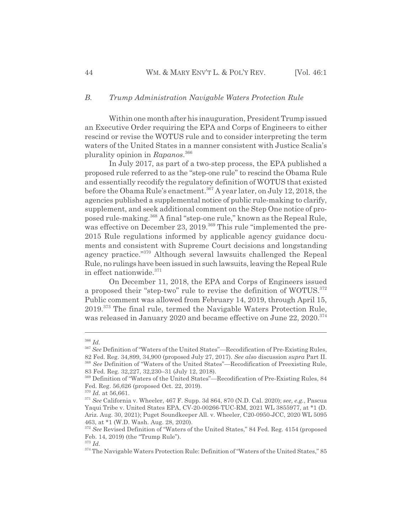#### *B. Trump Administration Navigable Waters Protection Rule*

Within one month after his inauguration, President Trump issued an Executive Order requiring the EPA and Corps of Engineers to either rescind or revise the WOTUS rule and to consider interpreting the term waters of the United States in a manner consistent with Justice Scalia's plurality opinion in *Rapanos*. 366

In July 2017, as part of a two-step process, the EPA published a proposed rule referred to as the "step-one rule" to rescind the Obama Rule and essentially recodify the regulatory definition of WOTUS that existed before the Obama Rule's enactment.367 A year later, on July 12, 2018, the agencies published a supplemental notice of public rule-making to clarify, supplement, and seek additional comment on the Step One notice of proposed rule-making.368 A final "step-one rule," known as the Repeal Rule, was effective on December 23, 2019.<sup>369</sup> This rule "implemented the pre-2015 Rule regulations informed by applicable agency guidance documents and consistent with Supreme Court decisions and longstanding agency practice."370 Although several lawsuits challenged the Repeal Rule, no rulings have been issued in such lawsuits, leaving the Repeal Rule in effect nationwide.<sup>371</sup>

On December 11, 2018, the EPA and Corps of Engineers issued a proposed their "step-two" rule to revise the definition of WOTUS.<sup>372</sup> Public comment was allowed from February 14, 2019, through April 15, 2019.373 The final rule, termed the Navigable Waters Protection Rule, was released in January 2020 and became effective on June 22, 2020.<sup>374</sup>

<sup>366</sup> *Id.*

<sup>367</sup> *See* Definition of "Waters of the United States"—Recodification of Pre-Existing Rules,

<sup>82</sup> Fed. Reg. 34,899, 34,900 (proposed July 27, 2017). *See also* discussion *supra* Part II. <sup>368</sup> *See* Definition of "Waters of the United States"—Recodification of Preexisting Rule,

<sup>83</sup> Fed. Reg. 32,227, 32,230–31 (July 12, 2018).

<sup>369</sup> Definition of "Waters of the United States"—Recodification of Pre-Existing Rules, 84 Fed. Reg. 56,626 (proposed Oct. 22, 2019).

<sup>370</sup> *Id.* at 56,661.

<sup>371</sup> *See* California v. Wheeler, 467 F. Supp. 3d 864, 870 (N.D. Cal. 2020); *see, e.g.*, Pascua Yaqui Tribe v. United States EPA, CV-20-00266-TUC-RM, 2021 WL 3855977, at \*1 (D. Ariz. Aug. 30, 2021); Puget Soundkeeper All. v. Wheeler, C20-0950-JCC, 2020 WL 5095 463, at \*1 (W.D. Wash. Aug. 28, 2020).

<sup>&</sup>lt;sup>372</sup> See Revised Definition of "Waters of the United States," 84 Fed. Reg. 4154 (proposed Feb. 14, 2019) (the "Trump Rule").

<sup>373</sup> *Id.*

<sup>&</sup>lt;sup>374</sup> The Navigable Waters Protection Rule: Definition of "Waters of the United States," 85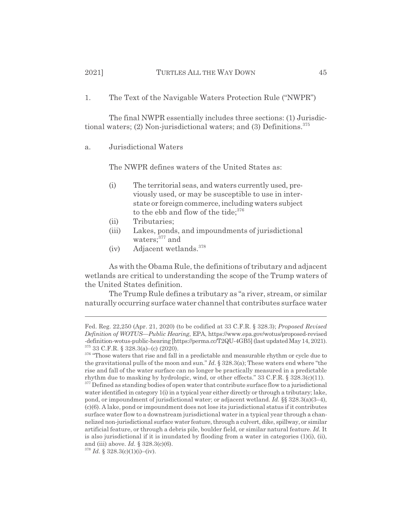1. The Text of the Navigable Waters Protection Rule ("NWPR")

The final NWPR essentially includes three sections: (1) Jurisdictional waters;  $(2)$  Non-jurisdictional waters; and  $(3)$  Definitions.<sup>375</sup>

a. Jurisdictional Waters

The NWPR defines waters of the United States as:

- (i) The territorial seas, and waters currently used, previously used, or may be susceptible to use in interstate or foreign commerce, including waters subject to the ebb and flow of the tide;<sup>376</sup>
- (ii) Tributaries;
- (iii) Lakes, ponds, and impoundments of jurisdictional waters; $377$  and
- (iv) Adjacent wetlands.<sup>378</sup>

As with the Obama Rule, the definitions of tributary and adjacent wetlands are critical to understanding the scope of the Trump waters of the United States definition.

The Trump Rule defines a tributary as "a river, stream, or similar naturally occurring surface water channel that contributes surface water

 $378$  *Id.* § 328.3(c)(1)(i)–(iv).

Fed. Reg. 22,250 (Apr. 21, 2020) (to be codified at 33 C.F.R. § 328.3); *Proposed Revised Definition of WOTUS—Public Hearing*, EPA, https://www.epa.gov/wotus/proposed-revised -definition-wotus-public-hearing [https://perma.cc/T2QU-4GB5] (last updated May 14, 2021). 375 33 C.F.R. § 328.3(a)–(c) (2020).

<sup>&</sup>lt;sup>376</sup> "Those waters that rise and fall in a predictable and measurable rhythm or cycle due to the gravitational pulls of the moon and sun." *Id.* § 328.3(a); These waters end where "the rise and fall of the water surface can no longer be practically measured in a predictable rhythm due to masking by hydrologic, wind, or other effects." 33 C.F.R. § 328.3(c)(11).

 $377$  Defined as standing bodies of open water that contribute surface flow to a jurisdictional water identified in category 1(i) in a typical year either directly or through a tributary; lake, pond, or impoundment of jurisdictional water; or adjacent wetland. *Id.* §§ 328.3(a)(3–4), (c)(6). A lake, pond or impoundment does not lose its jurisdictional status if it contributes surface water flow to a downstream jurisdictional water in a typical year through a channelized non-jurisdictional surface water feature, through a culvert, dike, spillway, or similar artificial feature, or through a debris pile, boulder field, or similar natural feature. *Id.* It is also jurisdictional if it is inundated by flooding from a water in categories  $(1)(i)$ ,  $(ii)$ , and (iii) above. *Id.* § 328.3(c)(6).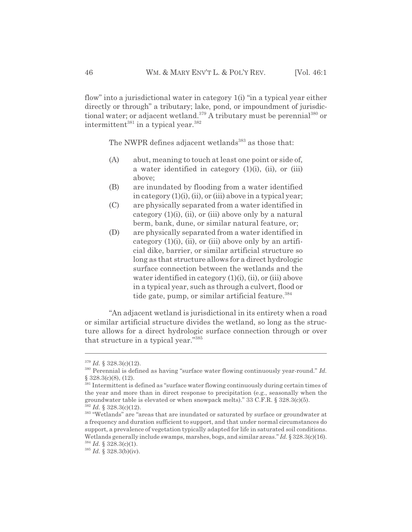flow" into a jurisdictional water in category 1(i) "in a typical year either directly or through" a tributary; lake, pond, or impoundment of jurisdictional water; or adjacent wetland.<sup>379</sup> A tributary must be perennial<sup>380</sup> or intermittent<sup>381</sup> in a typical year.<sup>382</sup>

The NWPR defines adjacent wetlands<sup>383</sup> as those that:

- (A) abut, meaning to touch at least one point or side of, a water identified in category  $(1)(i)$ ,  $(ii)$ , or  $(iii)$ above;
- (B) are inundated by flooding from a water identified in category (1)(i), (ii), or (iii) above in a typical year;
- (C) are physically separated from a water identified in category  $(1)(i)$ ,  $(ii)$ , or  $(iii)$  above only by a natural berm, bank, dune, or similar natural feature, or;
- (D) are physically separated from a water identified in category  $(1)(i)$ ,  $(ii)$ , or  $(iii)$  above only by an artificial dike, barrier, or similar artificial structure so long as that structure allows for a direct hydrologic surface connection between the wetlands and the water identified in category  $(1)(i)$ ,  $(ii)$ , or  $(iii)$  above in a typical year, such as through a culvert, flood or tide gate, pump, or similar artificial feature. $384$

"An adjacent wetland is jurisdictional in its entirety when a road or similar artificial structure divides the wetland, so long as the structure allows for a direct hydrologic surface connection through or over that structure in a typical year."385

<sup>379</sup> *Id.* § 328.3(c)(12).

<sup>380</sup> Perennial is defined as having "surface water flowing continuously year-round." *Id.* § 328.3(c)(8), (12).

<sup>&</sup>lt;sup>381</sup> Intermittent is defined as "surface water flowing continuously during certain times of the year and more than in direct response to precipitation (e.g., seasonally when the groundwater table is elevated or when snowpack melts)." 33 C.F.R. § 328.3(c)(5).  $382$  *Id.* § 328.3(c)(12).

<sup>&</sup>lt;sup>383</sup> "Wetlands" are "areas that are inundated or saturated by surface or groundwater at a frequency and duration sufficient to support, and that under normal circumstances do support, a prevalence of vegetation typically adapted for life in saturated soil conditions. Wetlands generally include swamps, marshes, bogs, and similar areas." *Id.* § 328.3(c)(16).  $384$  *Id.* § 328.3(c)(1).

<sup>385</sup> *Id.* § 328.3(b)(iv).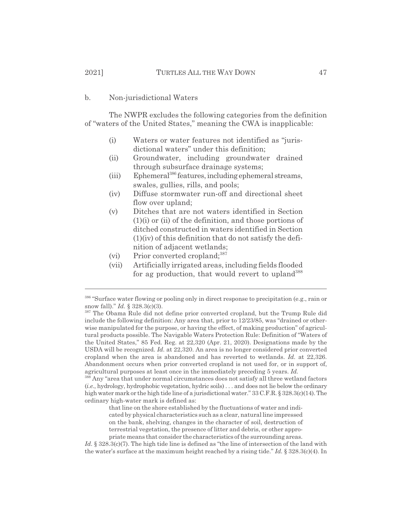#### b. Non-jurisdictional Waters

The NWPR excludes the following categories from the definition of "waters of the United States," meaning the CWA is inapplicable:

- (i) Waters or water features not identified as "jurisdictional waters" under this definition;
- (ii) Groundwater, including groundwater drained through subsurface drainage systems;
- (iii) Ephemeral<sup>386</sup> features, including ephemeral streams, swales, gullies, rills, and pools;
- (iv) Diffuse stormwater run-off and directional sheet flow over upland;
- (v) Ditches that are not waters identified in Section (1)(i) or (ii) of the definition, and those portions of ditched constructed in waters identified in Section (1)(iv) of this definition that do not satisfy the definition of adjacent wetlands;
- (vi) Prior converted cropland; $387$
- (vii) Artificially irrigated areas, including fields flooded for ag production, that would revert to upland<sup>388</sup>

<sup>388</sup> Any "area that under normal circumstances does not satisfy all three wetland factors (*i.e.*, hydrology, hydrophobic vegetation, hydric soils) . . . and does not lie below the ordinary high water mark or the high tide line of a jurisdictional water." 33 C.F.R. § 328.3(c)(14). The ordinary high-water mark is defined as:

that line on the shore established by the fluctuations of water and indicated by physical characteristics such as a clear, natural line impressed on the bank, shelving, changes in the character of soil, destruction of terrestrial vegetation, the presence of litter and debris, or other appropriate means that consider the characteristics of the surrounding areas.

Id. § 328.3(c)(7). The high tide line is defined as "the line of intersection of the land with the water's surface at the maximum height reached by a rising tide." *Id.* § 328.3(c)(4). In

<sup>&</sup>lt;sup>386</sup> "Surface water flowing or pooling only in direct response to precipitation (e.g., rain or snow fall)." *Id.* § 328.3(c)(3).

<sup>387</sup> The Obama Rule did not define prior converted cropland, but the Trump Rule did include the following definition: Any area that, prior to 12/23/85, was "drained or otherwise manipulated for the purpose, or having the effect, of making production" of agricultural products possible. The Navigable Waters Protection Rule: Definition of "Waters of the United States," 85 Fed. Reg. at 22,320 (Apr. 21, 2020). Designations made by the USDA will be recognized. *Id.* at 22,320. An area is no longer considered prior converted cropland when the area is abandoned and has reverted to wetlands. *Id.* at 22,326. Abandonment occurs when prior converted cropland is not used for, or in support of, agricultural purposes at least once in the immediately preceding 5 years. *Id.*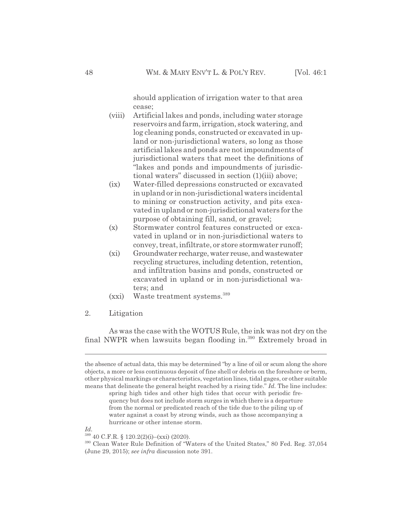should application of irrigation water to that area cease;

- (viii) Artificial lakes and ponds, including water storage reservoirs and farm, irrigation, stock watering, and log cleaning ponds, constructed or excavated in upland or non-jurisdictional waters, so long as those artificial lakes and ponds are not impoundments of jurisdictional waters that meet the definitions of "lakes and ponds and impoundments of jurisdictional waters" discussed in section (1)(iii) above;
- (ix) Water-filled depressions constructed or excavated in upland or in non-jurisdictional waters incidental to mining or construction activity, and pits excavated in upland or non-jurisdictional waters for the purpose of obtaining fill, sand, or gravel;
- (x) Stormwater control features constructed or excavated in upland or in non-jurisdictional waters to convey, treat, infiltrate, or store stormwater runoff;
- (xi) Groundwater recharge, water reuse, and wastewater recycling structures, including detention, retention, and infiltration basins and ponds, constructed or excavated in upland or in non-jurisdictional waters; and
- (xxi) Waste treatment systems.389
- 2. Litigation

As was the case with the WOTUS Rule, the ink was not dry on the final NWPR when lawsuits began flooding in.390 Extremely broad in

*Id.*

the absence of actual data, this may be determined "by a line of oil or scum along the shore objects, a more or less continuous deposit of fine shell or debris on the foreshore or berm, other physical markings or characteristics, vegetation lines, tidal gages, or other suitable means that delineate the general height reached by a rising tide." *Id.* The line includes:

spring high tides and other high tides that occur with periodic frequency but does not include storm surges in which there is a departure from the normal or predicated reach of the tide due to the piling up of water against a coast by strong winds, such as those accompanying a hurricane or other intense storm.

 $389$  40 C.F.R. § 120.2(2)(i)–(xxi) (2020).

<sup>390</sup> Clean Water Rule Definition of "Waters of the United States," 80 Fed. Reg. 37,054 (June 29, 2015); *see infra* discussion note 391.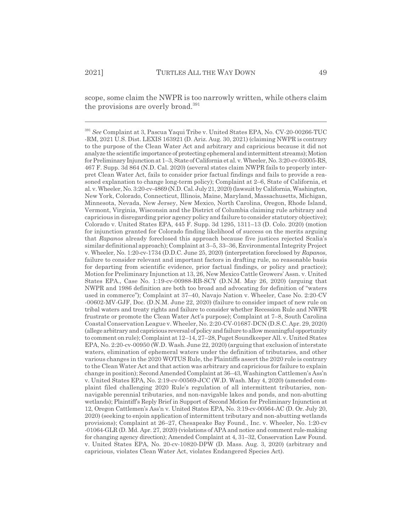scope, some claim the NWPR is too narrowly written, while others claim the provisions are overly broad.<sup>391</sup>

<sup>391</sup> *See* Complaint at 3, Pascua Yaqui Tribe v. United States EPA, No. CV-20-00266-TUC -RM, 2021 U.S. Dist. LEXIS 163921 (D. Ariz. Aug. 30, 2021) (claiming NWPR is contrary to the purpose of the Clean Water Act and arbitrary and capricious because it did not analyze the scientific importance of protecting ephemeral and intermittent streams); Motion for Preliminary Injunction at 1–3, State of California et al. v. Wheeler, No. 3:20-cv-03005-RS, 467 F. Supp. 3d 864 (N.D. Cal. 2020) (several states claim NWPR fails to properly interpret Clean Water Act, fails to consider prior factual findings and fails to provide a reasoned explanation to change long-term policy); Complaint at 2–6, State of California, et al. v. Wheeler, No. 3:20-cv-4869 (N.D. Cal. July 21, 2020) (lawsuit by California, Washington, New York, Colorado, Connecticut, Illinois, Maine, Maryland, Massachusetts, Michigan, Minnesota, Nevada, New Jersey, New Mexico, North Carolina, Oregon, Rhode Island, Vermont, Virginia, Wisconsin and the District of Columbia claiming rule arbitrary and capricious in disregarding prior agency policy and failure to consider statutory objective); Colorado v. United States EPA, 445 F. Supp. 3d 1295, 1311–13 (D. Colo. 2020) (motion for injunction granted for Colorado finding likelihood of success on the merits arguing that *Rapanos* already foreclosed this approach because five justices rejected Scalia's similar definitional approach); Complaint at 3–5, 33–36, Environmental Integrity Project v. Wheeler, No. 1:20-cv-1734 (D.D.C. June 25, 2020) (interpretation foreclosed by *Rapanos*, failure to consider relevant and important factors in drafting rule, no reasonable basis for departing from scientific evidence, prior factual findings, or policy and practice); Motion for Preliminary Injunction at 13, 26, New Mexico Cattle Growers' Assn. v. United States EPA., Case No. 1:19-cv-00988-RB-SCY (D.N.M. May 26, 2020) (arguing that NWPR and 1986 definition are both too broad and advocating for definition of "waters used in commerce"); Complaint at 37–40, Navajo Nation v. Wheeler, Case No. 2:20-CV -00602-MV-GJF, Doc. (D.N.M. June 22, 2020) (failure to consider impact of new rule on tribal waters and treaty rights and failure to consider whether Recession Rule and NWPR frustrate or promote the Clean Water Act's purpose); Complaint at 7–8, South Carolina Coastal Conservation League v. Wheeler, No. 2:20-CV-01687-DCN (D.S.C. Apr. 29, 2020) (allege arbitrary and capricious reversal of policy and failure to allow meaningful opportunity to comment on rule); Complaint at 12–14, 27–28, Puget Soundkeeper All. v. United States EPA, No. 2:20-cv-00950 (W.D. Wash. June 22, 2020) (arguing that exclusion of interstate waters, elimination of ephemeral waters under the definition of tributaries, and other various changes in the 2020 WOTUS Rule, the Plaintiffs assert the 2020 rule is contrary to the Clean Water Act and that action was arbitrary and capricious for failure to explain change in position); Second Amended Complaint at 36–43, Washington Cattlemen's Ass'n v. United States EPA, No. 2:19-cv-00569-JCC (W.D. Wash. May 4, 2020) (amended complaint filed challenging 2020 Rule's regulation of all intermittent tributaries, nonnavigable perennial tributaries, and non-navigable lakes and ponds, and non-abutting wetlands); Plaintiff's Reply Brief in Support of Second Motion for Preliminary Injunction at 12, Oregon Cattlemen's Ass'n v. United States EPA, No. 3:19-cv-00564-AC (D. Or. July 20, 2020) (seeking to enjoin application of intermittent tributary and non-abutting wetlands provisions); Complaint at 26–27, Chesapeake Bay Found., Inc. v. Wheeler, No. 1:20-cv -01064-GLR (D. Md. Apr. 27, 2020) (violations of APA and notice and comment rule-making for changing agency direction); Amended Complaint at 4, 31–32, Conservation Law Found. v. United States EPA, No. 20-cv-10820-DPW (D. Mass. Aug. 3, 2020) (arbitrary and capricious, violates Clean Water Act, violates Endangered Species Act).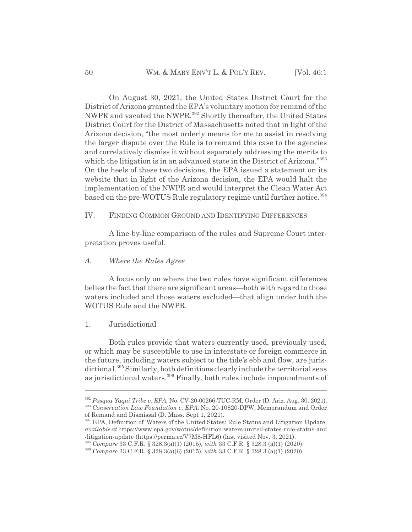On August 30, 2021, the United States District Court for the District of Arizona granted the EPA's voluntary motion for remand of the NWPR and vacated the NWPR.<sup>392</sup> Shortly thereafter, the United States District Court for the District of Massachusetts noted that in light of the Arizona decision, "the most orderly means for me to assist in resolving the larger dispute over the Rule is to remand this case to the agencies and correlatively dismiss it without separately addressing the merits to which the litigation is in an advanced state in the District of Arizona."<sup>393</sup> On the heels of these two decisions, the EPA issued a statement on its website that in light of the Arizona decision, the EPA would halt the implementation of the NWPR and would interpret the Clean Water Act based on the pre-WOTUS Rule regulatory regime until further notice.<sup>394</sup>

## IV. FINDING COMMON GROUND AND IDENTIFYING DIFFERENCES

A line-by-line comparison of the rules and Supreme Court interpretation proves useful.

#### *A. Where the Rules Agree*

A focus only on where the two rules have significant differences belies the fact that there are significant areas—both with regard to those waters included and those waters excluded—that align under both the WOTUS Rule and the NWPR.

#### 1. Jurisdictional

Both rules provide that waters currently used, previously used, or which may be susceptible to use in interstate or foreign commerce in the future, including waters subject to the tide's ebb and flow, are jurisdictional.<sup>395</sup> Similarly, both definitions clearly include the territorial seas as jurisdictional waters.396 Finally, both rules include impoundments of

<sup>392</sup> *Pasqua Yaqui Tribe v. EPA*, No. CV-20-00266-TUC-RM, Order (D. Ariz. Aug. 30, 2021). <sup>393</sup> *Conservation Law Foundation v. EPA*, No. 20-10820-DPW, Memorandum and Order

of Remand and Dismissal (D. Mass. Sept 1, 2021).

<sup>&</sup>lt;sup>394</sup> EPA, Definition of 'Waters of the United States: Rule Status and Litigation Update, *available at* https://www.epa.gov/wotus/definition-waters-united-states-rule-status-and -litigation-update (https://perma.cc/V7M8-HFL6) (last visited Nov. 3, 2021).

<sup>395</sup> *Compare* 33 C.F.R. § 328.3(a)(1) (2015), *with* 33 C.F.R. § 328.3 (a)(1) (2020).

<sup>396</sup> *Compare* 33 C.F.R. § 328.3(a)(6) (2015), *with* 33 C.F.R. § 328.3 (a)(1) (2020).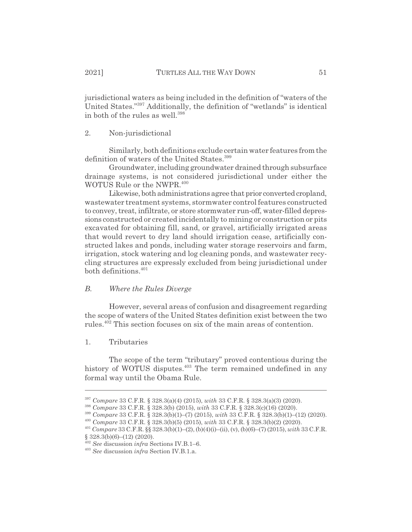jurisdictional waters as being included in the definition of "waters of the United States."397 Additionally, the definition of "wetlands" is identical in both of the rules as well.<sup>398</sup>

## 2. Non-jurisdictional

Similarly, both definitions exclude certain water features from the definition of waters of the United States.<sup>399</sup>

Groundwater, including groundwater drained through subsurface drainage systems, is not considered jurisdictional under either the WOTUS Rule or the NWPR.<sup>400</sup>

Likewise, both administrations agree that prior converted cropland, wastewater treatment systems, stormwater control features constructed to convey, treat, infiltrate, or store stormwater run-off, water-filled depressions constructed or created incidentally to mining or construction or pits excavated for obtaining fill, sand, or gravel, artificially irrigated areas that would revert to dry land should irrigation cease, artificially constructed lakes and ponds, including water storage reservoirs and farm, irrigation, stock watering and log cleaning ponds, and wastewater recycling structures are expressly excluded from being jurisdictional under both definitions.<sup>401</sup>

## *B. Where the Rules Diverge*

However, several areas of confusion and disagreement regarding the scope of waters of the United States definition exist between the two rules.<sup>402</sup> This section focuses on six of the main areas of contention.

#### 1. Tributaries

The scope of the term "tributary" proved contentious during the history of WOTUS disputes.<sup>403</sup> The term remained undefined in any formal way until the Obama Rule.

<sup>397</sup> *Compare* 33 C.F.R. § 328.3(a)(4) (2015), *with* 33 C.F.R. § 328.3(a)(3) (2020).

<sup>398</sup> *Compare* 33 C.F.R. § 328.3(b) (2015), *with* 33 C.F.R. § 328.3(c)(16) (2020).

<sup>399</sup> *Compare* 33 C.F.R. § 328.3(b)(1)–(7) (2015), *with* 33 C.F.R. § 328.3(b)(1)–(12) (2020).

<sup>400</sup> *Compare* 33 C.F.R. § 328.3(b)(5) (2015), *with* 33 C.F.R. § 328.3(b)(2) (2020).

<sup>401</sup> *Compare* 33 C.F.R. §§ 328.3(b)(1)–(2), (b)(4)(i)–(ii), (v), (b)(6)–(7) (2015), *with* 33 C.F.R.  $§ 328.3(b)(6)–(12)(2020).$ 

<sup>402</sup> *See* discussion *infra* Sections IV.B.1–6.

<sup>403</sup> *See* discussion *infra* Section IV.B.1.a.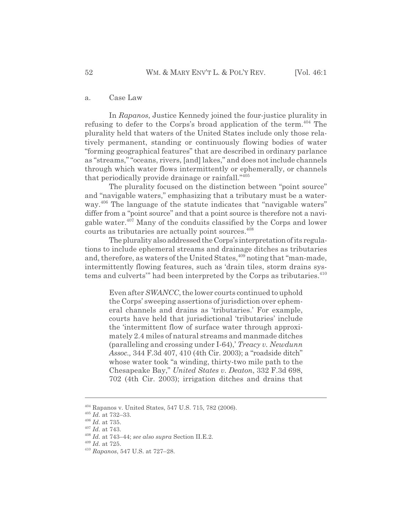#### a. Case Law

In *Rapanos*, Justice Kennedy joined the four-justice plurality in refusing to defer to the Corps's broad application of the term.<sup>404</sup> The plurality held that waters of the United States include only those relatively permanent, standing or continuously flowing bodies of water "forming geographical features" that are described in ordinary parlance as "streams," "oceans, rivers, [and] lakes," and does not include channels through which water flows intermittently or ephemerally, or channels that periodically provide drainage or rainfall."405

The plurality focused on the distinction between "point source" and "navigable waters," emphasizing that a tributary must be a waterway.<sup>406</sup> The language of the statute indicates that "navigable waters" differ from a "point source" and that a point source is therefore not a navigable water.<sup>407</sup> Many of the conduits classified by the Corps and lower courts as tributaries are actually point sources.<sup>408</sup>

The plurality also addressed the Corps's interpretation of its regulations to include ephemeral streams and drainage ditches as tributaries and, therefore, as waters of the United States,<sup>409</sup> noting that "man-made, intermittently flowing features, such as 'drain tiles, storm drains systems and culverts" had been interpreted by the Corps as tributaries.<sup>410</sup>

Even after *SWANCC*, the lower courts continued to uphold the Corps' sweeping assertions of jurisdiction over ephemeral channels and drains as 'tributaries.' For example, courts have held that jurisdictional 'tributaries' include the 'intermittent flow of surface water through approximately 2.4 miles of natural streams and manmade ditches (paralleling and crossing under I-64),' *Treacy v. Newdunn Assoc.,* 344 F.3d 407, 410 (4th Cir. 2003); a "roadside ditch" whose water took "a winding, thirty-two mile path to the Chesapeake Bay," *United States v. Deaton*, 332 F.3d 698, 702 (4th Cir. 2003); irrigation ditches and drains that

<sup>404</sup> Rapanos v. United States, 547 U.S. 715, 782 (2006).

<sup>405</sup> *Id.* at 732–33.

<sup>406</sup> *Id.* at 735.

<sup>407</sup> *Id.* at 743.

<sup>408</sup> *Id.* at 743–44; *see also supra* Section II.E.2.

<sup>409</sup> *Id.* at 725.

<sup>410</sup> *Rapanos*, 547 U.S. at 727–28.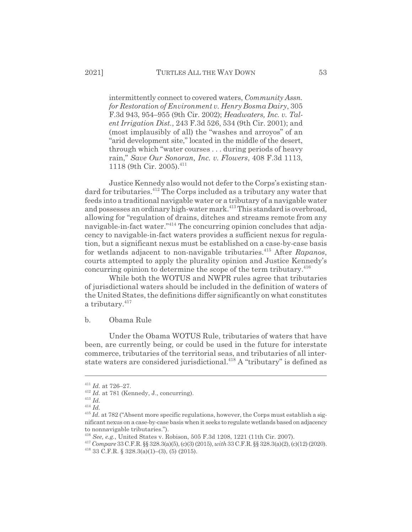intermittently connect to covered waters, *Community Assn. for Restoration of Environment v. Henry Bosma Dairy*, 305 F.3d 943, 954–955 (9th Cir. 2002); *Headwaters, Inc. v. Talent Irrigation Dist.*, 243 F.3d 526, 534 (9th Cir. 2001); and (most implausibly of all) the "washes and arroyos" of an "arid development site," located in the middle of the desert, through which "water courses . . . during periods of heavy rain," *Save Our Sonoran, Inc. v. Flowers*, 408 F.3d 1113, 1118 (9th Cir. 2005).<sup>411</sup>

Justice Kennedy also would not defer to the Corps's existing standard for tributaries.<sup>412</sup> The Corps included as a tributary any water that feeds into a traditional navigable water or a tributary of a navigable water and possesses an ordinary high-water mark.<sup>413</sup> This standard is overbroad, allowing for "regulation of drains, ditches and streams remote from any navigable-in-fact water."414 The concurring opinion concludes that adjacency to navigable-in-fact waters provides a sufficient nexus for regulation, but a significant nexus must be established on a case-by-case basis for wetlands adjacent to non-navigable tributaries.415 After *Rapanos*, courts attempted to apply the plurality opinion and Justice Kennedy's concurring opinion to determine the scope of the term tributary. $416$ 

While both the WOTUS and NWPR rules agree that tributaries of jurisdictional waters should be included in the definition of waters of the United States, the definitions differ significantly on what constitutes a tributary.<sup>417</sup>

## b. Obama Rule

Under the Obama WOTUS Rule, tributaries of waters that have been, are currently being, or could be used in the future for interstate commerce, tributaries of the territorial seas, and tributaries of all interstate waters are considered jurisdictional.<sup>418</sup> A "tributary" is defined as

<sup>411</sup> *Id.* at 726–27.

<sup>&</sup>lt;sup>412</sup> *Id.* at 781 (Kennedy, J., concurring).

<sup>413</sup> *Id.*

<sup>414</sup> *Id.*

 $^{415}$  *Id.* at 782 ("Absent more specific regulations, however, the Corps must establish a significant nexus on a case-by-case basis when it seeks to regulate wetlands based on adjacency to nonnavigable tributaries.").

<sup>416</sup> *See, e.g.*, United States v. Robison, 505 F.3d 1208, 1221 (11th Cir. 2007).

<sup>417</sup> *Compare* 33 C.F.R. §§ 328.3(a)(5), (c)(3) (2015), *with* 33 C.F.R. §§ 328.3(a)(2), (c)(12) (2020).  $418$  33 C.F.R. § 328.3(a)(1)–(3), (5) (2015).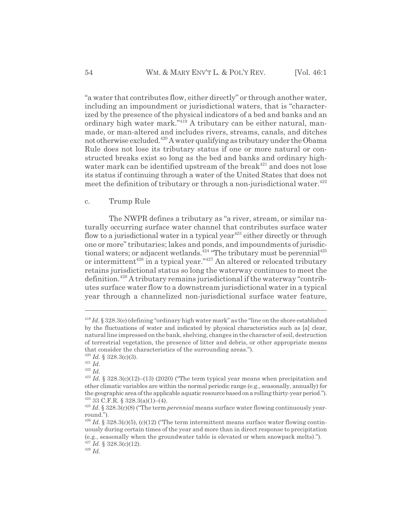"a water that contributes flow, either directly" or through another water, including an impoundment or jurisdictional waters, that is "characterized by the presence of the physical indicators of a bed and banks and an ordinary high water mark.<sup>"419</sup> A tributary can be either natural, manmade, or man-altered and includes rivers, streams, canals, and ditches not otherwise excluded.<sup>420</sup> A water qualifying as tributary under the Obama Rule does not lose its tributary status if one or more natural or constructed breaks exist so long as the bed and banks and ordinary highwater mark can be identified upstream of the break $421$  and does not lose its status if continuing through a water of the United States that does not meet the definition of tributary or through a non-jurisdictional water. $422$ 

#### c. Trump Rule

The NWPR defines a tributary as "a river, stream, or similar naturally occurring surface water channel that contributes surface water flow to a jurisdictional water in a typical year<sup> $423$ </sup> either directly or through one or more" tributaries; lakes and ponds, and impoundments of jurisdictional waters; or adjacent wetlands.<sup>424</sup> "The tributary must be perennial<sup>425</sup> or intermittent $426$  in a typical year." $427$  An altered or relocated tributary retains jurisdictional status so long the waterway continues to meet the definition.428 A tributary remains jurisdictional if the waterway "contributes surface water flow to a downstream jurisdictional water in a typical year through a channelized non-jurisdictional surface water feature,

<sup>419</sup> *Id.* § 328.3(e) (defining "ordinary high water mark" as the "line on the shore established by the fluctuations of water and indicated by physical characteristics such as [a] clear, natural line impressed on the bank, shelving, changes in the character of soil, destruction of terrestrial vegetation, the presence of litter and debris, or other appropriate means that consider the characteristics of the surrounding areas.").

<sup>420</sup> *Id.* § 328.3(c)(3).

<sup>421</sup> *Id.* <sup>422</sup> *Id.*

 $^{423}$  *Id.* § 328.3(c)(12)–(13) (2020) ("The term typical year means when precipitation and other climatic variables are within the normal periodic range (e.g., seasonally, annually) for the geographic area of the applicable aquatic resource based on a rolling thirty-year period."). 424 33 C.F.R. § 328.3(a)(1)–(4).

<sup>425</sup> *Id.* § 328.3(c)(8) ("The term *perennial* means surface water flowing continuously yearround.").

 $^{426}$  *Id.* § 328.3(c)(5), (c)(12) ("The term intermittent means surface water flowing continuously during certain times of the year and more than in direct response to precipitation (e.g., seasonally when the groundwater table is elevated or when snowpack melts).").

 $427$  *Id.* § 328.3(c)(12).

<sup>428</sup> *Id.*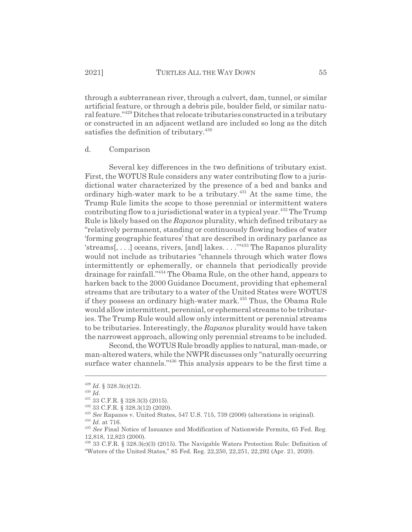through a subterranean river, through a culvert, dam, tunnel, or similar artificial feature, or through a debris pile, boulder field, or similar natural feature."429 Ditches that relocate tributaries constructed in a tributary or constructed in an adjacent wetland are included so long as the ditch satisfies the definition of tributary.<sup>430</sup>

#### d. Comparison

Several key differences in the two definitions of tributary exist. First, the WOTUS Rule considers any water contributing flow to a jurisdictional water characterized by the presence of a bed and banks and ordinary high-water mark to be a tributary.<sup>431</sup> At the same time, the Trump Rule limits the scope to those perennial or intermittent waters contributing flow to a jurisdictional water in a typical year.<sup> $432$ </sup> The Trump Rule is likely based on the *Rapanos* plurality, which defined tributary as "relatively permanent, standing or continuously flowing bodies of water 'forming geographic features' that are described in ordinary parlance as 'streams[, . . .] oceans, rivers, [and] lakes. . . .'"433 The Rapanos plurality would not include as tributaries "channels through which water flows intermittently or ephemerally, or channels that periodically provide drainage for rainfall."434 The Obama Rule, on the other hand, appears to harken back to the 2000 Guidance Document, providing that ephemeral streams that are tributary to a water of the United States were WOTUS if they possess an ordinary high-water mark.<sup>435</sup> Thus, the Obama Rule would allow intermittent, perennial, or ephemeral streams to be tributaries. The Trump Rule would allow only intermittent or perennial streams to be tributaries. Interestingly, the *Rapanos* plurality would have taken the narrowest approach, allowing only perennial streams to be included.

Second, the WOTUS Rule broadly applies to natural, man-made, or man-altered waters, while the NWPR discusses only "naturally occurring surface water channels."<sup>436</sup> This analysis appears to be the first time a

<sup>429</sup> *Id.* § 328.3(c)(12).

<sup>430</sup> *Id.*

<sup>431 33</sup> C.F.R. § 328.3(3) (2015).

<sup>432 33</sup> C.F.R. § 328.3(12) (2020).

<sup>433</sup> *See* Rapanos v. United States, 547 U.S. 715, 739 (2006) (alterations in original).

 $\,$   $^{434}$   $Id.$  at 716.

<sup>435</sup> *See* Final Notice of Issuance and Modification of Nationwide Permits, 65 Fed. Reg. 12,818, 12,823 (2000).

<sup>436 33</sup> C.F.R. § 328.3(c)(3) (2015). The Navigable Waters Protection Rule: Definition of "Waters of the United States," 85 Fed. Reg. 22,250, 22,251, 22,292 (Apr. 21, 2020).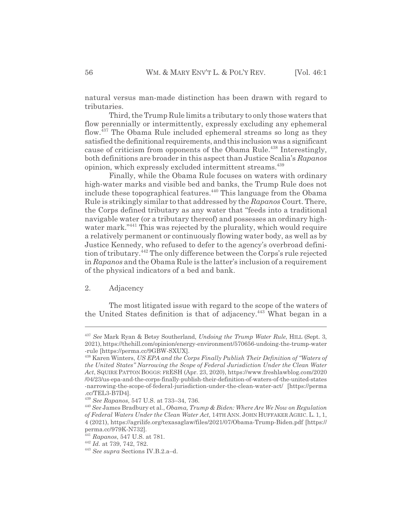natural versus man-made distinction has been drawn with regard to tributaries.

Third, the Trump Rule limits a tributary to only those waters that flow perennially or intermittently, expressly excluding any ephemeral flow.437 The Obama Rule included ephemeral streams so long as they satisfied the definitional requirements, and this inclusion was a significant cause of criticism from opponents of the Obama Rule.<sup>438</sup> Interestingly, both definitions are broader in this aspect than Justice Scalia's *Rapanos* opinion, which expressly excluded intermittent streams.<sup>439</sup>

Finally, while the Obama Rule focuses on waters with ordinary high-water marks and visible bed and banks, the Trump Rule does not include these topographical features.<sup>440</sup> This language from the Obama Rule is strikingly similar to that addressed by the *Rapanos* Court. There, the Corps defined tributary as any water that "feeds into a traditional navigable water (or a tributary thereof) and possesses an ordinary highwater mark."441 This was rejected by the plurality, which would require a relatively permanent or continuously flowing water body, as well as by Justice Kennedy, who refused to defer to the agency's overbroad definition of tributary.442 The only difference between the Corps's rule rejected in *Rapanos* and the Obama Rule is the latter's inclusion of a requirement of the physical indicators of a bed and bank.

## 2. Adjacency

The most litigated issue with regard to the scope of the waters of the United States definition is that of adjacency.<sup>443</sup> What began in a

<sup>437</sup> *See* Mark Ryan & Betsy Southerland, *Undoing the Trump Water Rule*, HILL (Sept. 3, 2021), https://thehill.com/opinion/energy-environment/570656-undoing-the-trump-water -rule [https://perma.cc/9GBW-SXUX].

<sup>438</sup> Karen Winters, *US EPA and the Corps Finally Publish Their Definition of "Waters of the United States" Narrowing the Scope of Federal Jurisdiction Under the Clean Water Act*, SQUIRE PATTON BOGGS: FRESH (Apr. 23, 2020), https://www.freshlawblog.com/2020 /04/23/us-epa-and-the-corps-finally-publish-their-definition-of-waters-of-the-united-states -narrowing-the-scope-of-federal-jurisdiction-under-the-clean-water-act/ [https://perma .cc/TEL3-B7D4].

<sup>439</sup> *See Rapanos*, 547 U.S. at 733–34, 736.

<sup>440</sup> *See* James Bradbury et al., *Obama, Trump & Biden: Where Are We Now on Regulation of Federal Waters Under the Clean Water Act*, 14TH ANN. JOHN HUFFAKER AGRIC. L. 1, 1, 4 (2021), https://agrilife.org/texasaglaw/files/2021/07/Obama-Trump-Biden.pdf [https:// perma.cc/979K-N732].

<sup>441</sup> *Rapanos*, 547 U.S. at 781.

<sup>442</sup> *Id.* at 739, 742, 782.

<sup>443</sup> *See supra* Sections IV.B.2.a–d.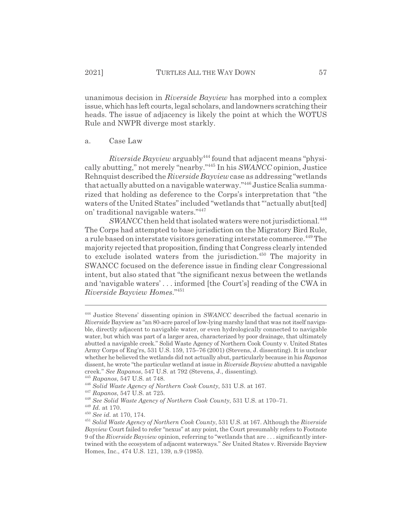unanimous decision in *Riverside Bayview* has morphed into a complex issue, which has left courts, legal scholars, and landowners scratching their heads. The issue of adjacency is likely the point at which the WOTUS Rule and NWPR diverge most starkly.

#### a. Case Law

*Riverside Bayview* arguably444 found that adjacent means "physically abutting," not merely "nearby."445 In his *SWANCC* opinion, Justice Rehnquist described the *Riverside Bayview* case as addressing "wetlands that actually abutted on a navigable waterway."<sup>446</sup> Justice Scalia summarized that holding as deference to the Corps's interpretation that "the waters of the United States" included "wetlands that "'actually abut[ted] on' traditional navigable waters."447

*SWANCC* then held that isolated waters were not jurisdictional.<sup>448</sup> The Corps had attempted to base jurisdiction on the Migratory Bird Rule, a rule based on interstate visitors generating interstate commerce.<sup>449</sup> The majority rejected that proposition, finding that Congress clearly intended to exclude isolated waters from the jurisdiction.<sup> $450$ </sup> The majority in SWANCC focused on the deference issue in finding clear Congressional intent, but also stated that "the significant nexus between the wetlands and 'navigable waters' . . . informed [the Court's] reading of the CWA in *Riverside Bayview Homes*."451

<sup>444</sup> Justice Stevens' dissenting opinion in *SWANCC* described the factual scenario in *Riverside* Bayview as "an 80-acre parcel of low-lying marshy land that was not itself navigable, directly adjacent to navigable water, or even hydrologically connected to navigable water, but which was part of a larger area, characterized by poor drainage, that ultimately abutted a navigable creek." Solid Waste Agency of Northern Cook County v. United States Army Corps of Eng'rs, 531 U.S. 159, 175–76 (2001) (Stevens, J. dissenting). It is unclear whether he believed the wetlands did not actually abut, particularly because in his *Rapanos* dissent, he wrote "the particular wetland at issue in *Riverside Bayview* abutted a navigable creek." *See Rapanos*, 547 U.S. at 792 (Stevens, J., dissenting).

<sup>445</sup> *Rapanos*, 547 U.S. at 748.

<sup>446</sup> *Solid Waste Agency of Northern Cook County*, 531 U.S. at 167.

<sup>447</sup> *Rapanos*, 547 U.S. at 725.

<sup>448</sup> *See Solid Waste Agency of Northern Cook County*, 531 U.S. at 170–71.

<sup>449</sup> *Id.* at 170.

<sup>450</sup> *See id.* at 170, 174.

<sup>451</sup> *Solid Waste Agency of Northern Cook County*, 531 U.S. at 167. Although the *Riverside Bayview* Court failed to refer "nexus" at any point, the Court presumably refers to Footnote 9 of the *Riverside Bayview* opinion, referring to "wetlands that are . . . significantly intertwined with the ecosystem of adjacent waterways." *See* United States v. Riverside Bayview Homes, Inc., 474 U.S. 121, 139, n.9 (1985).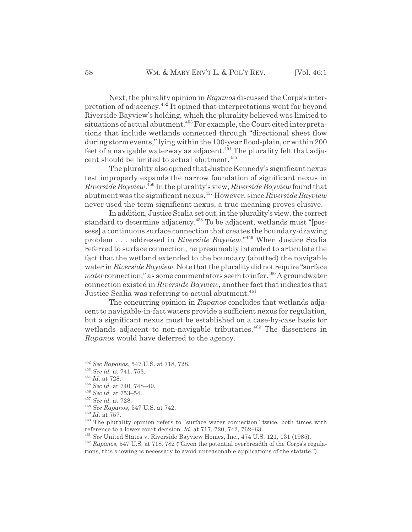Next, the plurality opinion in *Rapanos* discussed the Corps's interpretation of adjacency.452 It opined that interpretations went far beyond Riverside Bayview's holding, which the plurality believed was limited to situations of actual abutment.453 For example, the Court cited interpretations that include wetlands connected through "directional sheet flow during storm events," lying within the 100-year flood-plain, or within 200 feet of a navigable waterway as adjacent.<sup>454</sup> The plurality felt that adja-

The plurality also opined that Justice Kennedy's significant nexus test improperly expands the narrow foundation of significant nexus in *Riverside Bayview*. 456 In the plurality's view, *Riverside Bayview* found that abutment was the significant nexus.457 However, since *Riverside Bayview* never used the term significant nexus, a true meaning proves elusive.

cent should be limited to actual abutment.<sup>455</sup>

In addition, Justice Scalia set out, in the plurality's view, the correct standard to determine adjacency.<sup>458</sup> To be adjacent, wetlands must "[possess] a continuous surface connection that creates the boundary-drawing problem . . . addressed in *Riverside Bayview*."459 When Justice Scalia referred to surface connection, he presumably intended to articulate the fact that the wetland extended to the boundary (abutted) the navigable water in *Riverside Bayview*. Note that the plurality did not require "surface *water* connection," as some commentators seem to infer.<sup>460</sup> A groundwater connection existed in *Riverside Bayview*, another fact that indicates that Justice Scalia was referring to actual abutment.<sup>461</sup>

The concurring opinion in *Rapanos* concludes that wetlands adjacent to navigable-in-fact waters provide a sufficient nexus for regulation, but a significant nexus must be established on a case-by-case basis for wetlands adjacent to non-navigable tributaries.<sup>462</sup> The dissenters in *Rapanos* would have deferred to the agency.

<sup>452</sup> *See Rapanos*, 547 U.S. at 718, 728.

<sup>453</sup> *See id.* at 741, 753.

<sup>454</sup> *Id.* at 728.

<sup>455</sup> *See id.* at 740, 748–49.

<sup>456</sup> *See id.* at 753–54.

<sup>457</sup> *See id.* at 728.

<sup>458</sup> *See Rapanos*, 547 U.S. at 742.

<sup>459</sup> *Id.* at 757.

<sup>460</sup> The plurality opinion refers to "surface water connection" twice, both times with reference to a lower court decision. *Id.* at 717, 720, 742, 762–63.

<sup>461</sup> *See* United States v. Riverside Bayview Homes, Inc., 474 U.S. 121, 131 (1985).

<sup>462</sup> *Rapanos*, 547 U.S. at 718, 782 ("Given the potential overbreadth of the Corps's regulations, this showing is necessary to avoid unreasonable applications of the statute.").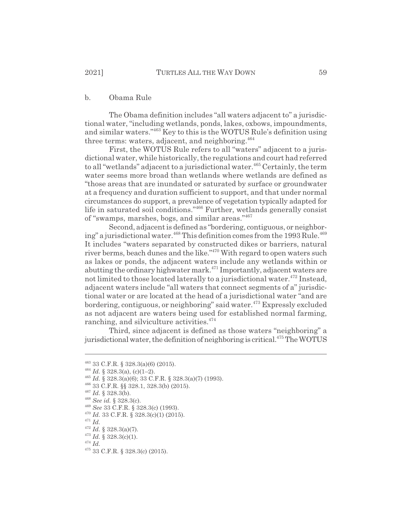## b. Obama Rule

The Obama definition includes "all waters adjacent to" a jurisdictional water, "including wetlands, ponds, lakes, oxbows, impoundments, and similar waters."463 Key to this is the WOTUS Rule's definition using three terms: waters, adjacent, and neighboring. $464$ 

First, the WOTUS Rule refers to all "waters" adjacent to a jurisdictional water, while historically, the regulations and court had referred to all "wetlands" adjacent to a jurisdictional water.<sup>465</sup> Certainly, the term water seems more broad than wetlands where wetlands are defined as "those areas that are inundated or saturated by surface or groundwater at a frequency and duration sufficient to support, and that under normal circumstances do support, a prevalence of vegetation typically adapted for life in saturated soil conditions."466 Further, wetlands generally consist of "swamps, marshes, bogs, and similar areas."467

Second, adjacent is defined as "bordering, contiguous, or neighboring" a jurisdictional water.<sup>468</sup> This definition comes from the 1993 Rule.<sup>469</sup> It includes "waters separated by constructed dikes or barriers, natural river berms, beach dunes and the like."<sup>470</sup> With regard to open waters such as lakes or ponds, the adjacent waters include any wetlands within or abutting the ordinary highwater mark.<sup>471</sup> Importantly, adjacent waters are not limited to those located laterally to a jurisdictional water.<sup>472</sup> Instead, adjacent waters include "all waters that connect segments of a" jurisdictional water or are located at the head of a jurisdictional water "and are bordering, contiguous, or neighboring" said water.<sup>473</sup> Expressly excluded as not adjacent are waters being used for established normal farming, ranching, and silviculture activities.<sup>474</sup>

Third, since adjacent is defined as those waters "neighboring" a jurisdictional water, the definition of neighboring is critical.<sup>475</sup> The WOTUS

<sup>463 33</sup> C.F.R. § 328.3(a)(6) (2015).

 $^{464}$  *Id.* § 328.3(a), (c)(1–2).

<sup>465</sup> *Id.* § 328.3(a)(6); 33 C.F.R. § 328.3(a)(7) (1993).

<sup>466 33</sup> C.F.R. §§ 328.1, 328.3(b) (2015).

<sup>467</sup> *Id.* § 328.3(b).

<sup>468</sup> *See id.* § 328.3(c).

<sup>469</sup> *See* 33 C.F.R. § 328.3(c) (1993).

<sup>470</sup> *Id.* 33 C.F.R. § 328.3(c)(1) (2015).

<sup>471</sup> *Id.*

 $^{472}$   $Id.$   $\S$   $328.3(a)(7).$ 

<sup>473</sup> *Id.* § 328.3(c)(1).

<sup>474</sup> *Id.*

<sup>475 33</sup> C.F.R. § 328.3(c) (2015).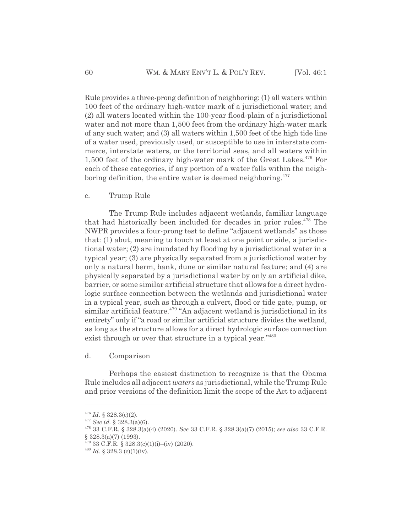Rule provides a three-prong definition of neighboring: (1) all waters within 100 feet of the ordinary high-water mark of a jurisdictional water; and (2) all waters located within the 100-year flood-plain of a jurisdictional water and not more than 1,500 feet from the ordinary high-water mark of any such water; and (3) all waters within 1,500 feet of the high tide line of a water used, previously used, or susceptible to use in interstate commerce, interstate waters, or the territorial seas, and all waters within 1,500 feet of the ordinary high-water mark of the Great Lakes. $476$  For each of these categories, if any portion of a water falls within the neighboring definition, the entire water is deemed neighboring.<sup>477</sup>

## c. Trump Rule

The Trump Rule includes adjacent wetlands, familiar language that had historically been included for decades in prior rules.478 The NWPR provides a four-prong test to define "adjacent wetlands" as those that: (1) abut, meaning to touch at least at one point or side, a jurisdictional water; (2) are inundated by flooding by a jurisdictional water in a typical year; (3) are physically separated from a jurisdictional water by only a natural berm, bank, dune or similar natural feature; and (4) are physically separated by a jurisdictional water by only an artificial dike, barrier, or some similar artificial structure that allows for a direct hydrologic surface connection between the wetlands and jurisdictional water in a typical year, such as through a culvert, flood or tide gate, pump, or  $s$ imilar artificial feature.<sup>479</sup> "An adjacent wetland is jurisdictional in its entirety" only if "a road or similar artificial structure divides the wetland, as long as the structure allows for a direct hydrologic surface connection exist through or over that structure in a typical year."<sup>480</sup>

## d. Comparison

Perhaps the easiest distinction to recognize is that the Obama Rule includes all adjacent *waters* as jurisdictional, while the Trump Rule and prior versions of the definition limit the scope of the Act to adjacent

 $476$  *Id.* § 328.3(c)(2).

<sup>477</sup> *See id.* § 328.3(a)(6).

<sup>478 33</sup> C.F.R. § 328.3(a)(4) (2020). *See* 33 C.F.R. § 328.3(a)(7) (2015); *see also* 33 C.F.R. § 328.3(a)(7) (1993).

 $^{479}$  33 C.F.R. § 328.3(c)(1)(i)–(iv) (2020).

 $^{480}$  *Id.* § 328.3 (c)(1)(iv).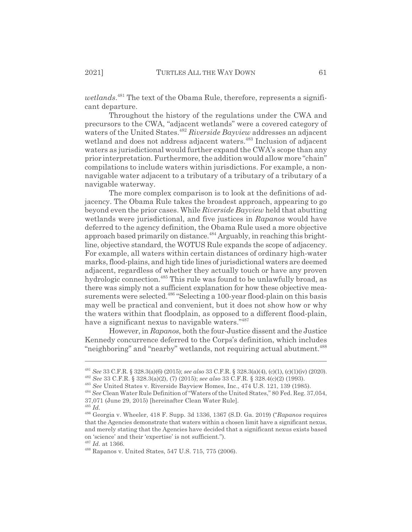wetlands.<sup>481</sup> The text of the Obama Rule, therefore, represents a significant departure.

Throughout the history of the regulations under the CWA and precursors to the CWA, "adjacent wetlands" were a covered category of waters of the United States.<sup>482</sup> Riverside Bayview addresses an adjacent wetland and does not address adjacent waters.<sup>483</sup> Inclusion of adjacent waters as jurisdictional would further expand the CWA's scope than any prior interpretation. Furthermore, the addition would allow more "chain" compilations to include waters within jurisdictions. For example, a nonnavigable water adjacent to a tributary of a tributary of a tributary of a navigable waterway.

The more complex comparison is to look at the definitions of adjacency. The Obama Rule takes the broadest approach, appearing to go beyond even the prior cases. While *Riverside Bayview* held that abutting wetlands were jurisdictional, and five justices in *Rapanos* would have deferred to the agency definition, the Obama Rule used a more objective approach based primarily on distance.<sup>484</sup> Arguably, in reaching this brightline, objective standard, the WOTUS Rule expands the scope of adjacency. For example, all waters within certain distances of ordinary high-water marks, flood-plains, and high tide lines of jurisdictional waters are deemed adjacent, regardless of whether they actually touch or have any proven hydrologic connection.<sup>485</sup> This rule was found to be unlawfully broad, as there was simply not a sufficient explanation for how these objective measurements were selected.<sup>486</sup> "Selecting a 100-year flood-plain on this basis may well be practical and convenient, but it does not show how or why the waters within that floodplain, as opposed to a different flood-plain, have a significant nexus to navigable waters."487

However, in *Rapanos*, both the four-Justice dissent and the Justice Kennedy concurrence deferred to the Corps's definition, which includes "neighboring" and "nearby" wetlands, not requiring actual abutment.<sup>488</sup>

<sup>481</sup> *See* 33 C.F.R. § 328.3(a)(6) (2015); *see also* 33 C.F.R. § 328.3(a)(4), (c)(1), (c)(1)(iv) (2020).

<sup>482</sup> *See* 33 C.F.R. § 328.3(a)(2), (7) (2015); *see also* 33 C.F.R. § 328.4(c)(2) (1993).

<sup>483</sup> *See* United States v. Riverside Bayview Homes, Inc., 474 U.S. 121, 139 (1985).

<sup>484</sup> *See* Clean Water Rule Definition of "Waters of the United States," 80 Fed. Reg. 37,054, 37,071 (June 29, 2015) [hereinafter Clean Water Rule].

<sup>485</sup> *Id.*

<sup>486</sup> Georgia v. Wheeler, 418 F. Supp. 3d 1336, 1367 (S.D. Ga. 2019) ("*Rapanos* requires that the Agencies demonstrate that waters within a chosen limit have a significant nexus, and merely stating that the Agencies have decided that a significant nexus exists based on 'science' and their 'expertise' is not sufficient.").

<sup>487</sup> *Id.* at 1366.

<sup>488</sup> Rapanos v. United States, 547 U.S. 715, 775 (2006).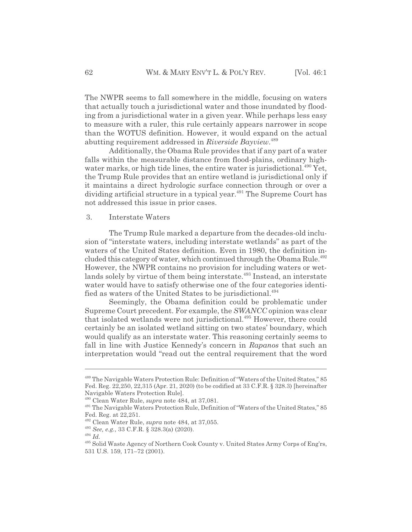The NWPR seems to fall somewhere in the middle, focusing on waters that actually touch a jurisdictional water and those inundated by flooding from a jurisdictional water in a given year. While perhaps less easy to measure with a ruler, this rule certainly appears narrower in scope than the WOTUS definition. However, it would expand on the actual abutting requirement addressed in *Riverside Bayview*. 489

Additionally, the Obama Rule provides that if any part of a water falls within the measurable distance from flood-plains, ordinary highwater marks, or high tide lines, the entire water is jurisdictional. $490$  Yet, the Trump Rule provides that an entire wetland is jurisdictional only if it maintains a direct hydrologic surface connection through or over a dividing artificial structure in a typical year.<sup>491</sup> The Supreme Court has not addressed this issue in prior cases.

#### 3. Interstate Waters

The Trump Rule marked a departure from the decades-old inclusion of "interstate waters, including interstate wetlands" as part of the waters of the United States definition. Even in 1980, the definition included this category of water, which continued through the Obama Rule.<sup>492</sup> However, the NWPR contains no provision for including waters or wetlands solely by virtue of them being interstate.<sup>493</sup> Instead, an interstate water would have to satisfy otherwise one of the four categories identified as waters of the United States to be jurisdictional.<sup>494</sup>

Seemingly, the Obama definition could be problematic under Supreme Court precedent. For example, the *SWANCC* opinion was clear that isolated wetlands were not jurisdictional.<sup>495</sup> However, there could certainly be an isolated wetland sitting on two states' boundary, which would qualify as an interstate water. This reasoning certainly seems to fall in line with Justice Kennedy's concern in *Rapanos* that such an interpretation would "read out the central requirement that the word

<sup>&</sup>lt;sup>489</sup> The Navigable Waters Protection Rule: Definition of "Waters of the United States," 85 Fed. Reg. 22,250, 22,315 (Apr. 21, 2020) (to be codified at 33 C.F.R. § 328.3) [hereinafter Navigable Waters Protection Rule].

<sup>490</sup> Clean Water Rule, *supra* note 484, at 37,081.

<sup>491</sup> The Navigable Waters Protection Rule, Definition of "Waters of the United States," 85 Fed. Reg. at 22,251.

<sup>492</sup> Clean Water Rule, *supra* note 484, at 37,055.

<sup>493</sup> *See, e.g.*, 33 C.F.R. § 328.3(a) (2020).

<sup>494</sup> *Id.*

<sup>495</sup> Solid Waste Agency of Northern Cook County v. United States Army Corps of Eng'rs, 531 U.S. 159, 171–72 (2001).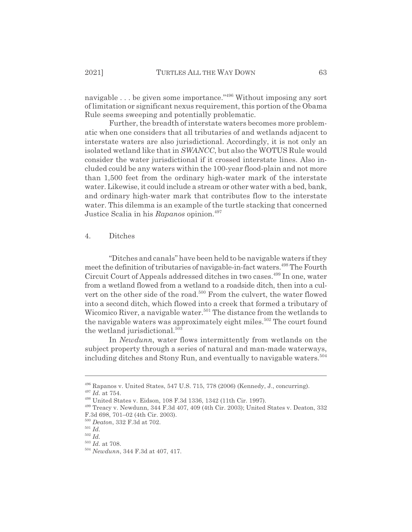navigable . . . be given some importance."<sup>496</sup> Without imposing any sort of limitation or significant nexus requirement, this portion of the Obama Rule seems sweeping and potentially problematic.

Further, the breadth of interstate waters becomes more problematic when one considers that all tributaries of and wetlands adjacent to interstate waters are also jurisdictional. Accordingly, it is not only an isolated wetland like that in *SWANCC*, but also the WOTUS Rule would consider the water jurisdictional if it crossed interstate lines. Also included could be any waters within the 100-year flood-plain and not more than 1,500 feet from the ordinary high-water mark of the interstate water. Likewise, it could include a stream or other water with a bed, bank, and ordinary high-water mark that contributes flow to the interstate water. This dilemma is an example of the turtle stacking that concerned Justice Scalia in his *Rapanos* opinion.<sup>497</sup>

## 4. Ditches

"Ditches and canals" have been held to be navigable waters if they meet the definition of tributaries of navigable-in-fact waters.<sup>498</sup> The Fourth Circuit Court of Appeals addressed ditches in two cases.<sup>499</sup> In one, water from a wetland flowed from a wetland to a roadside ditch, then into a culvert on the other side of the road.<sup>500</sup> From the culvert, the water flowed into a second ditch, which flowed into a creek that formed a tributary of Wicomico River, a navigable water.<sup>501</sup> The distance from the wetlands to the navigable waters was approximately eight miles.<sup>502</sup> The court found the wetland jurisdictional.<sup>503</sup>

In *Newdunn*, water flows intermittently from wetlands on the subject property through a series of natural and man-made waterways, including ditches and Stony Run, and eventually to navigable waters.<sup>504</sup>

 $496$  Rapanos v. United States, 547 U.S. 715, 778 (2006) (Kennedy, J., concurring).

<sup>497</sup> *Id.* at 754.

<sup>498</sup> United States v. Eidson, 108 F.3d 1336, 1342 (11th Cir. 1997).

<sup>499</sup> Treacy v. Newdunn, 344 F.3d 407, 409 (4th Cir. 2003); United States v. Deaton, 332 F.3d 698, 701–02 (4th Cir. 2003).

<sup>500</sup> *Deaton*, 332 F.3d at 702.

<sup>501</sup> *Id.*

<sup>502</sup> *Id.*

<sup>503</sup> *Id.* at 708.

<sup>504</sup> *Newdunn*, 344 F.3d at 407, 417.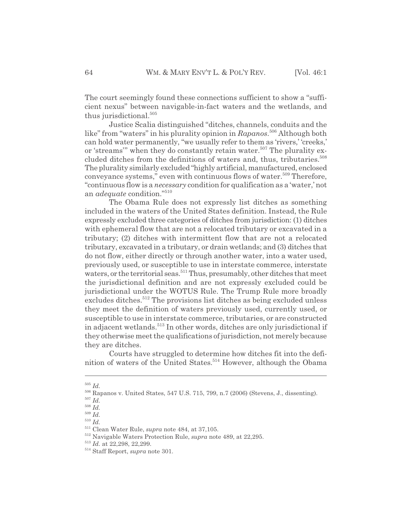The court seemingly found these connections sufficient to show a "sufficient nexus" between navigable-in-fact waters and the wetlands, and thus jurisdictional.<sup>505</sup>

Justice Scalia distinguished "ditches, channels, conduits and the like" from "waters" in his plurality opinion in *Rapanos*. 506 Although both can hold water permanently, "we usually refer to them as 'rivers,' 'creeks,' or 'streams'" when they do constantly retain water.<sup>507</sup> The plurality excluded ditches from the definitions of waters and, thus, tributaries.<sup>508</sup> The plurality similarly excluded "highly artificial, manufactured, enclosed conveyance systems," even with continuous flows of water.<sup>509</sup> Therefore, "continuous flow is a *necessary* condition for qualification as a 'water,' not an *adequate* condition."510

The Obama Rule does not expressly list ditches as something included in the waters of the United States definition. Instead, the Rule expressly excluded three categories of ditches from jurisdiction: (1) ditches with ephemeral flow that are not a relocated tributary or excavated in a tributary; (2) ditches with intermittent flow that are not a relocated tributary, excavated in a tributary, or drain wetlands; and (3) ditches that do not flow, either directly or through another water, into a water used, previously used, or susceptible to use in interstate commerce, interstate waters, or the territorial seas.<sup>511</sup> Thus, presumably, other ditches that meet the jurisdictional definition and are not expressly excluded could be jurisdictional under the WOTUS Rule. The Trump Rule more broadly excludes ditches.<sup>512</sup> The provisions list ditches as being excluded unless they meet the definition of waters previously used, currently used, or susceptible to use in interstate commerce, tributaries, or are constructed in adjacent wetlands.<sup>513</sup> In other words, ditches are only jurisdictional if they otherwise meet the qualifications of jurisdiction, not merely because they are ditches.

Courts have struggled to determine how ditches fit into the definition of waters of the United States.<sup>514</sup> However, although the Obama

<sup>505</sup> *Id.*

<sup>506</sup> Rapanos v. United States, 547 U.S. 715, 799, n.7 (2006) (Stevens, J., dissenting).

<sup>507</sup> *Id.*

<sup>508</sup> *Id.*

 $^{509}$  *Id.* 

<sup>510</sup> *Id.*

<sup>511</sup> Clean Water Rule, *supra* note 484, at 37,105.

<sup>512</sup> Navigable Waters Protection Rule, *supra* note 489, at 22,295.

<sup>513</sup> *Id.* at 22,298, 22,299.

<sup>514</sup> Staff Report, *supra* note 301.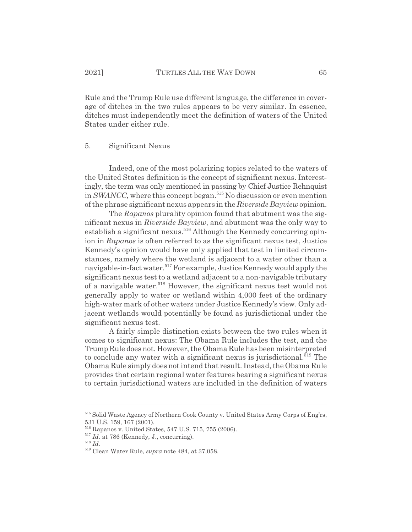Rule and the Trump Rule use different language, the difference in coverage of ditches in the two rules appears to be very similar. In essence, ditches must independently meet the definition of waters of the United States under either rule.

#### 5. Significant Nexus

Indeed, one of the most polarizing topics related to the waters of the United States definition is the concept of significant nexus. Interestingly, the term was only mentioned in passing by Chief Justice Rehnquist in *SWANCC*, where this concept began.<sup>515</sup> No discussion or even mention of the phrase significant nexus appears in the *Riverside Bayview* opinion.

The *Rapanos* plurality opinion found that abutment was the significant nexus in *Riverside Bayview*, and abutment was the only way to establish a significant nexus.<sup>516</sup> Although the Kennedy concurring opinion in *Rapanos* is often referred to as the significant nexus test, Justice Kennedy's opinion would have only applied that test in limited circumstances, namely where the wetland is adjacent to a water other than a navigable-in-fact water.<sup>517</sup> For example, Justice Kennedy would apply the significant nexus test to a wetland adjacent to a non-navigable tributary of a navigable water.<sup>518</sup> However, the significant nexus test would not generally apply to water or wetland within 4,000 feet of the ordinary high-water mark of other waters under Justice Kennedy's view. Only adjacent wetlands would potentially be found as jurisdictional under the significant nexus test.

A fairly simple distinction exists between the two rules when it comes to significant nexus: The Obama Rule includes the test, and the Trump Rule does not. However, the Obama Rule has been misinterpreted to conclude any water with a significant nexus is jurisdictional.<sup>519</sup> The Obama Rule simply does not intend that result. Instead, the Obama Rule provides that certain regional water features bearing a significant nexus to certain jurisdictional waters are included in the definition of waters

<sup>515</sup> Solid Waste Agency of Northern Cook County v. United States Army Corps of Eng'rs, 531 U.S. 159, 167 (2001).

<sup>516</sup> Rapanos v. United States, 547 U.S. 715, 755 (2006).

<sup>&</sup>lt;sup>517</sup> *Id.* at 786 (Kennedy, J., concurring).

<sup>518</sup> *Id.*

<sup>519</sup> Clean Water Rule, *supra* note 484, at 37,058.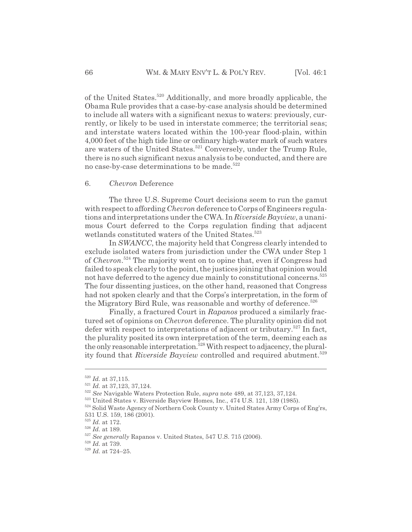of the United States.520 Additionally, and more broadly applicable, the Obama Rule provides that a case-by-case analysis should be determined to include all waters with a significant nexus to waters: previously, currently, or likely to be used in interstate commerce; the territorial seas; and interstate waters located within the 100-year flood-plain, within 4,000 feet of the high tide line or ordinary high-water mark of such waters are waters of the United States.<sup>521</sup> Conversely, under the Trump Rule, there is no such significant nexus analysis to be conducted, and there are no case-by-case determinations to be made.<sup>522</sup>

#### 6. *Chevron* Deference

The three U.S. Supreme Court decisions seem to run the gamut with respect to affording *Chevron* deference to Corps of Engineers regulations and interpretations under the CWA. In *Riverside Bayview*, a unanimous Court deferred to the Corps regulation finding that adjacent wetlands constituted waters of the United States.<sup>523</sup>

In *SWANCC*, the majority held that Congress clearly intended to exclude isolated waters from jurisdiction under the CWA under Step 1 of *Chevron*. 524 The majority went on to opine that, even if Congress had failed to speak clearly to the point, the justices joining that opinion would not have deferred to the agency due mainly to constitutional concerns.<sup>525</sup> The four dissenting justices, on the other hand, reasoned that Congress had not spoken clearly and that the Corps's interpretation, in the form of the Migratory Bird Rule, was reasonable and worthy of deference.<sup>526</sup>

Finally, a fractured Court in *Rapanos* produced a similarly fractured set of opinions on *Chevron* deference. The plurality opinion did not defer with respect to interpretations of adjacent or tributary.<sup>527</sup> In fact, the plurality posited its own interpretation of the term, deeming each as the only reasonable interpretation.<sup>528</sup> With respect to adjacency, the plurality found that *Riverside Bayview* controlled and required abutment.<sup>529</sup>

<sup>520</sup> *Id.* at 37,115.

<sup>521</sup> *Id.* at 37,123, 37,124.

<sup>522</sup> *See* Navigable Waters Protection Rule, *supra* note 489, at 37,123, 37,124.

<sup>523</sup> United States v. Riverside Bayview Homes, Inc., 474 U.S. 121, 139 (1985).

<sup>&</sup>lt;sup>524</sup> Solid Waste Agency of Northern Cook County v. United States Army Corps of Eng'rs, 531 U.S. 159, 186 (2001).

 $^{525}$   $\emph{Id.}$  at 172.

 $526$  *Id.* at 189.

<sup>527</sup> *See generally* Rapanos v. United States, 547 U.S. 715 (2006).

<sup>528</sup> *Id.* at 739.

<sup>529</sup> *Id.* at 724–25.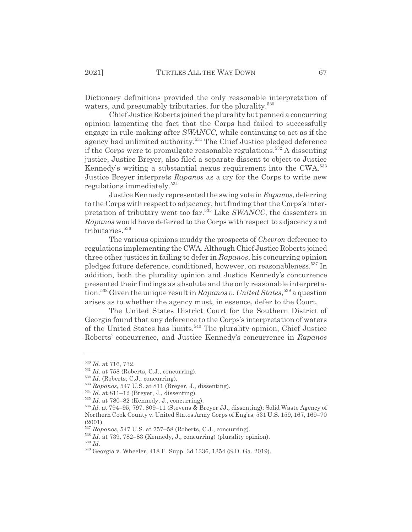Dictionary definitions provided the only reasonable interpretation of waters, and presumably tributaries, for the plurality.<sup>530</sup>

Chief Justice Roberts joined the plurality but penned a concurring opinion lamenting the fact that the Corps had failed to successfully engage in rule-making after *SWANCC*, while continuing to act as if the agency had unlimited authority.531 The Chief Justice pledged deference if the Corps were to promulgate reasonable regulations.<sup>532</sup> A dissenting justice, Justice Breyer, also filed a separate dissent to object to Justice Kennedy's writing a substantial nexus requirement into the CWA.<sup>533</sup> Justice Breyer interprets *Rapanos* as a cry for the Corps to write new regulations immediately.<sup>534</sup>

Justice Kennedy represented the swing vote in *Rapanos*, deferring to the Corps with respect to adjacency, but finding that the Corps's interpretation of tributary went too far.535 Like *SWANCC*, the dissenters in *Rapanos* would have deferred to the Corps with respect to adjacency and tributaries.<sup>536</sup>

The various opinions muddy the prospects of *Chevron* deference to regulations implementing the CWA. Although Chief Justice Roberts joined three other justices in failing to defer in *Rapanos*, his concurring opinion pledges future deference, conditioned, however, on reasonableness.<sup>537</sup> In addition, both the plurality opinion and Justice Kennedy's concurrence presented their findings as absolute and the only reasonable interpretation.538 Given the unique result in *Rapanos v. United States*, 539 a question arises as to whether the agency must, in essence, defer to the Court.

The United States District Court for the Southern District of Georgia found that any deference to the Corps's interpretation of waters of the United States has limits.<sup>540</sup> The plurality opinion, Chief Justice Roberts' concurrence, and Justice Kennedy's concurrence in *Rapanos*

<sup>530</sup> *Id.* at 716, 732.

 $^{531}$  *Id.* at 758 (Roberts, C.J., concurring).

<sup>532</sup> *Id.* (Roberts, C.J., concurring).

<sup>533</sup> *Rapanos*, 547 U.S. at 811 (Breyer, J., dissenting).

<sup>534</sup> *Id.* at 811–12 (Breyer, J., dissenting).

 $^{535}$  *Id.* at 780–82 (Kennedy, J., concurring).

<sup>536</sup> *Id.* at 794–95, 797, 809–11 (Stevens & Breyer JJ., dissenting); Solid Waste Agency of Northern Cook County v. United States Army Corps of Eng'rs, 531 U.S. 159, 167, 169–70 (2001).

<sup>537</sup> *Rapanos*, 547 U.S. at 757–58 (Roberts, C.J., concurring).

<sup>538</sup> *Id.* at 739, 782–83 (Kennedy, J., concurring) (plurality opinion).

<sup>539</sup> *Id.*

<sup>540</sup> Georgia v. Wheeler, 418 F. Supp. 3d 1336, 1354 (S.D. Ga. 2019).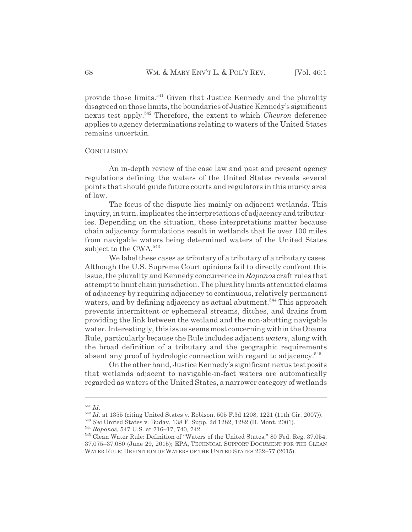provide those limits.<sup>541</sup> Given that Justice Kennedy and the plurality disagreed on those limits, the boundaries of Justice Kennedy's significant nexus test apply.542 Therefore, the extent to which *Chevron* deference applies to agency determinations relating to waters of the United States remains uncertain.

## **CONCLUSION**

An in-depth review of the case law and past and present agency regulations defining the waters of the United States reveals several points that should guide future courts and regulators in this murky area of law.

The focus of the dispute lies mainly on adjacent wetlands. This inquiry, in turn, implicates the interpretations of adjacency and tributaries. Depending on the situation, these interpretations matter because chain adjacency formulations result in wetlands that lie over 100 miles from navigable waters being determined waters of the United States subject to the CWA.<sup>543</sup>

We label these cases as tributary of a tributary of a tributary cases. Although the U.S. Supreme Court opinions fail to directly confront this issue, the plurality and Kennedy concurrence in *Rapanos* craft rules that attempt to limit chain jurisdiction. The plurality limits attenuated claims of adjacency by requiring adjacency to continuous, relatively permanent waters, and by defining adjacency as actual abutment.<sup>544</sup> This approach prevents intermittent or ephemeral streams, ditches, and drains from providing the link between the wetland and the non-abutting navigable water. Interestingly, this issue seems most concerning within the Obama Rule, particularly because the Rule includes adjacent *waters*, along with the broad definition of a tributary and the geographic requirements absent any proof of hydrologic connection with regard to adjacency.<sup>545</sup>

On the other hand, Justice Kennedy's significant nexus test posits that wetlands adjacent to navigable-in-fact waters are automatically regarded as waters of the United States, a narrower category of wetlands

<sup>541</sup> *Id.*

<sup>542</sup> *Id.* at 1355 (citing United States v. Robison, 505 F.3d 1208, 1221 (11th Cir. 2007)).

<sup>543</sup> *See* United States v. Buday, 138 F. Supp. 2d 1282, 1282 (D. Mont. 2001).

<sup>544</sup> *Rapanos*, 547 U.S. at 716–17, 740, 742.

<sup>545</sup> Clean Water Rule: Definition of "Waters of the United States," 80 Fed. Reg. 37,054, 37,075–37,080 (June 29, 2015); EPA, TECHNICAL SUPPORT DOCUMENT FOR THE CLEAN WATER RULE: DEFINITION OF WATERS OF THE UNITED STATES 232–77 (2015).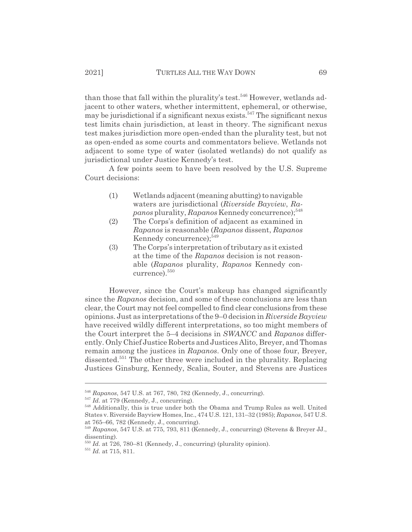than those that fall within the plurality's test.<sup>546</sup> However, wetlands adjacent to other waters, whether intermittent, ephemeral, or otherwise, may be jurisdictional if a significant nexus exists.<sup>547</sup> The significant nexus test limits chain jurisdiction, at least in theory. The significant nexus test makes jurisdiction more open-ended than the plurality test, but not as open-ended as some courts and commentators believe. Wetlands not adjacent to some type of water (isolated wetlands) do not qualify as jurisdictional under Justice Kennedy's test.

A few points seem to have been resolved by the U.S. Supreme Court decisions:

- (1) Wetlands adjacent (meaning abutting) to navigable waters are jurisdictional (*Riverside Bayview*, *Rapanos* plurality, *Rapanos* Kennedy concurrence);<sup>548</sup>
- (2) The Corps's definition of adjacent as examined in *Rapanos* is reasonable (*Rapanos* dissent, *Rapanos* Kennedy concurrence);<sup>549</sup>
- (3) The Corps's interpretation of tributary as it existed at the time of the *Rapanos* decision is not reasonable (*Rapanos* plurality, *Rapanos* Kennedy concurrence).550

However, since the Court's makeup has changed significantly since the *Rapanos* decision, and some of these conclusions are less than clear, the Court may not feel compelled to find clear conclusions from these opinions. Just as interpretations of the 9–0 decision in *Riverside Bayview* have received wildly different interpretations, so too might members of the Court interpret the 5–4 decisions in *SWANCC* and *Rapanos* differently. Only Chief Justice Roberts and Justices Alito, Breyer, and Thomas remain among the justices in *Rapanos*. Only one of those four, Breyer, dissented.551 The other three were included in the plurality. Replacing Justices Ginsburg, Kennedy, Scalia, Souter, and Stevens are Justices

<sup>&</sup>lt;sup>546</sup> *Rapanos*, 547 U.S. at 767, 780, 782 (Kennedy, J., concurring).<br><sup>547</sup> *Id.* at 779 (Kennedy, J., concurring).

<sup>&</sup>lt;sup>548</sup> Additionally, this is true under both the Obama and Trump Rules as well. United States v. Riverside Bayview Homes, Inc., 474 U.S. 121, 131–32 (1985); *Rapanos*, 547 U.S. at 765–66, 782 (Kennedy, J., concurring).

<sup>549</sup> *Rapanos*, 547 U.S. at 775, 793, 811 (Kennedy, J., concurring) (Stevens & Breyer JJ., dissenting).

<sup>&</sup>lt;sup>550</sup> *Id.* at 726, 780–81 (Kennedy, J., concurring) (plurality opinion).

<sup>551</sup> *Id.* at 715, 811.